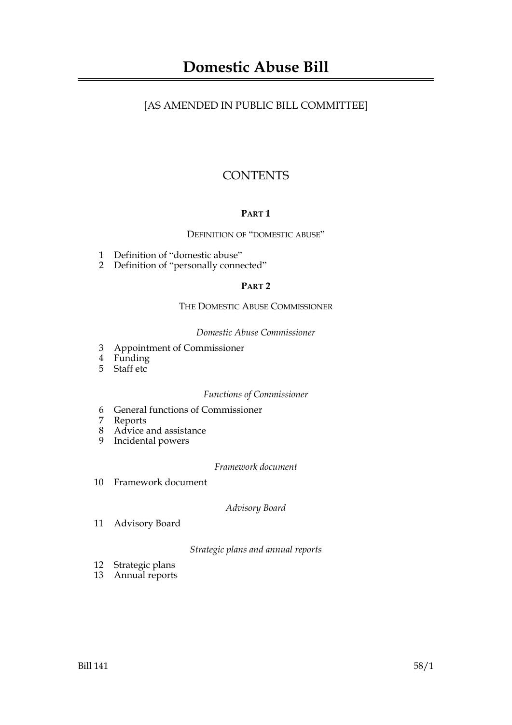# [AS AMENDED IN PUBLIC BILL COMMITTEE]

# **CONTENTS**

# **PART 1**

DEFINITION OF "DOMESTIC ABUSE"

- 1 Definition of "domestic abuse"
- 2 Definition of "personally connected"

### **PART 2**

#### THE DOMESTIC ABUSE COMMISSIONER

### *Domestic Abuse Commissioner*

- 3 Appointment of Commissioner
- 4 Funding
- 5 Staff etc

#### *Functions of Commissioner*

- 6 General functions of Commissioner
- 7 Reports<br>8 Advice
- Advice and assistance
- 9 Incidental powers

#### *Framework document*

10 Framework document

#### *Advisory Board*

11 Advisory Board

### *Strategic plans and annual reports*

- 12 Strategic plans
- 13 Annual reports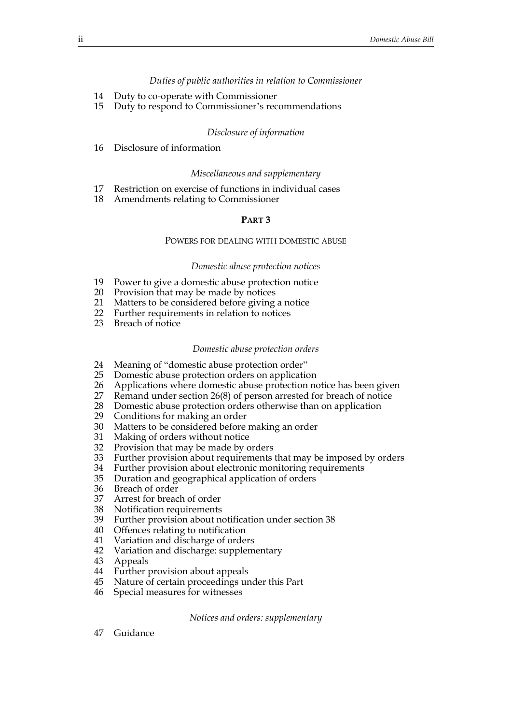#### *Duties of public authorities in relation to Commissioner*

- 14 Duty to co-operate with Commissioner
- 15 Duty to respond to Commissioner's recommendations

#### *Disclosure of information*

16 Disclosure of information

#### *Miscellaneous and supplementary*

- 17 Restriction on exercise of functions in individual cases
- 18 Amendments relating to Commissioner

#### **PART 3**

#### POWERS FOR DEALING WITH DOMESTIC ABUSE

#### *Domestic abuse protection notices*

- 19 Power to give a domestic abuse protection notice
- 20 Provision that may be made by notices<br>21 Matters to be considered before giving
- Matters to be considered before giving a notice
- 22 Further requirements in relation to notices
- 23 Breach of notice

#### *Domestic abuse protection orders*

- 24 Meaning of "domestic abuse protection order"
- 25 Domestic abuse protection orders on application
- 26 Applications where domestic abuse protection notice has been given
- 27 Remand under section 26(8) of person arrested for breach of notice
- 28 Domestic abuse protection orders otherwise than on application
- 29 Conditions for making an order
- 30 Matters to be considered before making an order
- 31 Making of orders without notice
- 32 Provision that may be made by orders
- 33 Further provision about requirements that may be imposed by orders
- 34 Further provision about electronic monitoring requirements
- 35 Duration and geographical application of orders
- 36 Breach of order
- 37 Arrest for breach of order
- 38 Notification requirements
- 39 Further provision about notification under section 38
- 40 Offences relating to notification
- 41 Variation and discharge of orders
- 42 Variation and discharge: supplementary
- 43 Appeals
- 44 Further provision about appeals
- 45 Nature of certain proceedings under this Part
- 46 Special measures for witnesses

*Notices and orders: supplementary*

47 Guidance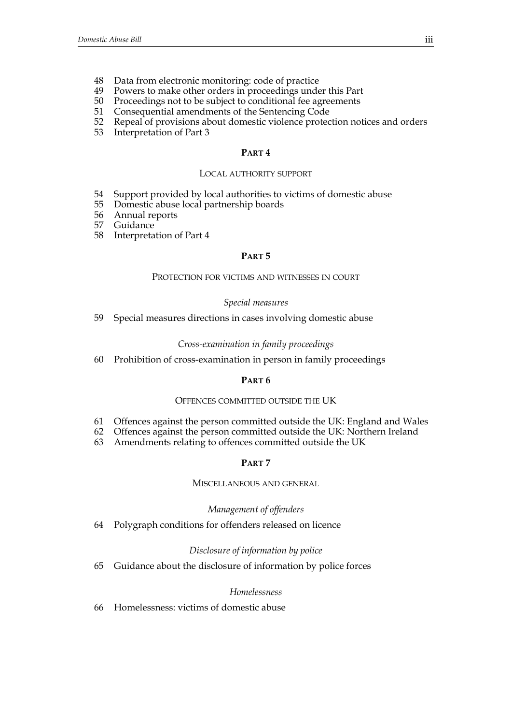- 48 Data from electronic monitoring: code of practice
- 49 Powers to make other orders in proceedings under this Part
- 50 Proceedings not to be subject to conditional fee agreements
- 51 Consequential amendments of the Sentencing Code
- 52 Repeal of provisions about domestic violence protection notices and orders
- 53 Interpretation of Part 3

#### **PART 4**

#### LOCAL AUTHORITY SUPPORT

- 54 Support provided by local authorities to victims of domestic abuse
- 55 Domestic abuse local partnership boards
- 56 Annual reports
- 
- 57 Guidance Interpretation of Part 4

#### **PART 5**

#### PROTECTION FOR VICTIMS AND WITNESSES IN COURT

#### *Special measures*

59 Special measures directions in cases involving domestic abuse

#### *Cross-examination in family proceedings*

60 Prohibition of cross-examination in person in family proceedings

#### **PART 6**

#### OFFENCES COMMITTED OUTSIDE THE UK

- 61 Offences against the person committed outside the UK: England and Wales
- 62 Offences against the person committed outside the UK: Northern Ireland
- 63 Amendments relating to offences committed outside the UK

#### **PART 7**

#### MISCELLANEOUS AND GENERAL

#### *Management of offenders*

64 Polygraph conditions for offenders released on licence

#### *Disclosure of information by police*

65 Guidance about the disclosure of information by police forces

#### *Homelessness*

66 Homelessness: victims of domestic abuse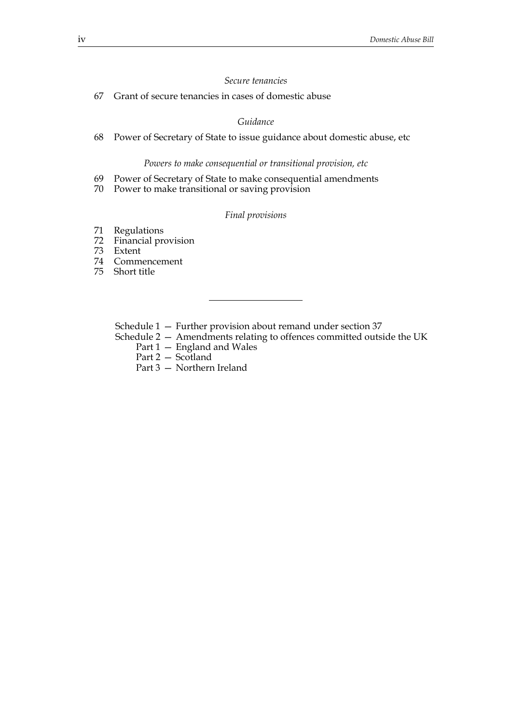#### *Secure tenancies*

67 Grant of secure tenancies in cases of domestic abuse

# *Guidance*

68 Power of Secretary of State to issue guidance about domestic abuse, etc

#### *Powers to make consequential or transitional provision, etc*

- 69 Power of Secretary of State to make consequential amendments
- 70 Power to make transitional or saving provision

#### *Final provisions*

- 71 Regulations<br>72 Financial pro
- 72 Financial provision
- 73 Extent<br>74 Comm
- **Commencement**
- 75 Short title

Schedule 1 — Further provision about remand under section 37

- Schedule 2 Amendments relating to offences committed outside the UK
	- Part 1 England and Wales
	- Part 2 Scotland
	- Part 3 Northern Ireland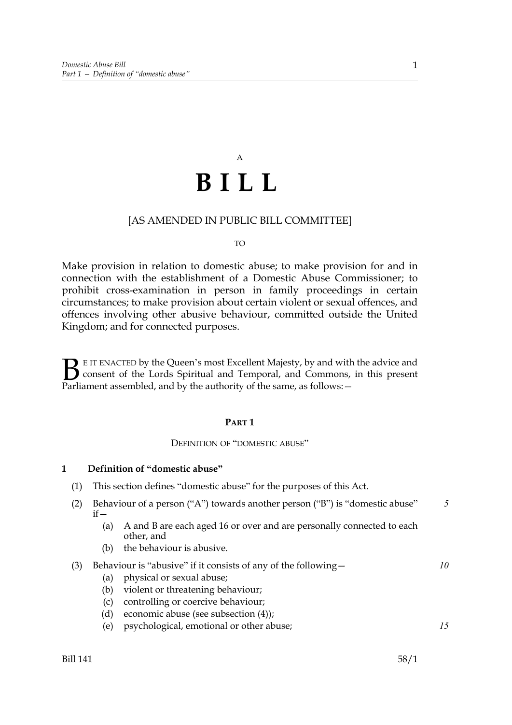# A **BILL**

#### [AS AMENDED IN PUBLIC BILL COMMITTEE]

#### TO

Make provision in relation to domestic abuse; to make provision for and in connection with the establishment of a Domestic Abuse Commissioner; to prohibit cross-examination in person in family proceedings in certain circumstances; to make provision about certain violent or sexual offences, and offences involving other abusive behaviour, committed outside the United Kingdom; and for connected purposes.

E IT ENACTED by the Queen's most Excellent Majesty, by and with the advice and consent of the Lords Spiritual and Temporal, and Commons, in this present **B** E IT ENACTED by the Queen's most Excellent Majesty, by and with consent of the Lords Spiritual and Temporal, and Commons, Parliament assembled, and by the authority of the same, as follows:  $-$ 

#### **PART 1**

#### DEFINITION OF "DOMESTIC ABUSE"

#### **1 Definition of "domestic abuse"**

- (1) This section defines "domestic abuse" for the purposes of this Act.
- (2) Behaviour of a person ("A") towards another person ("B") is "domestic abuse"  $if -$ *5*
	- (a) A and B are each aged 16 or over and are personally connected to each other, and
	- (b) the behaviour is abusive.

#### (3) Behaviour is "abusive" if it consists of any of the following—

- (a) physical or sexual abuse;
- (b) violent or threatening behaviour;
- (c) controlling or coercive behaviour;
- (d) economic abuse (see subsection (4));
- (e) psychological, emotional or other abuse;

*10*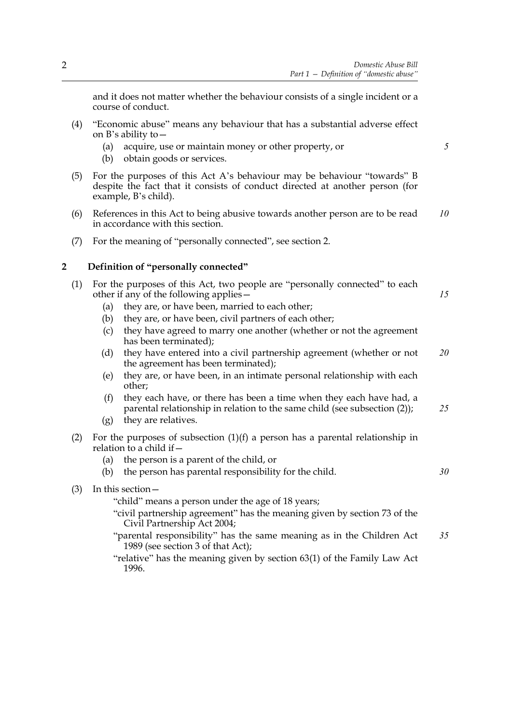*5*

and it does not matter whether the behaviour consists of a single incident or a course of conduct.

- (4) "Economic abuse" means any behaviour that has a substantial adverse effect on B's ability to—
	- (a) acquire, use or maintain money or other property, or
	- (b) obtain goods or services.
- (5) For the purposes of this Act A's behaviour may be behaviour "towards" B despite the fact that it consists of conduct directed at another person (for example, B's child).
- (6) References in this Act to being abusive towards another person are to be read in accordance with this section. *10*
- (7) For the meaning of "personally connected", see section 2.

| 2   |            | Definition of "personally connected"                                                                                                                                                                            |    |
|-----|------------|-----------------------------------------------------------------------------------------------------------------------------------------------------------------------------------------------------------------|----|
| (1) | (a)        | For the purposes of this Act, two people are "personally connected" to each<br>other if any of the following applies -<br>they are, or have been, married to each other;                                        | 15 |
|     | (b)<br>(c) | they are, or have been, civil partners of each other;<br>they have agreed to marry one another (whether or not the agreement<br>has been terminated);                                                           |    |
|     | (d)        | they have entered into a civil partnership agreement (whether or not<br>the agreement has been terminated);                                                                                                     | 20 |
|     | (e)        | they are, or have been, in an intimate personal relationship with each<br>other;                                                                                                                                |    |
|     | (f)<br>(g) | they each have, or there has been a time when they each have had, a<br>parental relationship in relation to the same child (see subsection (2));<br>they are relatives.                                         | 25 |
| (2) | (a)<br>(b) | For the purposes of subsection $(1)(f)$ a person has a parental relationship in<br>relation to a child if -<br>the person is a parent of the child, or<br>the person has parental responsibility for the child. | 30 |
| (3) |            | In this section –<br>"child" means a person under the age of 18 years;<br>"civil partnership agreement" has the meaning given by section 73 of the<br>Civil Partnership Act 2004;                               |    |
|     |            | "parental responsibility" has the same meaning as in the Children Act<br>1989 (see section 3 of that Act);                                                                                                      | 35 |

"relative" has the meaning given by section 63(1) of the Family Law Act 1996.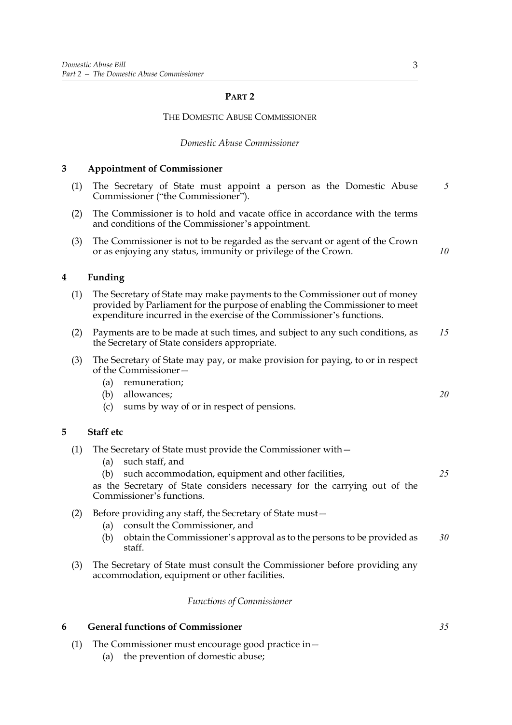#### **PART 2**

#### THE DOMESTIC ABUSE COMMISSIONER

*Domestic Abuse Commissioner*

#### **3 Appointment of Commissioner**

- (1) The Secretary of State must appoint a person as the Domestic Abuse Commissioner ("the Commissioner"). *5*
- (2) The Commissioner is to hold and vacate office in accordance with the terms and conditions of the Commissioner's appointment.
- (3) The Commissioner is not to be regarded as the servant or agent of the Crown or as enjoying any status, immunity or privilege of the Crown.

#### **4 Funding**

- (1) The Secretary of State may make payments to the Commissioner out of money provided by Parliament for the purpose of enabling the Commissioner to meet expenditure incurred in the exercise of the Commissioner's functions.
- (2) Payments are to be made at such times, and subject to any such conditions, as the Secretary of State considers appropriate. *15*
- (3) The Secretary of State may pay, or make provision for paying, to or in respect of the Commissioner—
	- (a) remuneration;
	- (b) allowances;
	- (c) sums by way of or in respect of pensions.

#### **5 Staff etc**

- (1) The Secretary of State must provide the Commissioner with—
	- (a) such staff, and
	- (b) such accommodation, equipment and other facilities, *25*

as the Secretary of State considers necessary for the carrying out of the Commissioner's functions.

- (2) Before providing any staff, the Secretary of State must—
	- (a) consult the Commissioner, and
	- (b) obtain the Commissioner's approval as to the persons to be provided as staff. *30*
- (3) The Secretary of State must consult the Commissioner before providing any accommodation, equipment or other facilities.

#### *Functions of Commissioner*

#### **6 General functions of Commissioner**

- (1) The Commissioner must encourage good practice in—
	- (a) the prevention of domestic abuse;

*20*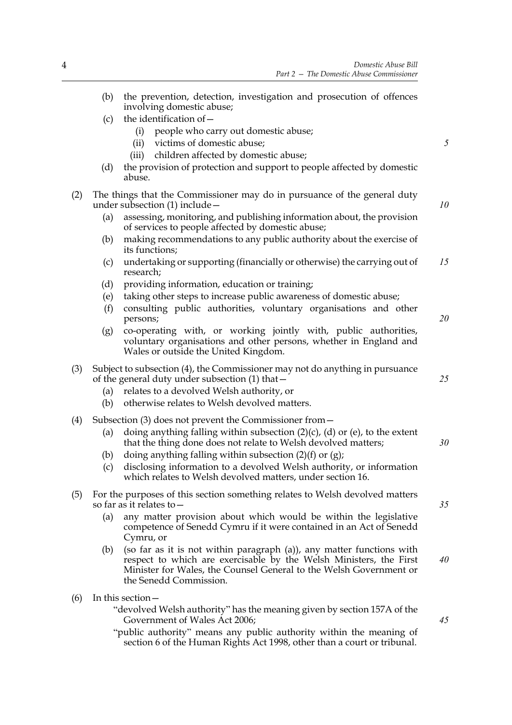- $(c)$  the identification of  $-$ 
	- (i) people who carry out domestic abuse;
	- (ii) victims of domestic abuse;
	- (iii) children affected by domestic abuse;
- (d) the provision of protection and support to people affected by domestic abuse.

#### (2) The things that the Commissioner may do in pursuance of the general duty under subsection (1) include—

- (a) assessing, monitoring, and publishing information about, the provision of services to people affected by domestic abuse;
- (b) making recommendations to any public authority about the exercise of its functions;
- (c) undertaking or supporting (financially or otherwise) the carrying out of research; *15*
- (d) providing information, education or training;
- (e) taking other steps to increase public awareness of domestic abuse;
- (f) consulting public authorities, voluntary organisations and other persons;
- (g) co-operating with, or working jointly with, public authorities, voluntary organisations and other persons, whether in England and Wales or outside the United Kingdom.

#### (3) Subject to subsection (4), the Commissioner may not do anything in pursuance of the general duty under subsection (1) that—

- (a) relates to a devolved Welsh authority, or
- (b) otherwise relates to Welsh devolved matters.
- (4) Subsection (3) does not prevent the Commissioner from—
	- (a) doing anything falling within subsection  $(2)(c)$ ,  $(d)$  or  $(e)$ , to the extent that the thing done does not relate to Welsh devolved matters;
	- (b) doing anything falling within subsection  $(2)(f)$  or  $(g)$ ;
	- (c) disclosing information to a devolved Welsh authority, or information which relates to Welsh devolved matters, under section 16.

#### (5) For the purposes of this section something relates to Welsh devolved matters so far as it relates to—

- (a) any matter provision about which would be within the legislative competence of Senedd Cymru if it were contained in an Act of Senedd Cymru, or
- (b) (so far as it is not within paragraph (a)), any matter functions with respect to which are exercisable by the Welsh Ministers, the First Minister for Wales, the Counsel General to the Welsh Government or the Senedd Commission.
- (6) In this section—
	- "devolved Welsh authority" has the meaning given by section 157A of the Government of Wales Act 2006;
	- "public authority" means any public authority within the meaning of section 6 of the Human Rights Act 1998, other than a court or tribunal.

*35*

*40*

*30*

*10*

*20*

*25*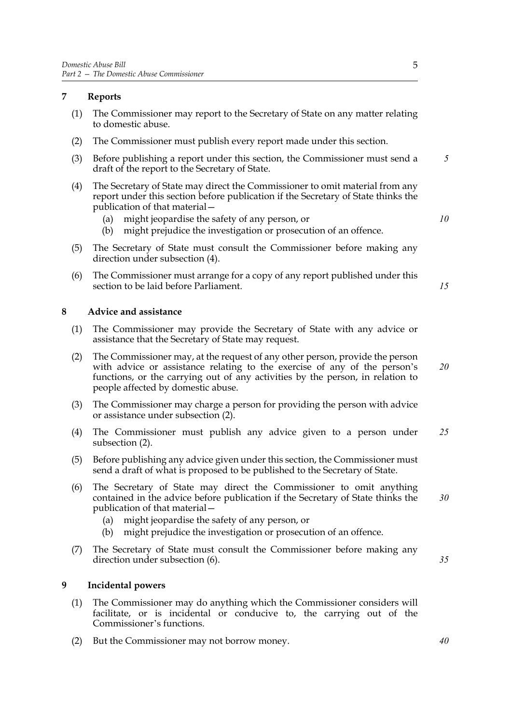#### **7 Reports**

- (1) The Commissioner may report to the Secretary of State on any matter relating to domestic abuse.
- (2) The Commissioner must publish every report made under this section.
- (3) Before publishing a report under this section, the Commissioner must send a draft of the report to the Secretary of State. *5*
- (4) The Secretary of State may direct the Commissioner to omit material from any report under this section before publication if the Secretary of State thinks the publication of that material—
	- (a) might jeopardise the safety of any person, or

*10*

*15*

- (b) might prejudice the investigation or prosecution of an offence.
- (5) The Secretary of State must consult the Commissioner before making any direction under subsection (4).
- (6) The Commissioner must arrange for a copy of any report published under this section to be laid before Parliament.

#### **8 Advice and assistance**

- (1) The Commissioner may provide the Secretary of State with any advice or assistance that the Secretary of State may request.
- (2) The Commissioner may, at the request of any other person, provide the person with advice or assistance relating to the exercise of any of the person's functions, or the carrying out of any activities by the person, in relation to people affected by domestic abuse. *20*
- (3) The Commissioner may charge a person for providing the person with advice or assistance under subsection (2).
- (4) The Commissioner must publish any advice given to a person under subsection (2). *25*
- (5) Before publishing any advice given under this section, the Commissioner must send a draft of what is proposed to be published to the Secretary of State.
- (6) The Secretary of State may direct the Commissioner to omit anything contained in the advice before publication if the Secretary of State thinks the publication of that material— *30*
	- (a) might jeopardise the safety of any person, or
	- (b) might prejudice the investigation or prosecution of an offence.
- (7) The Secretary of State must consult the Commissioner before making any direction under subsection (6).

#### **9 Incidental powers**

- (1) The Commissioner may do anything which the Commissioner considers will facilitate, or is incidental or conducive to, the carrying out of the Commissioner's functions.
- (2) But the Commissioner may not borrow money.

*40*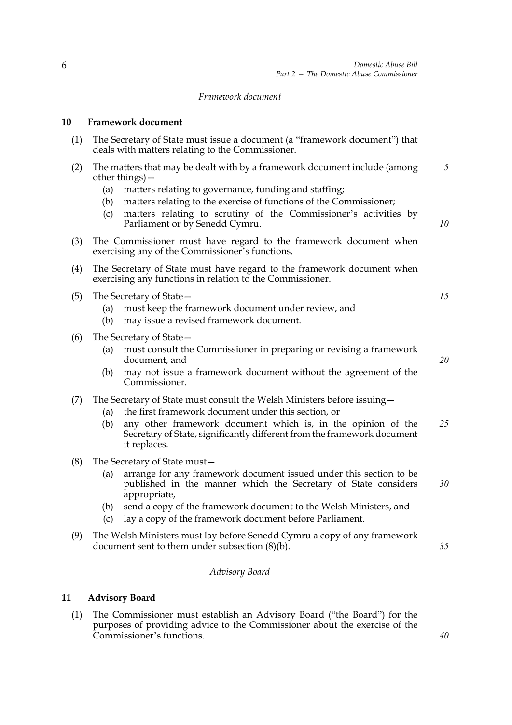#### *Framework document*

#### **10 Framework document**

| (1) | The Secretary of State must issue a document (a "framework document") that<br>deals with matters relating to the Commissioner.                                                                                                                                                                                                                         |         |  |
|-----|--------------------------------------------------------------------------------------------------------------------------------------------------------------------------------------------------------------------------------------------------------------------------------------------------------------------------------------------------------|---------|--|
| (2) | The matters that may be dealt with by a framework document include (among<br>other things) –<br>matters relating to governance, funding and staffing;<br>(a)<br>matters relating to the exercise of functions of the Commissioner;<br>(b)<br>matters relating to scrutiny of the Commissioner's activities by<br>(c)<br>Parliament or by Senedd Cymru. | 5<br>10 |  |
| (3) | The Commissioner must have regard to the framework document when<br>exercising any of the Commissioner's functions.                                                                                                                                                                                                                                    |         |  |
| (4) | The Secretary of State must have regard to the framework document when<br>exercising any functions in relation to the Commissioner.                                                                                                                                                                                                                    |         |  |
| (5) | The Secretary of State -<br>must keep the framework document under review, and<br>(a)<br>may issue a revised framework document.<br>(b)                                                                                                                                                                                                                | 15      |  |
| (6) | The Secretary of State -<br>must consult the Commissioner in preparing or revising a framework<br>(a)<br>document, and<br>may not issue a framework document without the agreement of the<br>(b)<br>Commissioner.                                                                                                                                      | 20      |  |
| (7) | The Secretary of State must consult the Welsh Ministers before issuing -<br>the first framework document under this section, or<br>(a)<br>any other framework document which is, in the opinion of the<br>(b)<br>Secretary of State, significantly different from the framework document<br>it replaces.                                               | 25      |  |
| (8) | The Secretary of State must-<br>arrange for any framework document issued under this section to be<br>(a)<br>published in the manner which the Secretary of State considers<br>appropriate,<br>send a copy of the framework document to the Welsh Ministers, and<br>(b)<br>lay a copy of the framework document before Parliament.<br>(c)              | 30      |  |
| (9) | The Welsh Ministers must lay before Senedd Cymru a copy of any framework<br>document sent to them under subsection $(8)(b)$ .                                                                                                                                                                                                                          | 35      |  |

# *Advisory Board*

## **11 Advisory Board**

(1) The Commissioner must establish an Advisory Board ("the Board") for the purposes of providing advice to the Commissioner about the exercise of the Commissioner's functions.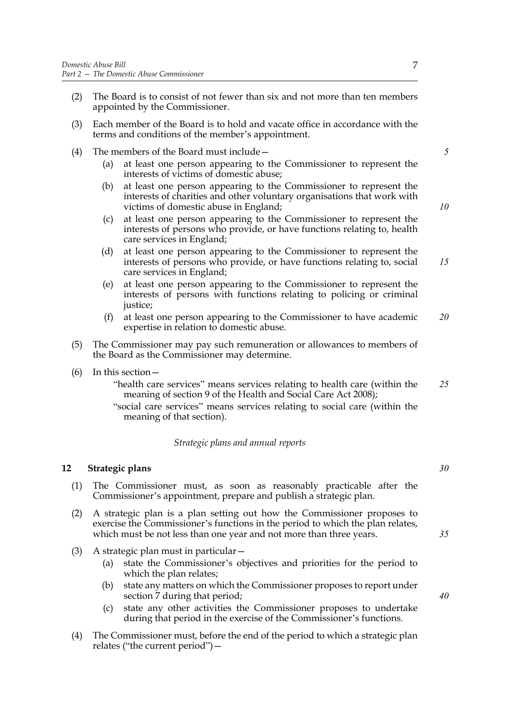- (2) The Board is to consist of not fewer than six and not more than ten members appointed by the Commissioner.
- (3) Each member of the Board is to hold and vacate office in accordance with the terms and conditions of the member's appointment.
- (4) The members of the Board must include—
	- (a) at least one person appearing to the Commissioner to represent the interests of victims of domestic abuse;
	- (b) at least one person appearing to the Commissioner to represent the interests of charities and other voluntary organisations that work with victims of domestic abuse in England;
	- (c) at least one person appearing to the Commissioner to represent the interests of persons who provide, or have functions relating to, health care services in England;
	- (d) at least one person appearing to the Commissioner to represent the interests of persons who provide, or have functions relating to, social care services in England; *15*
	- (e) at least one person appearing to the Commissioner to represent the interests of persons with functions relating to policing or criminal justice;
	- (f) at least one person appearing to the Commissioner to have academic expertise in relation to domestic abuse. *20*
- (5) The Commissioner may pay such remuneration or allowances to members of the Board as the Commissioner may determine.
- (6) In this section—

"health care services" means services relating to health care (within the meaning of section 9 of the Health and Social Care Act 2008); *25*

"social care services" means services relating to social care (within the meaning of that section).

#### *Strategic plans and annual reports*

#### **12 Strategic plans**

- (1) The Commissioner must, as soon as reasonably practicable after the Commissioner's appointment, prepare and publish a strategic plan.
- (2) A strategic plan is a plan setting out how the Commissioner proposes to exercise the Commissioner's functions in the period to which the plan relates, which must be not less than one year and not more than three years.
- (3) A strategic plan must in particular—
	- (a) state the Commissioner's objectives and priorities for the period to which the plan relates;
	- (b) state any matters on which the Commissioner proposes to report under section 7 during that period;
	- (c) state any other activities the Commissioner proposes to undertake during that period in the exercise of the Commissioner's functions.
- (4) The Commissioner must, before the end of the period to which a strategic plan relates ("the current period")—

*40*

*35*

*30*

*5*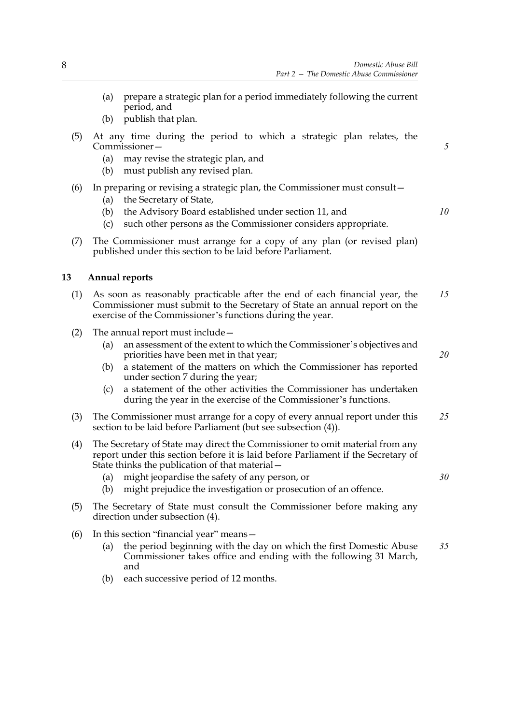- (a) prepare a strategic plan for a period immediately following the current period, and
- (b) publish that plan.
- (5) At any time during the period to which a strategic plan relates, the Commissioner—
	- (a) may revise the strategic plan, and
	- (b) must publish any revised plan.
- (6) In preparing or revising a strategic plan, the Commissioner must consult—
	- (a) the Secretary of State,
	- (b) the Advisory Board established under section 11, and
	- (c) such other persons as the Commissioner considers appropriate.
- (7) The Commissioner must arrange for a copy of any plan (or revised plan) published under this section to be laid before Parliament.

#### **13 Annual reports**

- (1) As soon as reasonably practicable after the end of each financial year, the Commissioner must submit to the Secretary of State an annual report on the exercise of the Commissioner's functions during the year. *15*
- (2) The annual report must include—
	- (a) an assessment of the extent to which the Commissioner's objectives and priorities have been met in that year;
	- (b) a statement of the matters on which the Commissioner has reported under section 7 during the year;
	- (c) a statement of the other activities the Commissioner has undertaken during the year in the exercise of the Commissioner's functions.
- (3) The Commissioner must arrange for a copy of every annual report under this section to be laid before Parliament (but see subsection (4)). *25*
- (4) The Secretary of State may direct the Commissioner to omit material from any report under this section before it is laid before Parliament if the Secretary of State thinks the publication of that material—
	- (a) might jeopardise the safety of any person, or
	- (b) might prejudice the investigation or prosecution of an offence.
- (5) The Secretary of State must consult the Commissioner before making any direction under subsection (4).
- (6) In this section "financial year" means—
	- (a) the period beginning with the day on which the first Domestic Abuse Commissioner takes office and ending with the following 31 March, and *35*
	- (b) each successive period of 12 months.

*10*

*5*

*20*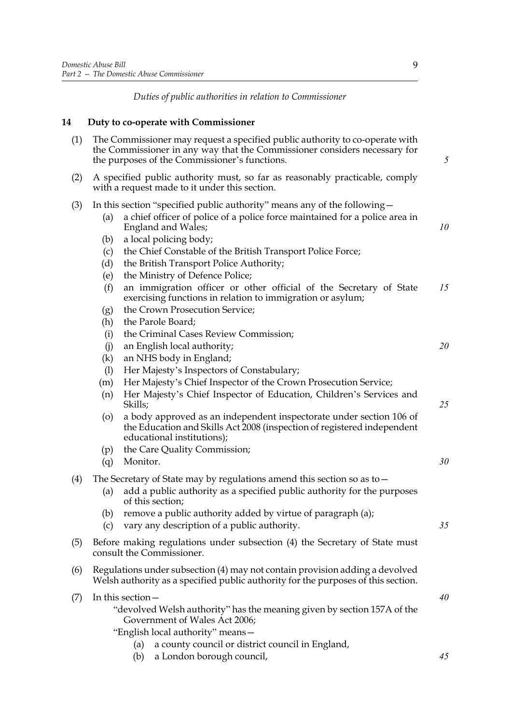*Duties of public authorities in relation to Commissioner*

# **14 Duty to co-operate with Commissioner**

| (1) | The Commissioner may request a specified public authority to co-operate with<br>the Commissioner in any way that the Commissioner considers necessary for<br>the purposes of the Commissioner's functions. |                                                                                                                                                                                |    |
|-----|------------------------------------------------------------------------------------------------------------------------------------------------------------------------------------------------------------|--------------------------------------------------------------------------------------------------------------------------------------------------------------------------------|----|
| (2) |                                                                                                                                                                                                            | A specified public authority must, so far as reasonably practicable, comply<br>with a request made to it under this section.                                                   |    |
| (3) | (a)                                                                                                                                                                                                        | In this section "specified public authority" means any of the following –<br>a chief officer of police of a police force maintained for a police area in<br>England and Wales; | 10 |
|     | (b)<br>(c)<br>(d)                                                                                                                                                                                          | a local policing body;<br>the Chief Constable of the British Transport Police Force;<br>the British Transport Police Authority;                                                |    |
|     | (e)                                                                                                                                                                                                        | the Ministry of Defence Police;                                                                                                                                                |    |
|     | (f)                                                                                                                                                                                                        | an immigration officer or other official of the Secretary of State<br>exercising functions in relation to immigration or asylum;                                               | 15 |
|     | (g)                                                                                                                                                                                                        | the Crown Prosecution Service;                                                                                                                                                 |    |
|     | (h)                                                                                                                                                                                                        | the Parole Board;                                                                                                                                                              |    |
|     | (i)                                                                                                                                                                                                        | the Criminal Cases Review Commission;                                                                                                                                          |    |
|     | (i)                                                                                                                                                                                                        | an English local authority;                                                                                                                                                    | 20 |
|     | (k)                                                                                                                                                                                                        | an NHS body in England;                                                                                                                                                        |    |
|     | (1)                                                                                                                                                                                                        | Her Majesty's Inspectors of Constabulary;                                                                                                                                      |    |
|     | (m)                                                                                                                                                                                                        | Her Majesty's Chief Inspector of the Crown Prosecution Service;                                                                                                                |    |
|     | (n)                                                                                                                                                                                                        | Her Majesty's Chief Inspector of Education, Children's Services and<br>Skills;                                                                                                 | 25 |
|     | $\circ$                                                                                                                                                                                                    | a body approved as an independent inspectorate under section 106 of<br>the Education and Skills Act 2008 (inspection of registered independent<br>educational institutions);   |    |
|     | (p)                                                                                                                                                                                                        | the Care Quality Commission;                                                                                                                                                   |    |
|     | (q)                                                                                                                                                                                                        | Monitor.                                                                                                                                                                       | 30 |
| (4) | (a)                                                                                                                                                                                                        | The Secretary of State may by regulations amend this section so as to $-$<br>add a public authority as a specified public authority for the purposes                           |    |
|     |                                                                                                                                                                                                            | of this section;                                                                                                                                                               |    |
|     | (b)<br>$\left( c\right)$                                                                                                                                                                                   | remove a public authority added by virtue of paragraph (a);<br>vary any description of a public authority.                                                                     | 35 |
| (5) | Before making regulations under subsection (4) the Secretary of State must<br>consult the Commissioner.                                                                                                    |                                                                                                                                                                                |    |
| (6) |                                                                                                                                                                                                            | Regulations under subsection (4) may not contain provision adding a devolved<br>Welsh authority as a specified public authority for the purposes of this section.              |    |
| (7) |                                                                                                                                                                                                            | In this section -                                                                                                                                                              | 40 |
|     |                                                                                                                                                                                                            | "devolved Welsh authority" has the meaning given by section 157A of the<br>Government of Wales Act 2006;                                                                       |    |
|     |                                                                                                                                                                                                            | "English local authority" means-                                                                                                                                               |    |
|     |                                                                                                                                                                                                            | a county council or district council in England,<br>(a)                                                                                                                        |    |
|     |                                                                                                                                                                                                            | a London borough council,<br>(b)                                                                                                                                               | 45 |

(b) a London borough council,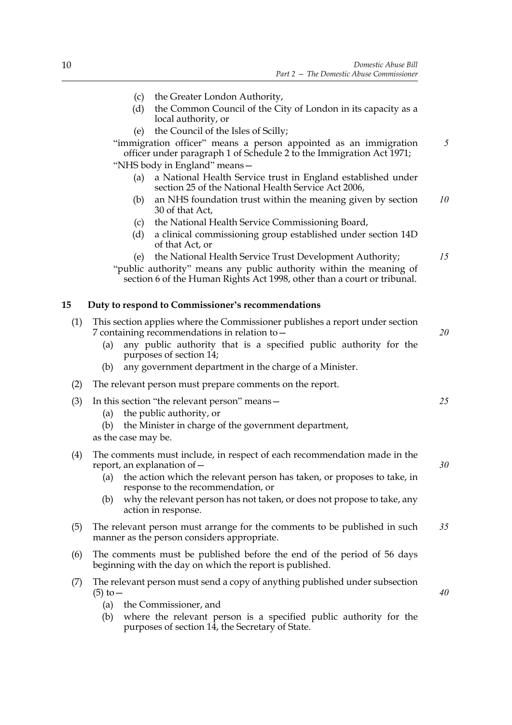- (c) the Greater London Authority, (d) the Common Council of the City of London in its capacity as a local authority, or (e) the Council of the Isles of Scilly; "immigration officer" means a person appointed as an immigration officer under paragraph 1 of Schedule 2 to the Immigration Act 1971; "NHS body in England" means— (a) a National Health Service trust in England established under section 25 of the National Health Service Act 2006, (b) an NHS foundation trust within the meaning given by section 30 of that Act, (c) the National Health Service Commissioning Board, (d) a clinical commissioning group established under section 14D of that Act, or (e) the National Health Service Trust Development Authority; "public authority" means any public authority within the meaning of section 6 of the Human Rights Act 1998, other than a court or tribunal. **15 Duty to respond to Commissioner's recommendations** (1) This section applies where the Commissioner publishes a report under section 7 containing recommendations in relation to— (a) any public authority that is a specified public authority for the purposes of section 14; (b) any government department in the charge of a Minister. (2) The relevant person must prepare comments on the report. (3) In this section "the relevant person" means— (a) the public authority, or (b) the Minister in charge of the government department, as the case may be. (4) The comments must include, in respect of each recommendation made in the report, an explanation of— (a) the action which the relevant person has taken, or proposes to take, in response to the recommendation, or (b) why the relevant person has not taken, or does not propose to take, any action in response. (5) The relevant person must arrange for the comments to be published in such manner as the person considers appropriate. (6) The comments must be published before the end of the period of 56 days beginning with the day on which the report is published. (7) The relevant person must send a copy of anything published under subsection  $(5)$  to  $-$ *5 10 15 20 25 30 35 40*
	- (a) the Commissioner, and
	- (b) where the relevant person is a specified public authority for the purposes of section 14, the Secretary of State.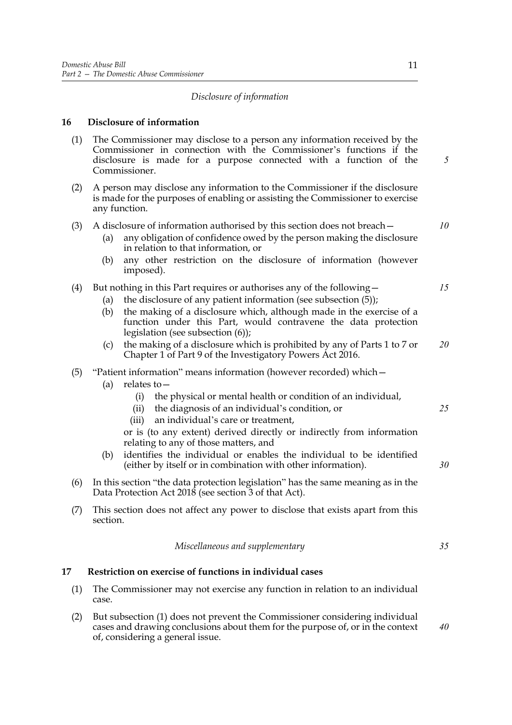#### *Disclosure of information*

#### **16 Disclosure of information**

case.

- (1) The Commissioner may disclose to a person any information received by the Commissioner in connection with the Commissioner's functions if the disclosure is made for a purpose connected with a function of the Commissioner. (2) A person may disclose any information to the Commissioner if the disclosure is made for the purposes of enabling or assisting the Commissioner to exercise any function. (3) A disclosure of information authorised by this section does not breach— (a) any obligation of confidence owed by the person making the disclosure in relation to that information, or (b) any other restriction on the disclosure of information (however imposed). (4) But nothing in this Part requires or authorises any of the following— (a) the disclosure of any patient information (see subsection (5)); (b) the making of a disclosure which, although made in the exercise of a function under this Part, would contravene the data protection legislation (see subsection (6)); (c) the making of a disclosure which is prohibited by any of Parts 1 to 7 or Chapter 1 of Part 9 of the Investigatory Powers Act 2016. (5) "Patient information" means information (however recorded) which— (a) relates to— (i) the physical or mental health or condition of an individual, (ii) the diagnosis of an individual's condition, or (iii) an individual's care or treatment, or is (to any extent) derived directly or indirectly from information relating to any of those matters, and (b) identifies the individual or enables the individual to be identified (either by itself or in combination with other information). (6) In this section "the data protection legislation" has the same meaning as in the Data Protection Act 2018 (see section 3 of that Act). (7) This section does not affect any power to disclose that exists apart from this section. *Miscellaneous and supplementary* **17 Restriction on exercise of functions in individual cases** (1) The Commissioner may not exercise any function in relation to an individual *5 10 15 20 25 30 35*
	- (2) But subsection (1) does not prevent the Commissioner considering individual cases and drawing conclusions about them for the purpose of, or in the context of, considering a general issue. *40*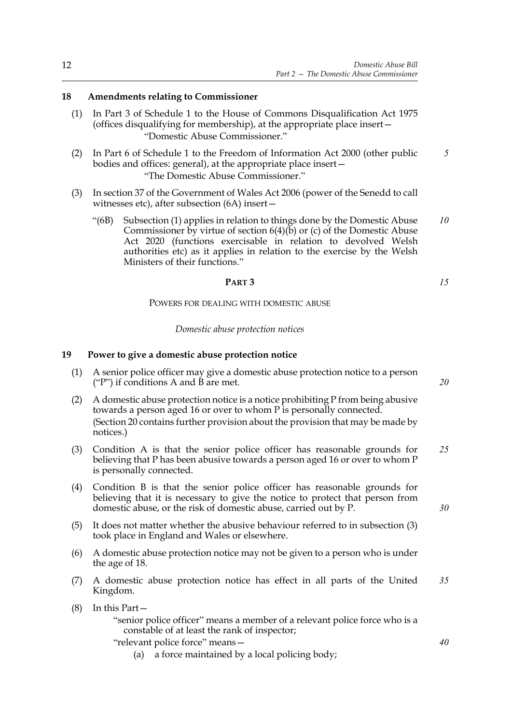#### **18 Amendments relating to Commissioner**

- (1) In Part 3 of Schedule 1 to the House of Commons Disqualification Act 1975 (offices disqualifying for membership), at the appropriate place insert— "Domestic Abuse Commissioner."
- (2) In Part 6 of Schedule 1 to the Freedom of Information Act 2000 (other public bodies and offices: general), at the appropriate place insert— "The Domestic Abuse Commissioner."
- (3) In section 37 of the Government of Wales Act 2006 (power of the Senedd to call witnesses etc), after subsection (6A) insert—
	- "(6B) Subsection (1) applies in relation to things done by the Domestic Abuse Commissioner by virtue of section  $6(4)(\vec{b})$  or (c) of the Domestic Abuse Act 2020 (functions exercisable in relation to devolved Welsh authorities etc) as it applies in relation to the exercise by the Welsh Ministers of their functions." *10*

#### **PART 3**

*15*

*5*

#### POWERS FOR DEALING WITH DOMESTIC ABUSE

#### *Domestic abuse protection notices*

#### **19 Power to give a domestic abuse protection notice**

- (1) A senior police officer may give a domestic abuse protection notice to a person ( $P$ ") if conditions A and B are met.
- (2) A domestic abuse protection notice is a notice prohibiting P from being abusive towards a person aged 16 or over to whom P is personally connected. (Section 20 contains further provision about the provision that may be made by notices.)
- (3) Condition A is that the senior police officer has reasonable grounds for believing that P has been abusive towards a person aged 16 or over to whom P is personally connected. *25*
- (4) Condition B is that the senior police officer has reasonable grounds for believing that it is necessary to give the notice to protect that person from domestic abuse, or the risk of domestic abuse, carried out by P.
- (5) It does not matter whether the abusive behaviour referred to in subsection (3) took place in England and Wales or elsewhere.
- (6) A domestic abuse protection notice may not be given to a person who is under the age of 18.
- (7) A domestic abuse protection notice has effect in all parts of the United Kingdom. *35*
- (8) In this Part—

"senior police officer" means a member of a relevant police force who is a constable of at least the rank of inspector;

- "relevant police force" means—
	- (a) a force maintained by a local policing body;

*20*

*30*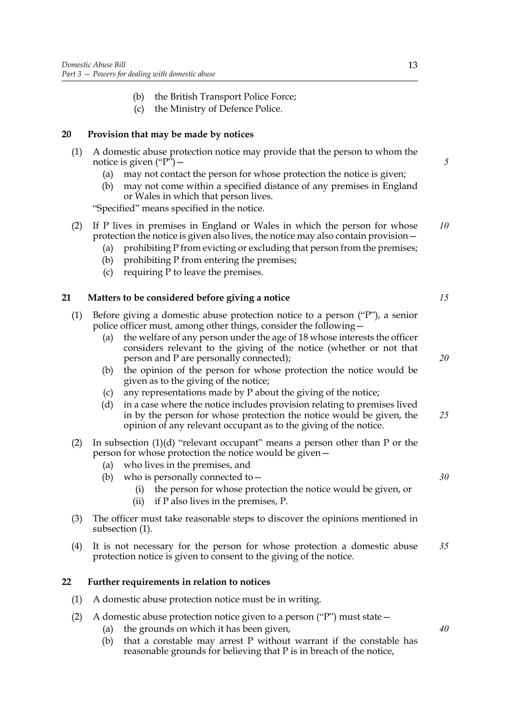- (b) the British Transport Police Force;
- (c) the Ministry of Defence Police.

#### **20 Provision that may be made by notices**

(1) A domestic abuse protection notice may provide that the person to whom the notice is given  $("P")$  –

(2) If P lives in premises in England or Wales in which the person for whose

- (a) may not contact the person for whose protection the notice is given;
- (b) may not come within a specified distance of any premises in England or Wales in which that person lives.

"Specified" means specified in the notice.

*10*

*5*

- protection the notice is given also lives, the notice may also contain provision— (a) prohibiting P from evicting or excluding that person from the premises;
	- (b) prohibiting P from entering the premises;
	- (c) requiring P to leave the premises.

# **21 Matters to be considered before giving a notice**

- (1) Before giving a domestic abuse protection notice to a person ("P"), a senior police officer must, among other things, consider the following—
	- (a) the welfare of any person under the age of 18 whose interests the officer considers relevant to the giving of the notice (whether or not that person and P are personally connected);
	- (b) the opinion of the person for whose protection the notice would be given as to the giving of the notice;
	- (c) any representations made by P about the giving of the notice;
	- (d) in a case where the notice includes provision relating to premises lived in by the person for whose protection the notice would be given, the opinion of any relevant occupant as to the giving of the notice. *25*
- (2) In subsection  $(1)(d)$  "relevant occupant" means a person other than P or the person for whose protection the notice would be given—
	- (a) who lives in the premises, and
	- (b) who is personally connected to  $-$ 
		- (i) the person for whose protection the notice would be given, or
		- (ii) if P also lives in the premises, P.
- (3) The officer must take reasonable steps to discover the opinions mentioned in subsection (1).
- (4) It is not necessary for the person for whose protection a domestic abuse protection notice is given to consent to the giving of the notice. *35*

# **22 Further requirements in relation to notices**

- (1) A domestic abuse protection notice must be in writing.
- (2) A domestic abuse protection notice given to a person ("P") must state—
	- (a) the grounds on which it has been given,
	- (b) that a constable may arrest P without warrant if the constable has reasonable grounds for believing that P is in breach of the notice,

*15*

*20*

*30*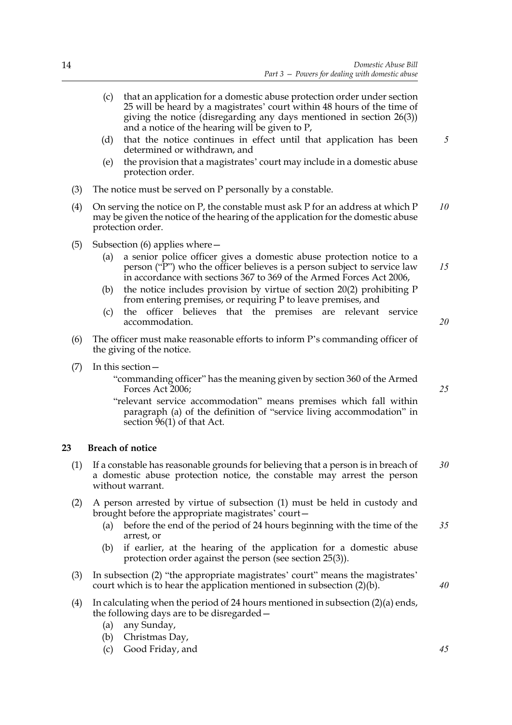- (c) that an application for a domestic abuse protection order under section 25 will be heard by a magistrates' court within 48 hours of the time of giving the notice (disregarding any days mentioned in section 26(3)) and a notice of the hearing will be given to P,
- (d) that the notice continues in effect until that application has been determined or withdrawn, and
- (e) the provision that a magistrates' court may include in a domestic abuse protection order.
- (3) The notice must be served on P personally by a constable.
- (4) On serving the notice on P, the constable must ask P for an address at which P may be given the notice of the hearing of the application for the domestic abuse protection order. *10*
- (5) Subsection (6) applies where—
	- (a) a senior police officer gives a domestic abuse protection notice to a person ("P") who the officer believes is a person subject to service law in accordance with sections 367 to 369 of the Armed Forces Act 2006,
	- (b) the notice includes provision by virtue of section  $20(2)$  prohibiting P from entering premises, or requiring P to leave premises, and
	- (c) the officer believes that the premises are relevant service accommodation.
- (6) The officer must make reasonable efforts to inform P's commanding officer of the giving of the notice.
- (7) In this section—

"commanding officer" has the meaning given by section 360 of the Armed Forces Act 2006;

"relevant service accommodation" means premises which fall within paragraph (a) of the definition of "service living accommodation" in section 96(1) of that Act.

#### **23 Breach of notice**

- (1) If a constable has reasonable grounds for believing that a person is in breach of a domestic abuse protection notice, the constable may arrest the person without warrant. *30*
- (2) A person arrested by virtue of subsection (1) must be held in custody and brought before the appropriate magistrates' court—
	- (a) before the end of the period of 24 hours beginning with the time of the arrest, or *35*
	- (b) if earlier, at the hearing of the application for a domestic abuse protection order against the person (see section 25(3)).
- (3) In subsection (2) "the appropriate magistrates' court" means the magistrates' court which is to hear the application mentioned in subsection (2)(b).
- (4) In calculating when the period of 24 hours mentioned in subsection  $(2)(a)$  ends, the following days are to be disregarded—
	- (a) any Sunday,
	- (b) Christmas Day,
	- (c) Good Friday, and

*40*

*20*

*15*

*5*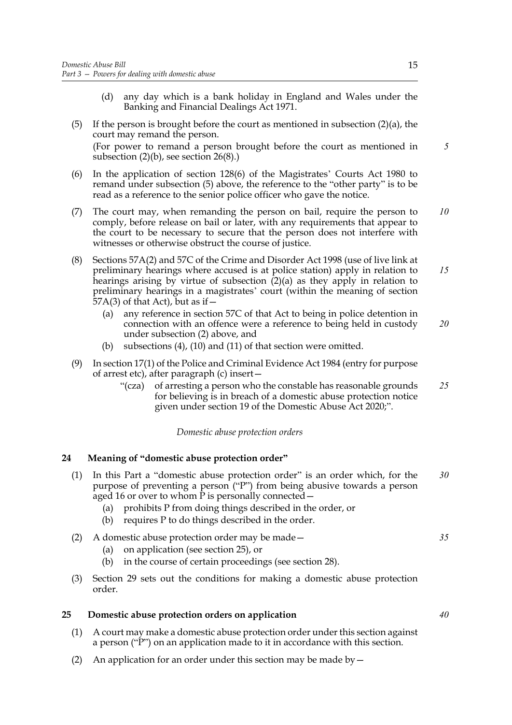- (d) any day which is a bank holiday in England and Wales under the Banking and Financial Dealings Act 1971.
- (5) If the person is brought before the court as mentioned in subsection (2)(a), the court may remand the person. (For power to remand a person brought before the court as mentioned in subsection (2)(b), see section 26(8).)
- (6) In the application of section 128(6) of the Magistrates' Courts Act 1980 to remand under subsection (5) above, the reference to the "other party" is to be read as a reference to the senior police officer who gave the notice.
- (7) The court may, when remanding the person on bail, require the person to comply, before release on bail or later, with any requirements that appear to the court to be necessary to secure that the person does not interfere with witnesses or otherwise obstruct the course of justice. *10*
- (8) Sections 57A(2) and 57C of the Crime and Disorder Act 1998 (use of live link at preliminary hearings where accused is at police station) apply in relation to hearings arising by virtue of subsection (2)(a) as they apply in relation to preliminary hearings in a magistrates' court (within the meaning of section  $57A(3)$  of that Act), but as if  $-$ *15*
	- (a) any reference in section 57C of that Act to being in police detention in connection with an offence were a reference to being held in custody under subsection (2) above, and *20*
	- (b) subsections (4), (10) and (11) of that section were omitted.
- (9) In section 17(1) of the Police and Criminal Evidence Act 1984 (entry for purpose of arrest etc), after paragraph (c) insert—
	- "(cza) of arresting a person who the constable has reasonable grounds for believing is in breach of a domestic abuse protection notice given under section 19 of the Domestic Abuse Act 2020;". *25*

*Domestic abuse protection orders*

#### **24 Meaning of "domestic abuse protection order"**

- (1) In this Part a "domestic abuse protection order" is an order which, for the purpose of preventing a person ("P") from being abusive towards a person aged 16 or over to whom  $\overline{P}$  is personally connected – *30*
	- (a) prohibits P from doing things described in the order, or
	- (b) requires P to do things described in the order.

#### (2) A domestic abuse protection order may be made—

- (a) on application (see section 25), or
- (b) in the course of certain proceedings (see section 28).
- (3) Section 29 sets out the conditions for making a domestic abuse protection order.

#### **25 Domestic abuse protection orders on application**

- (1) A court may make a domestic abuse protection order under this section against a person ("P") on an application made to it in accordance with this section.
- (2) An application for an order under this section may be made by  $-$

*5*

*35*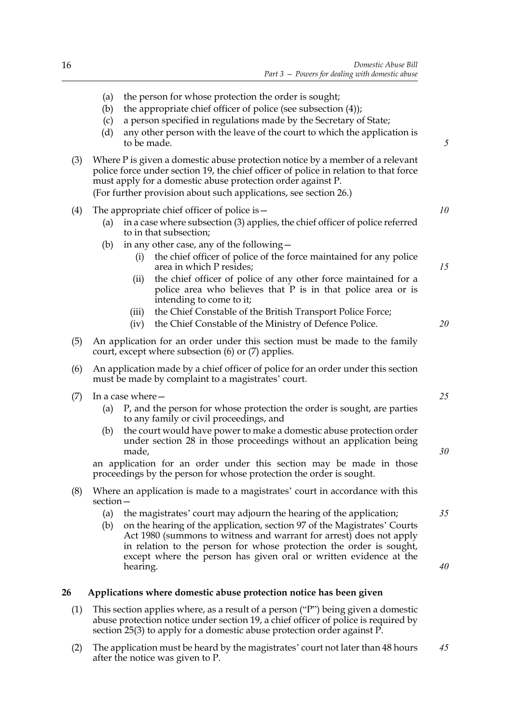|     | the person for whose protection the order is sought;<br>(a)<br>the appropriate chief officer of police (see subsection (4));<br>(b)<br>a person specified in regulations made by the Secretary of State;<br>(c)<br>any other person with the leave of the court to which the application is<br>(d)                                                                                          |          |  |
|-----|---------------------------------------------------------------------------------------------------------------------------------------------------------------------------------------------------------------------------------------------------------------------------------------------------------------------------------------------------------------------------------------------|----------|--|
|     | to be made.                                                                                                                                                                                                                                                                                                                                                                                 | 5        |  |
| (3) | Where P is given a domestic abuse protection notice by a member of a relevant<br>police force under section 19, the chief officer of police in relation to that force<br>must apply for a domestic abuse protection order against P.<br>(For further provision about such applications, see section 26.)                                                                                    |          |  |
| (4) | The appropriate chief officer of police is $-$                                                                                                                                                                                                                                                                                                                                              | 10       |  |
|     | in a case where subsection (3) applies, the chief officer of police referred<br>(a)<br>to in that subsection;                                                                                                                                                                                                                                                                               |          |  |
|     | in any other case, any of the following -<br>(b)                                                                                                                                                                                                                                                                                                                                            |          |  |
|     | the chief officer of police of the force maintained for any police<br>(i)<br>area in which P resides;                                                                                                                                                                                                                                                                                       | 15       |  |
|     | the chief officer of police of any other force maintained for a<br>(ii)<br>police area who believes that $P$ is in that police area or is<br>intending to come to it;                                                                                                                                                                                                                       |          |  |
|     | the Chief Constable of the British Transport Police Force;<br>(iii)                                                                                                                                                                                                                                                                                                                         |          |  |
|     | the Chief Constable of the Ministry of Defence Police.<br>(iv)                                                                                                                                                                                                                                                                                                                              | 20       |  |
| (5) | An application for an order under this section must be made to the family<br>court, except where subsection (6) or (7) applies.                                                                                                                                                                                                                                                             |          |  |
| (6) | An application made by a chief officer of police for an order under this section<br>must be made by complaint to a magistrates' court.                                                                                                                                                                                                                                                      |          |  |
| (7) | In a case where -                                                                                                                                                                                                                                                                                                                                                                           | 25       |  |
|     | P, and the person for whose protection the order is sought, are parties<br>(a)<br>to any family or civil proceedings, and                                                                                                                                                                                                                                                                   |          |  |
|     | the court would have power to make a domestic abuse protection order<br>(b)<br>under section 28 in those proceedings without an application being<br>made,                                                                                                                                                                                                                                  | 30       |  |
|     | an application for an order under this section may be made in those<br>proceedings by the person for whose protection the order is sought.                                                                                                                                                                                                                                                  |          |  |
| (8) | Where an application is made to a magistrates' court in accordance with this<br>section-                                                                                                                                                                                                                                                                                                    |          |  |
|     | the magistrates' court may adjourn the hearing of the application;<br>(a)<br>on the hearing of the application, section 97 of the Magistrates' Courts<br>(b)<br>Act 1980 (summons to witness and warrant for arrest) does not apply<br>in relation to the person for whose protection the order is sought,<br>except where the person has given oral or written evidence at the<br>hearing. | 35<br>40 |  |
| 26  | Applications where domestic abuse protection notice has been given                                                                                                                                                                                                                                                                                                                          |          |  |
|     |                                                                                                                                                                                                                                                                                                                                                                                             |          |  |

- (1) This section applies where, as a result of a person ("P") being given a domestic abuse protection notice under section 19, a chief officer of police is required by section 25(3) to apply for a domestic abuse protection order against P.
- (2) The application must be heard by the magistrates' court not later than 48 hours after the notice was given to P. *45*

*25*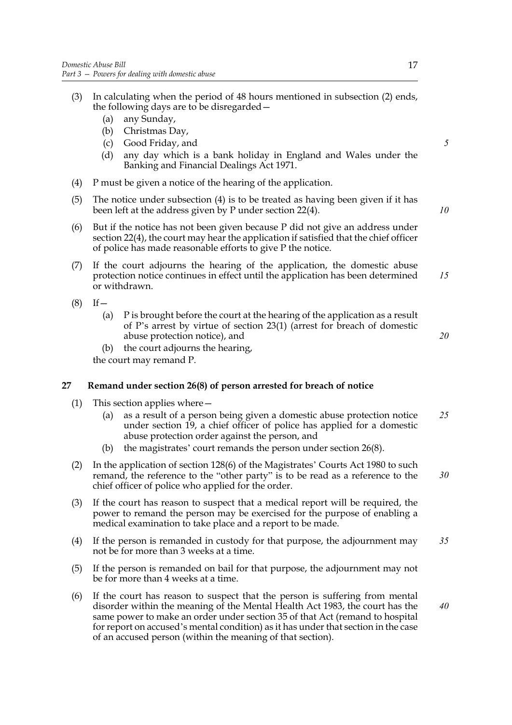- (3) In calculating when the period of 48 hours mentioned in subsection (2) ends, the following days are to be disregarded—
	- (a) any Sunday,
	- (b) Christmas Day,
	- (c) Good Friday, and
	- (d) any day which is a bank holiday in England and Wales under the Banking and Financial Dealings Act 1971.
- (4) P must be given a notice of the hearing of the application.
- (5) The notice under subsection (4) is to be treated as having been given if it has been left at the address given by P under section 22(4).
- (6) But if the notice has not been given because P did not give an address under section 22(4), the court may hear the application if satisfied that the chief officer of police has made reasonable efforts to give P the notice.
- (7) If the court adjourns the hearing of the application, the domestic abuse protection notice continues in effect until the application has been determined or withdrawn. *15*
- $(8)$  If
	- (a) P is brought before the court at the hearing of the application as a result of P's arrest by virtue of section 23(1) (arrest for breach of domestic abuse protection notice), and
	- (b) the court adjourns the hearing,

the court may remand P.

#### **27 Remand under section 26(8) of person arrested for breach of notice**

- (1) This section applies where—
	- (a) as a result of a person being given a domestic abuse protection notice under section 19, a chief officer of police has applied for a domestic abuse protection order against the person, and *25*
	- (b) the magistrates' court remands the person under section 26(8).
- (2) In the application of section 128(6) of the Magistrates' Courts Act 1980 to such remand, the reference to the "other party" is to be read as a reference to the chief officer of police who applied for the order. *30*
- (3) If the court has reason to suspect that a medical report will be required, the power to remand the person may be exercised for the purpose of enabling a medical examination to take place and a report to be made.
- (4) If the person is remanded in custody for that purpose, the adjournment may not be for more than 3 weeks at a time. *35*
- (5) If the person is remanded on bail for that purpose, the adjournment may not be for more than 4 weeks at a time.
- (6) If the court has reason to suspect that the person is suffering from mental disorder within the meaning of the Mental Health Act 1983, the court has the same power to make an order under section 35 of that Act (remand to hospital for report on accused's mental condition) as it has under that section in the case of an accused person (within the meaning of that section). *40*

*5*

*10*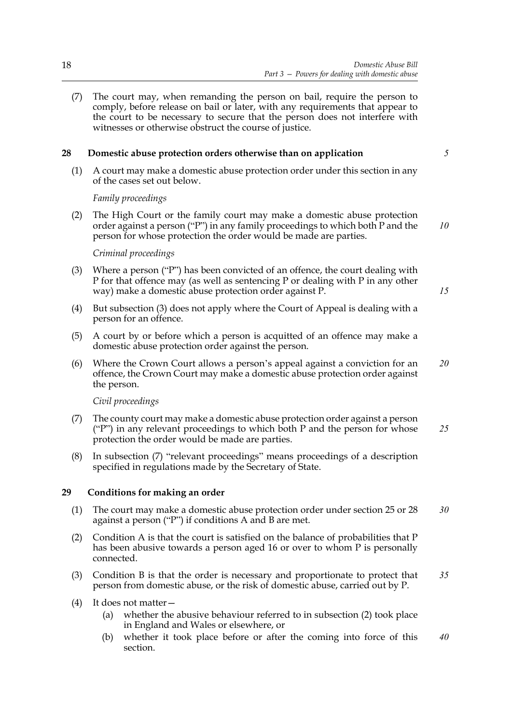(7) The court may, when remanding the person on bail, require the person to comply, before release on bail or later, with any requirements that appear to the court to be necessary to secure that the person does not interfere with witnesses or otherwise obstruct the course of justice.

#### **28 Domestic abuse protection orders otherwise than on application**

(1) A court may make a domestic abuse protection order under this section in any of the cases set out below.

*Family proceedings*

(2) The High Court or the family court may make a domestic abuse protection order against a person ("P") in any family proceedings to which both P and the person for whose protection the order would be made are parties.

#### *Criminal proceedings*

- (3) Where a person ("P") has been convicted of an offence, the court dealing with P for that offence may (as well as sentencing P or dealing with P in any other way) make a domestic abuse protection order against P.
- (4) But subsection (3) does not apply where the Court of Appeal is dealing with a person for an offence.
- (5) A court by or before which a person is acquitted of an offence may make a domestic abuse protection order against the person.
- (6) Where the Crown Court allows a person's appeal against a conviction for an offence, the Crown Court may make a domestic abuse protection order against the person. *20*

*Civil proceedings*

- (7) The county court may make a domestic abuse protection order against a person ("P") in any relevant proceedings to which both P and the person for whose protection the order would be made are parties. *25*
- (8) In subsection (7) "relevant proceedings" means proceedings of a description specified in regulations made by the Secretary of State.

#### **29 Conditions for making an order**

- (1) The court may make a domestic abuse protection order under section 25 or 28 against a person ("P") if conditions A and B are met. *30*
- (2) Condition A is that the court is satisfied on the balance of probabilities that P has been abusive towards a person aged 16 or over to whom P is personally connected.
- (3) Condition B is that the order is necessary and proportionate to protect that person from domestic abuse, or the risk of domestic abuse, carried out by P. *35*
- (4) It does not matter—
	- (a) whether the abusive behaviour referred to in subsection (2) took place in England and Wales or elsewhere, or
	- (b) whether it took place before or after the coming into force of this section. *40*

*5*

*15*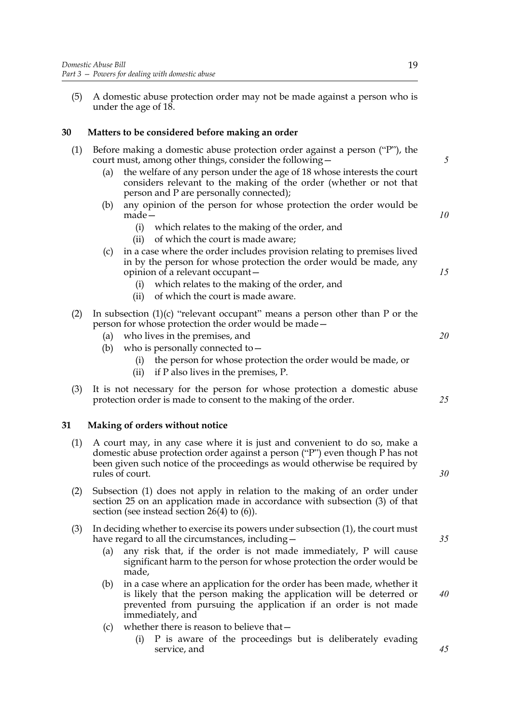(5) A domestic abuse protection order may not be made against a person who is under the age of 18.

#### **30 Matters to be considered before making an order**

- (1) Before making a domestic abuse protection order against a person ("P"), the court must, among other things, consider the following— (a) the welfare of any person under the age of 18 whose interests the court
	- considers relevant to the making of the order (whether or not that person and P are personally connected);
	- (b) any opinion of the person for whose protection the order would be made—
		- (i) which relates to the making of the order, and
		- (ii) of which the court is made aware;
	- (c) in a case where the order includes provision relating to premises lived in by the person for whose protection the order would be made, any opinion of a relevant occupant—
		- (i) which relates to the making of the order, and
		- (ii) of which the court is made aware.
- (2) In subsection  $(1)(c)$  "relevant occupant" means a person other than P or the person for whose protection the order would be made—
	- (a) who lives in the premises, and
	- (b) who is personally connected to  $-$ 
		- (i) the person for whose protection the order would be made, or
		- (ii) if P also lives in the premises, P.
- (3) It is not necessary for the person for whose protection a domestic abuse protection order is made to consent to the making of the order.

#### **31 Making of orders without notice**

- (1) A court may, in any case where it is just and convenient to do so, make a domestic abuse protection order against a person ("P") even though P has not been given such notice of the proceedings as would otherwise be required by rules of court.
- (2) Subsection (1) does not apply in relation to the making of an order under section 25 on an application made in accordance with subsection (3) of that section (see instead section 26(4) to (6)).
- (3) In deciding whether to exercise its powers under subsection (1), the court must have regard to all the circumstances, including—
	- (a) any risk that, if the order is not made immediately, P will cause significant harm to the person for whose protection the order would be made,
	- (b) in a case where an application for the order has been made, whether it is likely that the person making the application will be deterred or prevented from pursuing the application if an order is not made immediately, and
	- (c) whether there is reason to believe that—
		- P is aware of the proceedings but is deliberately evading service, and

*30*

*40*

*5*

*10*

*15*

*20*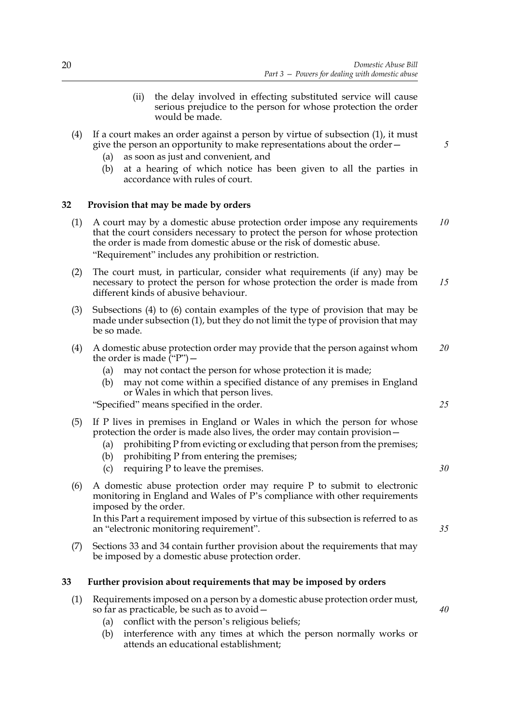- (ii) the delay involved in effecting substituted service will cause serious prejudice to the person for whose protection the order would be made.
- (4) If a court makes an order against a person by virtue of subsection (1), it must give the person an opportunity to make representations about the order—
	- (a) as soon as just and convenient, and
	- (b) at a hearing of which notice has been given to all the parties in accordance with rules of court.

#### **32 Provision that may be made by orders**

- (1) A court may by a domestic abuse protection order impose any requirements that the court considers necessary to protect the person for whose protection the order is made from domestic abuse or the risk of domestic abuse. "Requirement" includes any prohibition or restriction. *10*
- (2) The court must, in particular, consider what requirements (if any) may be necessary to protect the person for whose protection the order is made from different kinds of abusive behaviour. *15*
- (3) Subsections (4) to (6) contain examples of the type of provision that may be made under subsection (1), but they do not limit the type of provision that may be so made.
- (4) A domestic abuse protection order may provide that the person against whom the order is made  $\bar{(\text{``P''})}$  – *20*
	- (a) may not contact the person for whose protection it is made;
	- (b) may not come within a specified distance of any premises in England or Wales in which that person lives.

"Specified" means specified in the order.

- (5) If P lives in premises in England or Wales in which the person for whose protection the order is made also lives, the order may contain provision—
	- (a) prohibiting P from evicting or excluding that person from the premises;
	- (b) prohibiting P from entering the premises;
	- (c) requiring P to leave the premises.
- (6) A domestic abuse protection order may require P to submit to electronic monitoring in England and Wales of P's compliance with other requirements imposed by the order.

In this Part a requirement imposed by virtue of this subsection is referred to as an "electronic monitoring requirement".

(7) Sections 33 and 34 contain further provision about the requirements that may be imposed by a domestic abuse protection order.

#### **33 Further provision about requirements that may be imposed by orders**

- (1) Requirements imposed on a person by a domestic abuse protection order must, so far as practicable, be such as to avoid  $-$ 
	- (a) conflict with the person's religious beliefs;
	- (b) interference with any times at which the person normally works or attends an educational establishment;

*5*

*25*

*35*

*40*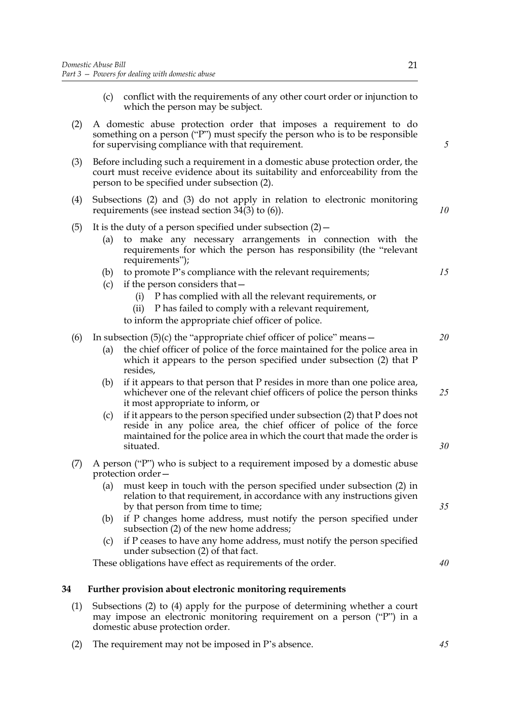- (c) conflict with the requirements of any other court order or injunction to which the person may be subject.
- (2) A domestic abuse protection order that imposes a requirement to do something on a person ("P") must specify the person who is to be responsible for supervising compliance with that requirement.
- (3) Before including such a requirement in a domestic abuse protection order, the court must receive evidence about its suitability and enforceability from the person to be specified under subsection (2).
- (4) Subsections (2) and (3) do not apply in relation to electronic monitoring requirements (see instead section 34(3) to (6)).
- (5) It is the duty of a person specified under subsection  $(2)$  -
	- (a) to make any necessary arrangements in connection with the requirements for which the person has responsibility (the "relevant requirements");
	- (b) to promote P's compliance with the relevant requirements;
	- (c) if the person considers that—
		- (i) P has complied with all the relevant requirements, or
		- (ii) P has failed to comply with a relevant requirement,

to inform the appropriate chief officer of police.

#### (6) In subsection  $(5)(c)$  the "appropriate chief officer of police" means  $-$

- (a) the chief officer of police of the force maintained for the police area in which it appears to the person specified under subsection (2) that P resides,
- (b) if it appears to that person that P resides in more than one police area, whichever one of the relevant chief officers of police the person thinks it most appropriate to inform, or
- (c) if it appears to the person specified under subsection (2) that P does not reside in any police area, the chief officer of police of the force maintained for the police area in which the court that made the order is situated.
- (7) A person ("P") who is subject to a requirement imposed by a domestic abuse protection order—
	- (a) must keep in touch with the person specified under subsection (2) in relation to that requirement, in accordance with any instructions given by that person from time to time;
	- (b) if P changes home address, must notify the person specified under subsection (2) of the new home address;
	- (c) if P ceases to have any home address, must notify the person specified under subsection (2) of that fact.

These obligations have effect as requirements of the order.

#### **34 Further provision about electronic monitoring requirements**

- (1) Subsections (2) to (4) apply for the purpose of determining whether a court may impose an electronic monitoring requirement on a person ("P") in a domestic abuse protection order.
- (2) The requirement may not be imposed in P's absence.

*35*

*40*

*20*

*25*

*30*

*15*

*5*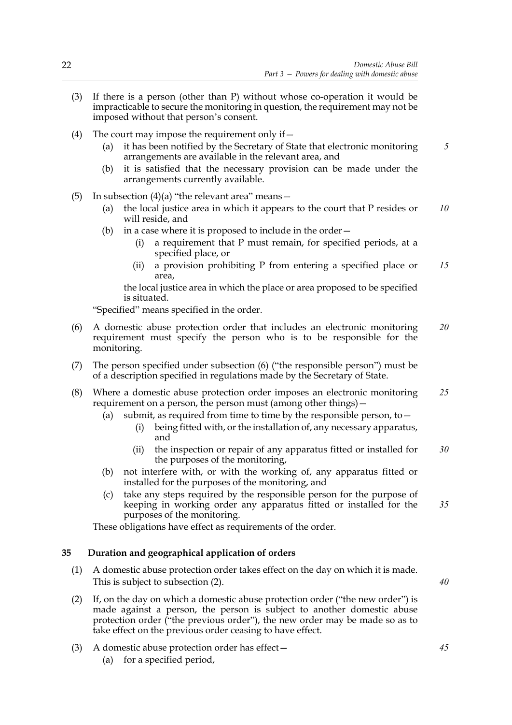- (3) If there is a person (other than P) without whose co-operation it would be impracticable to secure the monitoring in question, the requirement may not be imposed without that person's consent.
- (4) The court may impose the requirement only if  $-$ 
	- (a) it has been notified by the Secretary of State that electronic monitoring arrangements are available in the relevant area, and *5*
	- (b) it is satisfied that the necessary provision can be made under the arrangements currently available.
- (5) In subsection  $(4)(a)$  "the relevant area" means  $-$ 
	- (a) the local justice area in which it appears to the court that P resides or will reside, and *10*
	- (b) in a case where it is proposed to include in the order—
		- (i) a requirement that P must remain, for specified periods, at a specified place, or
		- (ii) a provision prohibiting P from entering a specified place or area, *15*

the local justice area in which the place or area proposed to be specified is situated.

"Specified" means specified in the order.

- (6) A domestic abuse protection order that includes an electronic monitoring requirement must specify the person who is to be responsible for the monitoring. *20*
- (7) The person specified under subsection (6) ("the responsible person") must be of a description specified in regulations made by the Secretary of State.
- (8) Where a domestic abuse protection order imposes an electronic monitoring requirement on a person, the person must (among other things)— *25*
	- (a) submit, as required from time to time by the responsible person, to  $-$ 
		- (i) being fitted with, or the installation of, any necessary apparatus, and
		- (ii) the inspection or repair of any apparatus fitted or installed for the purposes of the monitoring, *30*
	- (b) not interfere with, or with the working of, any apparatus fitted or installed for the purposes of the monitoring, and
	- (c) take any steps required by the responsible person for the purpose of keeping in working order any apparatus fitted or installed for the purposes of the monitoring. *35*

These obligations have effect as requirements of the order.

#### **35 Duration and geographical application of orders**

- (1) A domestic abuse protection order takes effect on the day on which it is made. This is subject to subsection (2).
- (2) If, on the day on which a domestic abuse protection order ("the new order") is made against a person, the person is subject to another domestic abuse protection order ("the previous order"), the new order may be made so as to take effect on the previous order ceasing to have effect.
- (3) A domestic abuse protection order has effect—

*45*

*40*

(a) for a specified period,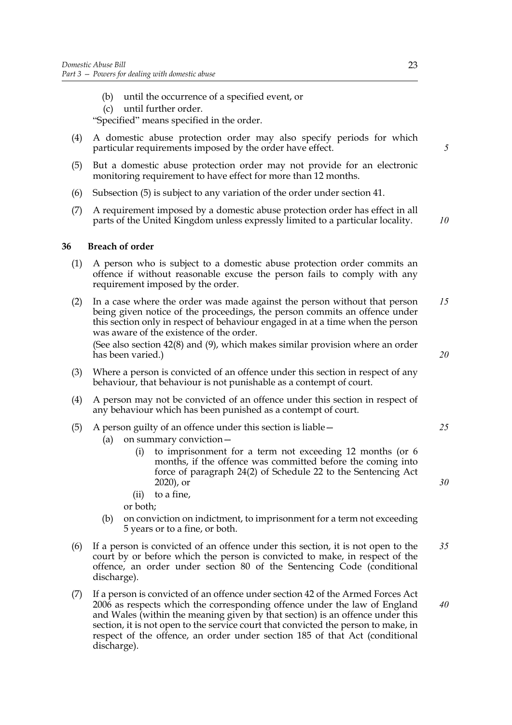- (b) until the occurrence of a specified event, or
- (c) until further order.

"Specified" means specified in the order.

- (4) A domestic abuse protection order may also specify periods for which particular requirements imposed by the order have effect.
- (5) But a domestic abuse protection order may not provide for an electronic monitoring requirement to have effect for more than 12 months.
- (6) Subsection (5) is subject to any variation of the order under section 41.
- (7) A requirement imposed by a domestic abuse protection order has effect in all parts of the United Kingdom unless expressly limited to a particular locality.

*10*

*20*

*25*

*30*

*5*

#### **36 Breach of order**

- (1) A person who is subject to a domestic abuse protection order commits an offence if without reasonable excuse the person fails to comply with any requirement imposed by the order.
- (2) In a case where the order was made against the person without that person being given notice of the proceedings, the person commits an offence under this section only in respect of behaviour engaged in at a time when the person was aware of the existence of the order. *15*

(See also section 42(8) and (9), which makes similar provision where an order has been varied.)

- (3) Where a person is convicted of an offence under this section in respect of any behaviour, that behaviour is not punishable as a contempt of court.
- (4) A person may not be convicted of an offence under this section in respect of any behaviour which has been punished as a contempt of court.
- (5) A person guilty of an offence under this section is liable—
	- (a) on summary conviction—
		- (i) to imprisonment for a term not exceeding 12 months (or 6 months, if the offence was committed before the coming into force of paragraph 24(2) of Schedule 22 to the Sentencing Act 2020), or
		- (ii) to a fine,

or both;

- (b) on conviction on indictment, to imprisonment for a term not exceeding 5 years or to a fine, or both.
- (6) If a person is convicted of an offence under this section, it is not open to the court by or before which the person is convicted to make, in respect of the offence, an order under section 80 of the Sentencing Code (conditional discharge). *35*
- (7) If a person is convicted of an offence under section 42 of the Armed Forces Act 2006 as respects which the corresponding offence under the law of England and Wales (within the meaning given by that section) is an offence under this section, it is not open to the service court that convicted the person to make, in respect of the offence, an order under section 185 of that Act (conditional discharge). *40*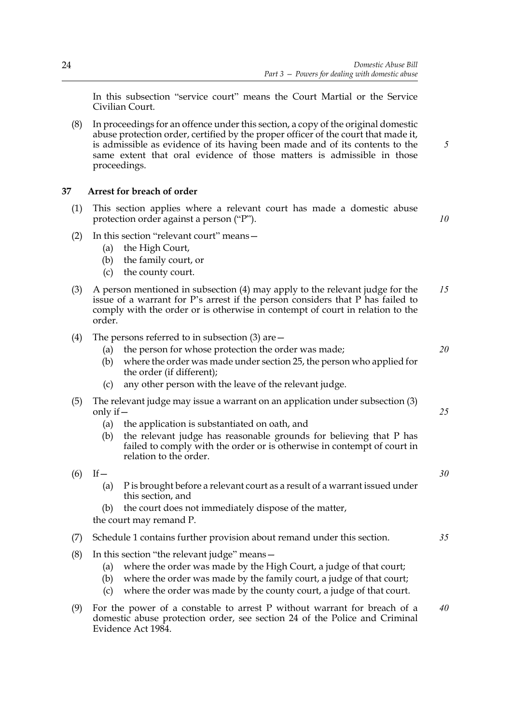In this subsection "service court" means the Court Martial or the Service Civilian Court.

(8) In proceedings for an offence under this section, a copy of the original domestic abuse protection order, certified by the proper officer of the court that made it, is admissible as evidence of its having been made and of its contents to the same extent that oral evidence of those matters is admissible in those proceedings.

#### **37 Arrest for breach of order**

(1) This section applies where a relevant court has made a domestic abuse protection order against a person ("P").

*10*

*5*

- (2) In this section "relevant court" means—
	- (a) the High Court,
	- (b) the family court, or
	- (c) the county court.
- (3) A person mentioned in subsection (4) may apply to the relevant judge for the issue of a warrant for P's arrest if the person considers that P has failed to comply with the order or is otherwise in contempt of court in relation to the order. *15*
- (4) The persons referred to in subsection (3) are—
	- (a) the person for whose protection the order was made;
	- (b) where the order was made under section 25, the person who applied for the order (if different);
	- (c) any other person with the leave of the relevant judge.
- (5) The relevant judge may issue a warrant on an application under subsection (3) only if—
	- (a) the application is substantiated on oath, and
	- (b) the relevant judge has reasonable grounds for believing that P has failed to comply with the order or is otherwise in contempt of court in relation to the order.
- $(6)$  If  $-$ (a) P is brought before a relevant court as a result of a warrant issued under this section, and
	- (b) the court does not immediately dispose of the matter, the court may remand P.

#### (7) Schedule 1 contains further provision about remand under this section.

- (8) In this section "the relevant judge" means—
	- (a) where the order was made by the High Court, a judge of that court;
	- (b) where the order was made by the family court, a judge of that court;
	- (c) where the order was made by the county court, a judge of that court.
- (9) For the power of a constable to arrest P without warrant for breach of a domestic abuse protection order, see section 24 of the Police and Criminal Evidence Act 1984. *40*

*25*

*30*

*35*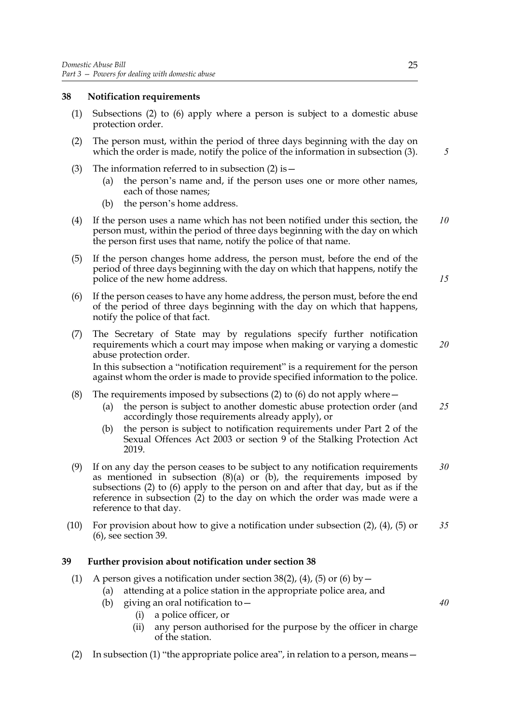#### **38 Notification requirements**

- (1) Subsections (2) to (6) apply where a person is subject to a domestic abuse protection order.
- (2) The person must, within the period of three days beginning with the day on which the order is made, notify the police of the information in subsection (3).
- (3) The information referred to in subsection  $(2)$  is  $-$ 
	- (a) the person's name and, if the person uses one or more other names, each of those names;
	- (b) the person's home address.
- (4) If the person uses a name which has not been notified under this section, the person must, within the period of three days beginning with the day on which the person first uses that name, notify the police of that name. *10*
- (5) If the person changes home address, the person must, before the end of the period of three days beginning with the day on which that happens, notify the police of the new home address.
- (6) If the person ceases to have any home address, the person must, before the end of the period of three days beginning with the day on which that happens, notify the police of that fact.
- (7) The Secretary of State may by regulations specify further notification requirements which a court may impose when making or varying a domestic abuse protection order. *20*

In this subsection a "notification requirement" is a requirement for the person against whom the order is made to provide specified information to the police.

- (8) The requirements imposed by subsections (2) to (6) do not apply where  $-$ 
	- (a) the person is subject to another domestic abuse protection order (and accordingly those requirements already apply), or *25*
	- (b) the person is subject to notification requirements under Part 2 of the Sexual Offences Act 2003 or section 9 of the Stalking Protection Act 2019.
- (9) If on any day the person ceases to be subject to any notification requirements as mentioned in subsection  $(8)(a)$  or  $(b)$ , the requirements imposed by subsections (2) to (6) apply to the person on and after that day, but as if the reference in subsection  $(2)$  to the day on which the order was made were a reference to that day. *30*
- (10) For provision about how to give a notification under subsection  $(2)$ ,  $(4)$ ,  $(5)$  or (6), see section 39. *35*

#### **39 Further provision about notification under section 38**

- (1) A person gives a notification under section  $38(2)$ , (4), (5) or (6) by  $-$ 
	- (a) attending at a police station in the appropriate police area, and
	- (b) giving an oral notification to  $-$ 
		- (i) a police officer, or
		- (ii) any person authorised for the purpose by the officer in charge of the station.
- (2) In subsection (1) "the appropriate police area", in relation to a person, means—

*5*

*15*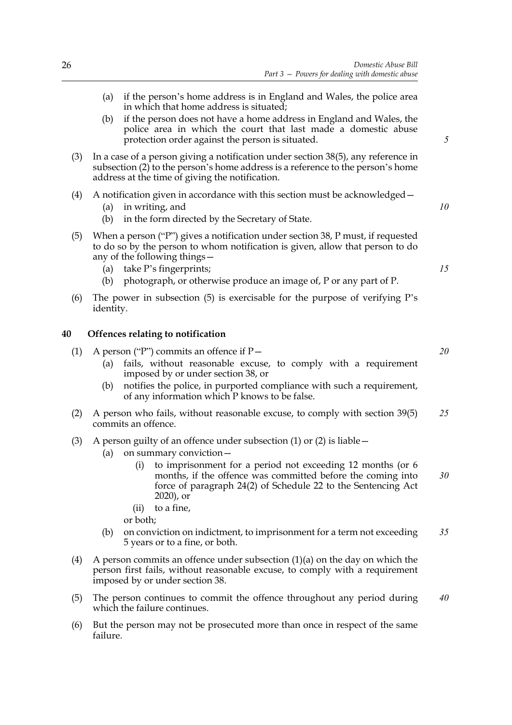- (a) if the person's home address is in England and Wales, the police area in which that home address is situated;
- (b) if the person does not have a home address in England and Wales, the police area in which the court that last made a domestic abuse protection order against the person is situated.
- (3) In a case of a person giving a notification under section 38(5), any reference in subsection (2) to the person's home address is a reference to the person's home address at the time of giving the notification.
- (4) A notification given in accordance with this section must be acknowledged—
	- (a) in writing, and
	- (b) in the form directed by the Secretary of State.
- (5) When a person ("P") gives a notification under section 38, P must, if requested to do so by the person to whom notification is given, allow that person to do any of the following things—
	- (a) take P's fingerprints;
	- (b) photograph, or otherwise produce an image of, P or any part of P.
- (6) The power in subsection (5) is exercisable for the purpose of verifying P's identity.

#### **40 Offences relating to notification**

- (1) A person ("P") commits an offence if P—
	- (a) fails, without reasonable excuse, to comply with a requirement imposed by or under section 38, or
	- (b) notifies the police, in purported compliance with such a requirement, of any information which P knows to be false.
- (2) A person who fails, without reasonable excuse, to comply with section 39(5) commits an offence. *25*
- (3) A person guilty of an offence under subsection (1) or (2) is liable—
	- (a) on summary conviction—
		- (i) to imprisonment for a period not exceeding 12 months (or 6 months, if the offence was committed before the coming into force of paragraph 24(2) of Schedule 22 to the Sentencing Act 2020), or *30*
		- (ii) to a fine,

or both;

- (b) on conviction on indictment, to imprisonment for a term not exceeding 5 years or to a fine, or both. *35*
- (4) A person commits an offence under subsection  $(1)(a)$  on the day on which the person first fails, without reasonable excuse, to comply with a requirement imposed by or under section 38.
- (5) The person continues to commit the offence throughout any period during which the failure continues. *40*
- (6) But the person may not be prosecuted more than once in respect of the same failure.

*20*

*5*

*10*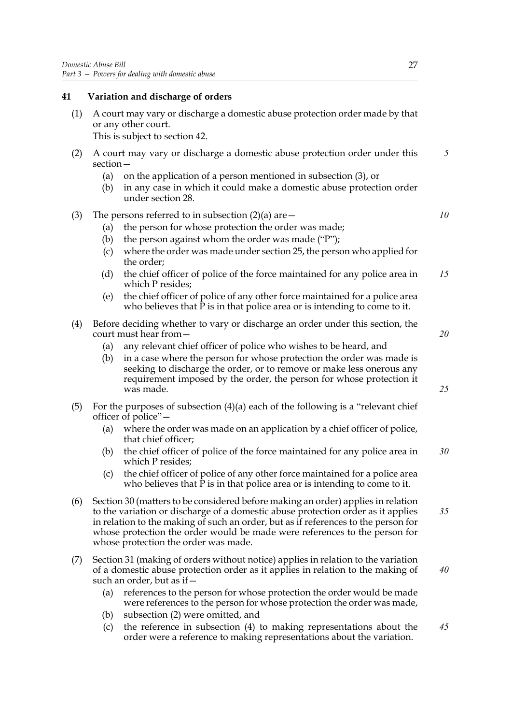#### **41 Variation and discharge of orders**

(1) A court may vary or discharge a domestic abuse protection order made by that or any other court.

This is subject to section 42.

- (2) A court may vary or discharge a domestic abuse protection order under this section— *5*
	- (a) on the application of a person mentioned in subsection (3), or
	- (b) in any case in which it could make a domestic abuse protection order under section 28.

#### (3) The persons referred to in subsection  $(2)(a)$  are  $-$

- (a) the person for whose protection the order was made;
- (b) the person against whom the order was made ("P");
- (c) where the order was made under section 25, the person who applied for the order;
- (d) the chief officer of police of the force maintained for any police area in which P resides; *15*
- (e) the chief officer of police of any other force maintained for a police area who believes that P is in that police area or is intending to come to it.
- (4) Before deciding whether to vary or discharge an order under this section, the court must hear from—
	- (a) any relevant chief officer of police who wishes to be heard, and
	- (b) in a case where the person for whose protection the order was made is seeking to discharge the order, or to remove or make less onerous any requirement imposed by the order, the person for whose protection it was made.
- (5) For the purposes of subsection (4)(a) each of the following is a "relevant chief officer of police"—
	- (a) where the order was made on an application by a chief officer of police, that chief officer;
	- (b) the chief officer of police of the force maintained for any police area in which P resides; *30*
	- (c) the chief officer of police of any other force maintained for a police area who believes that  $\bar{P}$  is in that police area or is intending to come to it.
- (6) Section 30 (matters to be considered before making an order) applies in relation to the variation or discharge of a domestic abuse protection order as it applies in relation to the making of such an order, but as if references to the person for whose protection the order would be made were references to the person for whose protection the order was made. *35*
- (7) Section 31 (making of orders without notice) applies in relation to the variation of a domestic abuse protection order as it applies in relation to the making of such an order, but as if  $-$ *40*
	- (a) references to the person for whose protection the order would be made were references to the person for whose protection the order was made,
	- (b) subsection (2) were omitted, and
	- (c) the reference in subsection (4) to making representations about the order were a reference to making representations about the variation. *45*

*25*

*20*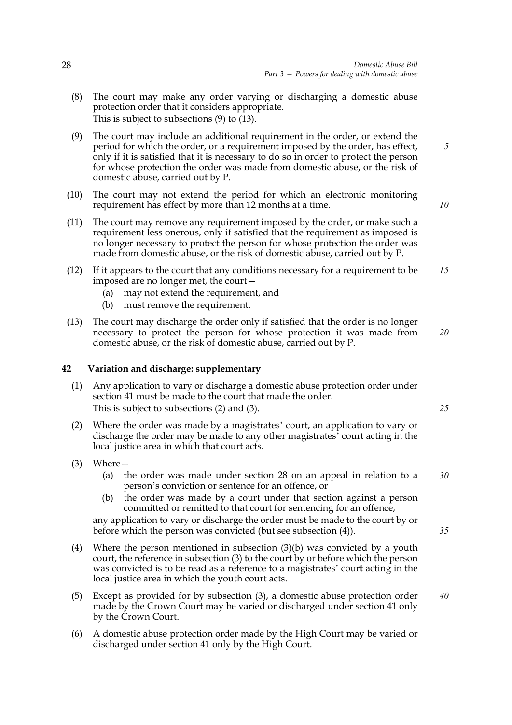*5*

*10*

*25*

*35*

- (8) The court may make any order varying or discharging a domestic abuse protection order that it considers appropriate. This is subject to subsections (9) to (13).
- (9) The court may include an additional requirement in the order, or extend the period for which the order, or a requirement imposed by the order, has effect, only if it is satisfied that it is necessary to do so in order to protect the person for whose protection the order was made from domestic abuse, or the risk of domestic abuse, carried out by P.
- (10) The court may not extend the period for which an electronic monitoring requirement has effect by more than 12 months at a time.
- (11) The court may remove any requirement imposed by the order, or make such a requirement less onerous, only if satisfied that the requirement as imposed is no longer necessary to protect the person for whose protection the order was made from domestic abuse, or the risk of domestic abuse, carried out by P.
- (12) If it appears to the court that any conditions necessary for a requirement to be imposed are no longer met, the court— *15*
	- (a) may not extend the requirement, and
	- (b) must remove the requirement.
- (13) The court may discharge the order only if satisfied that the order is no longer necessary to protect the person for whose protection it was made from domestic abuse, or the risk of domestic abuse, carried out by P. *20*

#### **42 Variation and discharge: supplementary**

- (1) Any application to vary or discharge a domestic abuse protection order under section 41 must be made to the court that made the order. This is subject to subsections (2) and (3).
- (2) Where the order was made by a magistrates' court, an application to vary or discharge the order may be made to any other magistrates' court acting in the local justice area in which that court acts.
- (3) Where—
	- (a) the order was made under section 28 on an appeal in relation to a person's conviction or sentence for an offence, or *30*
	- (b) the order was made by a court under that section against a person committed or remitted to that court for sentencing for an offence,

any application to vary or discharge the order must be made to the court by or before which the person was convicted (but see subsection (4)).

- (4) Where the person mentioned in subsection (3)(b) was convicted by a youth court, the reference in subsection (3) to the court by or before which the person was convicted is to be read as a reference to a magistrates' court acting in the local justice area in which the youth court acts.
- (5) Except as provided for by subsection (3), a domestic abuse protection order made by the Crown Court may be varied or discharged under section 41 only by the Crown Court. *40*
- (6) A domestic abuse protection order made by the High Court may be varied or discharged under section 41 only by the High Court.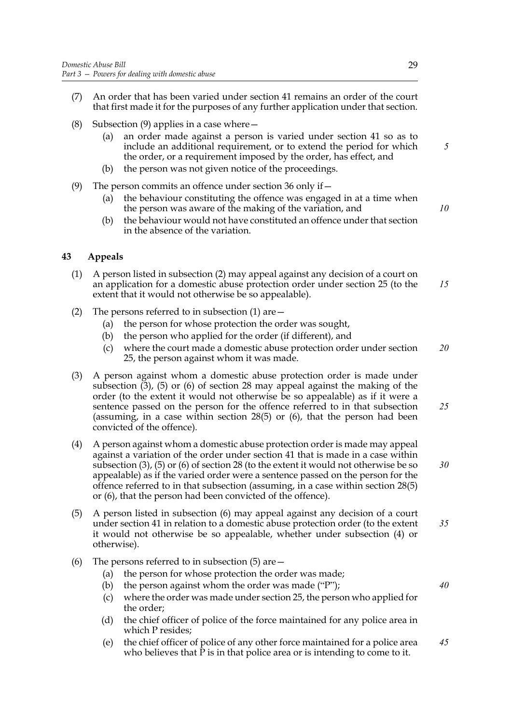- (7) An order that has been varied under section 41 remains an order of the court that first made it for the purposes of any further application under that section.
- (8) Subsection (9) applies in a case where  $-$ 
	- (a) an order made against a person is varied under section 41 so as to include an additional requirement, or to extend the period for which the order, or a requirement imposed by the order, has effect, and
	- (b) the person was not given notice of the proceedings.
- (9) The person commits an offence under section 36 only if  $-$ 
	- (a) the behaviour constituting the offence was engaged in at a time when the person was aware of the making of the variation, and
	- (b) the behaviour would not have constituted an offence under that section in the absence of the variation.

#### **43 Appeals**

- (1) A person listed in subsection (2) may appeal against any decision of a court on an application for a domestic abuse protection order under section 25 (to the extent that it would not otherwise be so appealable). *15*
- (2) The persons referred to in subsection  $(1)$  are  $-$ 
	- (a) the person for whose protection the order was sought,
	- (b) the person who applied for the order (if different), and
	- (c) where the court made a domestic abuse protection order under section 25, the person against whom it was made. *20*
- (3) A person against whom a domestic abuse protection order is made under subsection  $(3)$ ,  $(5)$  or  $(6)$  of section 28 may appeal against the making of the order (to the extent it would not otherwise be so appealable) as if it were a sentence passed on the person for the offence referred to in that subsection (assuming, in a case within section 28(5) or (6), that the person had been convicted of the offence).
- (4) A person against whom a domestic abuse protection order is made may appeal against a variation of the order under section 41 that is made in a case within subsection (3), (5) or (6) of section 28 (to the extent it would not otherwise be so appealable) as if the varied order were a sentence passed on the person for the offence referred to in that subsection (assuming, in a case within section 28(5) or (6), that the person had been convicted of the offence). *30*
- (5) A person listed in subsection (6) may appeal against any decision of a court under section 41 in relation to a domestic abuse protection order (to the extent it would not otherwise be so appealable, whether under subsection (4) or otherwise). *35*
- (6) The persons referred to in subsection  $(5)$  are  $-$ 
	- (a) the person for whose protection the order was made;
	- (b) the person against whom the order was made  $("P")$ ;
	- (c) where the order was made under section 25, the person who applied for the order;
	- (d) the chief officer of police of the force maintained for any police area in which P resides;
	- (e) the chief officer of police of any other force maintained for a police area who believes that P is in that police area or is intending to come to it. *45*

*25*

*5*

*10*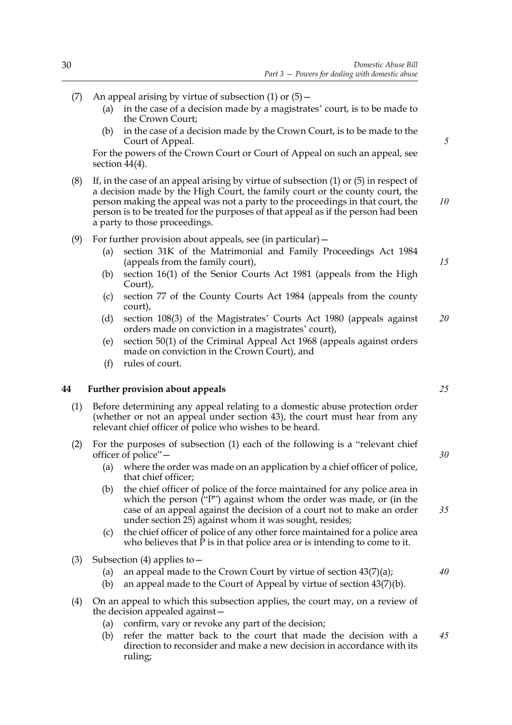- (7) An appeal arising by virtue of subsection  $(1)$  or  $(5)$  -
	- (a) in the case of a decision made by a magistrates' court, is to be made to the Crown Court;
	- (b) in the case of a decision made by the Crown Court, is to be made to the Court of Appeal.

For the powers of the Crown Court or Court of Appeal on such an appeal, see section  $44(4)$ .

- (8) If, in the case of an appeal arising by virtue of subsection (1) or (5) in respect of a decision made by the High Court, the family court or the county court, the person making the appeal was not a party to the proceedings in that court, the person is to be treated for the purposes of that appeal as if the person had been a party to those proceedings. *10*
- (9) For further provision about appeals, see (in particular)—
	- (a) section 31K of the Matrimonial and Family Proceedings Act 1984 (appeals from the family court),
	- (b) section 16(1) of the Senior Courts Act 1981 (appeals from the High Court),
	- (c) section 77 of the County Courts Act 1984 (appeals from the county court),
	- (d) section 108(3) of the Magistrates' Courts Act 1980 (appeals against orders made on conviction in a magistrates' court), *20*
	- (e) section 50(1) of the Criminal Appeal Act 1968 (appeals against orders made on conviction in the Crown Court), and
	- (f) rules of court.

#### **44 Further provision about appeals**

- (1) Before determining any appeal relating to a domestic abuse protection order (whether or not an appeal under section 43), the court must hear from any relevant chief officer of police who wishes to be heard.
- (2) For the purposes of subsection (1) each of the following is a "relevant chief officer of police"—
	- (a) where the order was made on an application by a chief officer of police, that chief officer;
	- (b) the chief officer of police of the force maintained for any police area in which the person ("P") against whom the order was made, or (in the case of an appeal against the decision of a court not to make an order under section 25) against whom it was sought, resides;
	- (c) the chief officer of police of any other force maintained for a police area who believes that  $\tilde{P}$  is in that police area or is intending to come to it.
- (3) Subsection (4) applies to  $-$ 
	- (a) an appeal made to the Crown Court by virtue of section  $43(7)(a)$ ;
	- (b) an appeal made to the Court of Appeal by virtue of section 43(7)(b).
- (4) On an appeal to which this subsection applies, the court may, on a review of the decision appealed against—
	- (a) confirm, vary or revoke any part of the decision;
	- (b) refer the matter back to the court that made the decision with a direction to reconsider and make a new decision in accordance with its ruling; *45*

*5*

*15*

*25*

*30*

*40*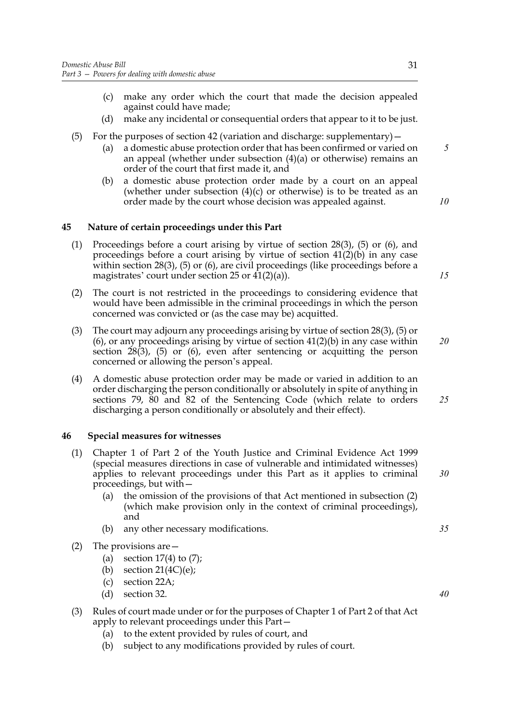- (c) make any order which the court that made the decision appealed against could have made;
- (d) make any incidental or consequential orders that appear to it to be just.
- (5) For the purposes of section 42 (variation and discharge: supplementary)—
	- (a) a domestic abuse protection order that has been confirmed or varied on an appeal (whether under subsection (4)(a) or otherwise) remains an order of the court that first made it, and
	- (b) a domestic abuse protection order made by a court on an appeal (whether under subsection  $(4)(c)$  or otherwise) is to be treated as an order made by the court whose decision was appealed against.

#### **45 Nature of certain proceedings under this Part**

- (1) Proceedings before a court arising by virtue of section 28(3), (5) or (6), and proceedings before a court arising by virtue of section  $41(2)(b)$  in any case within section 28(3), (5) or (6), are civil proceedings (like proceedings before a magistrates' court under section 25 or 41(2)(a)).
- (2) The court is not restricted in the proceedings to considering evidence that would have been admissible in the criminal proceedings in which the person concerned was convicted or (as the case may be) acquitted.
- (3) The court may adjourn any proceedings arising by virtue of section 28(3), (5) or  $(6)$ , or any proceedings arising by virtue of section  $41(2)(b)$  in any case within section  $28(3)$ , (5) or (6), even after sentencing or acquitting the person concerned or allowing the person's appeal.
- (4) A domestic abuse protection order may be made or varied in addition to an order discharging the person conditionally or absolutely in spite of anything in sections 79, 80 and 82 of the Sentencing Code (which relate to orders discharging a person conditionally or absolutely and their effect).

#### **46 Special measures for witnesses**

- (1) Chapter 1 of Part 2 of the Youth Justice and Criminal Evidence Act 1999 (special measures directions in case of vulnerable and intimidated witnesses) applies to relevant proceedings under this Part as it applies to criminal proceedings, but with—
	- (a) the omission of the provisions of that Act mentioned in subsection (2) (which make provision only in the context of criminal proceedings), and
	- (b) any other necessary modifications.
- (2) The provisions are—
	- (a) section  $17(4)$  to  $(7)$ ;
	- (b) section  $21(4C)(e)$ ;
	- (c) section 22A;
	- (d) section 32.
- (3) Rules of court made under or for the purposes of Chapter 1 of Part 2 of that Act apply to relevant proceedings under this Part—
	- (a) to the extent provided by rules of court, and
	- (b) subject to any modifications provided by rules of court.

*5*

*10*

*15*

*20*

*25*

*30*

*35*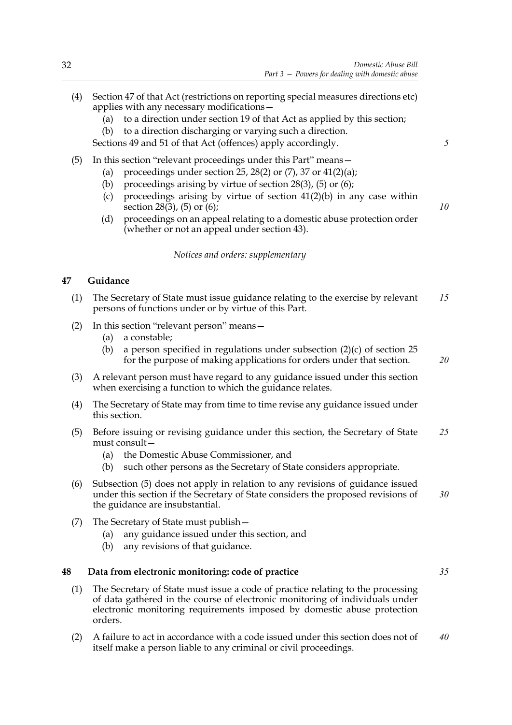- (4) Section 47 of that Act (restrictions on reporting special measures directions etc) applies with any necessary modifications—
	- (a) to a direction under section 19 of that Act as applied by this section;

(b) to a direction discharging or varying such a direction. Sections 49 and 51 of that Act (offences) apply accordingly.

- (5) In this section "relevant proceedings under this Part" means—
	- (a) proceedings under section 25, 28(2) or  $(7)$ , 37 or 41(2)(a);
	- (b) proceedings arising by virtue of section  $28(3)$ , (5) or (6);
	- (c) proceedings arising by virtue of section 41(2)(b) in any case within section 28(3), (5) or  $(6)$ ;
	- (d) proceedings on an appeal relating to a domestic abuse protection order (whether or not an appeal under section 43).

*Notices and orders: supplementary*

#### **47 Guidance**

- (1) The Secretary of State must issue guidance relating to the exercise by relevant persons of functions under or by virtue of this Part. *15*
- (2) In this section "relevant person" means—
	- (a) a constable;
	- (b) a person specified in regulations under subsection  $(2)(c)$  of section 25 for the purpose of making applications for orders under that section.
- (3) A relevant person must have regard to any guidance issued under this section when exercising a function to which the guidance relates.
- (4) The Secretary of State may from time to time revise any guidance issued under this section.
- (5) Before issuing or revising guidance under this section, the Secretary of State must consult— *25*
	- (a) the Domestic Abuse Commissioner, and
	- (b) such other persons as the Secretary of State considers appropriate.
- (6) Subsection (5) does not apply in relation to any revisions of guidance issued under this section if the Secretary of State considers the proposed revisions of the guidance are insubstantial. *30*
- (7) The Secretary of State must publish—
	- (a) any guidance issued under this section, and
	- (b) any revisions of that guidance.

#### **48 Data from electronic monitoring: code of practice**

- (1) The Secretary of State must issue a code of practice relating to the processing of data gathered in the course of electronic monitoring of individuals under electronic monitoring requirements imposed by domestic abuse protection orders.
- (2) A failure to act in accordance with a code issued under this section does not of itself make a person liable to any criminal or civil proceedings. *40*

*5*

*10*

*20*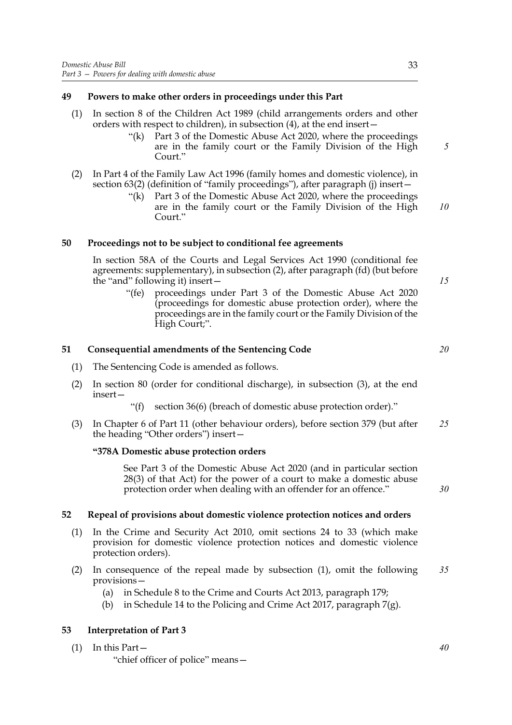#### **49 Powers to make other orders in proceedings under this Part**

- (1) In section 8 of the Children Act 1989 (child arrangements orders and other orders with respect to children), in subsection (4), at the end insert—
	- "(k) Part 3 of the Domestic Abuse Act 2020, where the proceedings are in the family court or the Family Division of the High Court."
- (2) In Part 4 of the Family Law Act 1996 (family homes and domestic violence), in section 63(2) (definition of "family proceedings"), after paragraph (j) insert  $-$ 
	- "(k) Part 3 of the Domestic Abuse Act 2020, where the proceedings are in the family court or the Family Division of the High Court."

#### **50 Proceedings not to be subject to conditional fee agreements**

In section 58A of the Courts and Legal Services Act 1990 (conditional fee agreements: supplementary), in subsection (2), after paragraph (fd) (but before the "and" following it) insert—

"(fe) proceedings under Part 3 of the Domestic Abuse Act 2020 (proceedings for domestic abuse protection order), where the proceedings are in the family court or the Family Division of the High Court;".

#### **51 Consequential amendments of the Sentencing Code**

- (1) The Sentencing Code is amended as follows.
- (2) In section 80 (order for conditional discharge), in subsection (3), at the end insert—
	- "(f) section 36(6) (breach of domestic abuse protection order)."
- (3) In Chapter 6 of Part 11 (other behaviour orders), before section 379 (but after the heading "Other orders") insert— *25*

#### **"378A Domestic abuse protection orders**

 See Part 3 of the Domestic Abuse Act 2020 (and in particular section 28(3) of that Act) for the power of a court to make a domestic abuse protection order when dealing with an offender for an offence."

#### **52 Repeal of provisions about domestic violence protection notices and orders**

- (1) In the Crime and Security Act 2010, omit sections 24 to 33 (which make provision for domestic violence protection notices and domestic violence protection orders).
- (2) In consequence of the repeal made by subsection (1), omit the following provisions— *35*
	- (a) in Schedule 8 to the Crime and Courts Act 2013, paragraph 179;
	- (b) in Schedule 14 to the Policing and Crime Act 2017, paragraph  $7(g)$ .

### **53 Interpretation of Part 3**

(1) In this Part— "chief officer of police" means—

33

*20*

*15*

*5*

*10*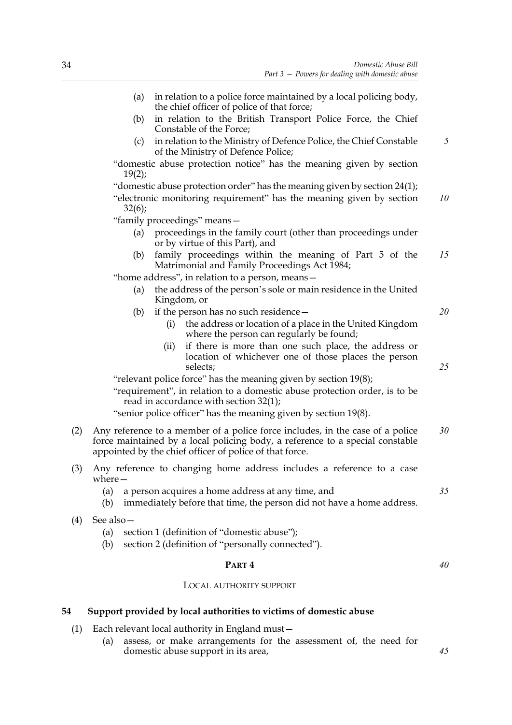(a) in relation to a police force maintained by a local policing body, the chief officer of police of that force; (b) in relation to the British Transport Police Force, the Chief Constable of the Force; (c) in relation to the Ministry of Defence Police, the Chief Constable of the Ministry of Defence Police; "domestic abuse protection notice" has the meaning given by section  $19(2);$ "domestic abuse protection order" has the meaning given by section 24(1); "electronic monitoring requirement" has the meaning given by section  $32(6);$ "family proceedings" means— (a) proceedings in the family court (other than proceedings under or by virtue of this Part), and (b) family proceedings within the meaning of Part 5 of the Matrimonial and Family Proceedings Act 1984; "home address", in relation to a person, means— (a) the address of the person's sole or main residence in the United Kingdom, or (b) if the person has no such residence— (i) the address or location of a place in the United Kingdom where the person can regularly be found; (ii) if there is more than one such place, the address or location of whichever one of those places the person selects; "relevant police force" has the meaning given by section 19(8); "requirement", in relation to a domestic abuse protection order, is to be read in accordance with section 32(1); "senior police officer" has the meaning given by section 19(8). (2) Any reference to a member of a police force includes, in the case of a police force maintained by a local policing body, a reference to a special constable appointed by the chief officer of police of that force. (3) Any reference to changing home address includes a reference to a case where— (a) a person acquires a home address at any time, and (b) immediately before that time, the person did not have a home address. (4) See also— (a) section 1 (definition of "domestic abuse"); (b) section 2 (definition of "personally connected"). **PART 4** LOCAL AUTHORITY SUPPORT *5 10 15 20 25 30 35*

#### **54 Support provided by local authorities to victims of domestic abuse**

- (1) Each relevant local authority in England must—
	- (a) assess, or make arrangements for the assessment of, the need for domestic abuse support in its area,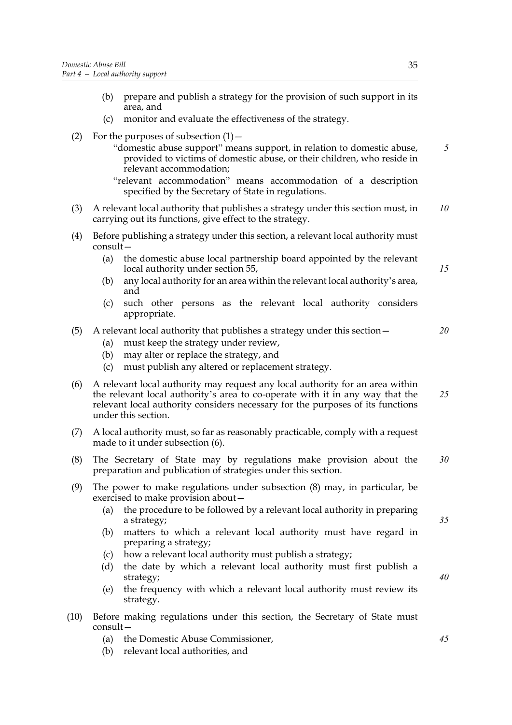- (b) prepare and publish a strategy for the provision of such support in its area, and
- (c) monitor and evaluate the effectiveness of the strategy.
- (2) For the purposes of subsection  $(1)$ 
	- "domestic abuse support" means support, in relation to domestic abuse, provided to victims of domestic abuse, or their children, who reside in relevant accommodation;
	- "relevant accommodation" means accommodation of a description specified by the Secretary of State in regulations.
- (3) A relevant local authority that publishes a strategy under this section must, in carrying out its functions, give effect to the strategy. *10*
- (4) Before publishing a strategy under this section, a relevant local authority must consult—
	- (a) the domestic abuse local partnership board appointed by the relevant local authority under section 55,
	- (b) any local authority for an area within the relevant local authority's area, and
	- (c) such other persons as the relevant local authority considers appropriate.
- (5) A relevant local authority that publishes a strategy under this section—
	- (a) must keep the strategy under review,
	- (b) may alter or replace the strategy, and
	- (c) must publish any altered or replacement strategy.
- (6) A relevant local authority may request any local authority for an area within the relevant local authority's area to co-operate with it in any way that the relevant local authority considers necessary for the purposes of its functions under this section. *25*
- (7) A local authority must, so far as reasonably practicable, comply with a request made to it under subsection (6).
- (8) The Secretary of State may by regulations make provision about the preparation and publication of strategies under this section. *30*
- (9) The power to make regulations under subsection (8) may, in particular, be exercised to make provision about—
	- (a) the procedure to be followed by a relevant local authority in preparing a strategy;
	- (b) matters to which a relevant local authority must have regard in preparing a strategy;
	- (c) how a relevant local authority must publish a strategy;
	- (d) the date by which a relevant local authority must first publish a strategy;
	- (e) the frequency with which a relevant local authority must review its strategy.
- (10) Before making regulations under this section, the Secretary of State must consult—
	- (a) the Domestic Abuse Commissioner,
	- (b) relevant local authorities, and

*35*

*40*

*20*

*15*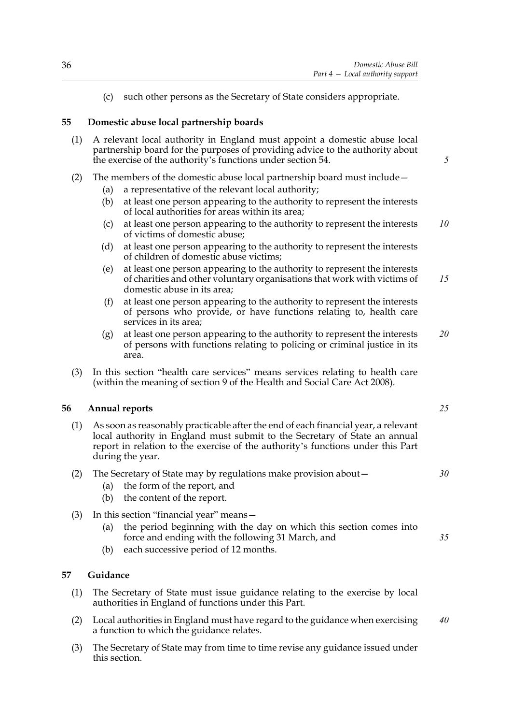(c) such other persons as the Secretary of State considers appropriate.

#### **55 Domestic abuse local partnership boards**

- (1) A relevant local authority in England must appoint a domestic abuse local partnership board for the purposes of providing advice to the authority about the exercise of the authority's functions under section 54.
- (2) The members of the domestic abuse local partnership board must include—
	- (a) a representative of the relevant local authority;
	- (b) at least one person appearing to the authority to represent the interests of local authorities for areas within its area;
	- (c) at least one person appearing to the authority to represent the interests of victims of domestic abuse; *10*
	- (d) at least one person appearing to the authority to represent the interests of children of domestic abuse victims;
	- (e) at least one person appearing to the authority to represent the interests of charities and other voluntary organisations that work with victims of domestic abuse in its area; *15*
	- (f) at least one person appearing to the authority to represent the interests of persons who provide, or have functions relating to, health care services in its area;
	- (g) at least one person appearing to the authority to represent the interests of persons with functions relating to policing or criminal justice in its area. *20*
- (3) In this section "health care services" means services relating to health care (within the meaning of section 9 of the Health and Social Care Act 2008).

#### **56 Annual reports**

- (1) As soon as reasonably practicable after the end of each financial year, a relevant local authority in England must submit to the Secretary of State an annual report in relation to the exercise of the authority's functions under this Part during the year.
- (2) The Secretary of State may by regulations make provision about—
	- (a) the form of the report, and
	- (b) the content of the report.
- (3) In this section "financial year" means—
	- (a) the period beginning with the day on which this section comes into force and ending with the following 31 March, and
	- (b) each successive period of 12 months.

#### **57 Guidance**

- (1) The Secretary of State must issue guidance relating to the exercise by local authorities in England of functions under this Part.
- (2) Local authorities in England must have regard to the guidance when exercising a function to which the guidance relates. *40*
- (3) The Secretary of State may from time to time revise any guidance issued under this section.

*25*

*5*

*35*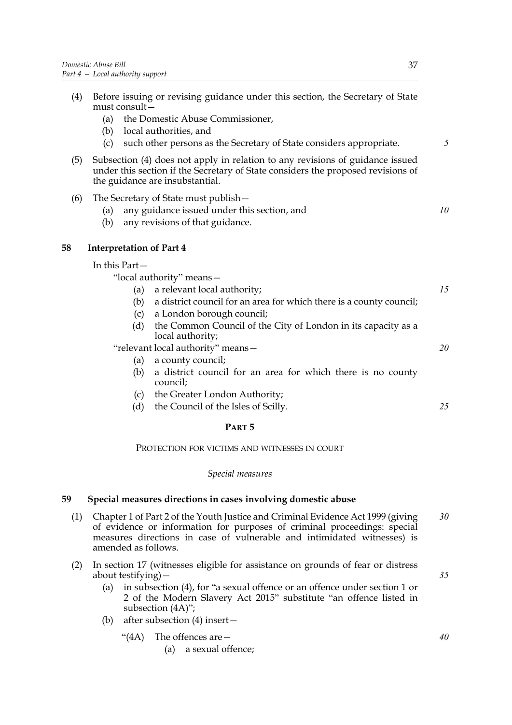| (4) | $must consult -$                | Before issuing or revising guidance under this section, the Secretary of State                                                                                                                       |    |
|-----|---------------------------------|------------------------------------------------------------------------------------------------------------------------------------------------------------------------------------------------------|----|
|     | (a)                             | the Domestic Abuse Commissioner,                                                                                                                                                                     |    |
|     | (b)                             | local authorities, and                                                                                                                                                                               |    |
|     | (c)                             | such other persons as the Secretary of State considers appropriate.                                                                                                                                  | 5  |
| (5) |                                 | Subsection (4) does not apply in relation to any revisions of guidance issued<br>under this section if the Secretary of State considers the proposed revisions of<br>the guidance are insubstantial. |    |
| (6) |                                 | The Secretary of State must publish -                                                                                                                                                                |    |
|     | (a)                             | any guidance issued under this section, and                                                                                                                                                          | 10 |
|     | (b)                             | any revisions of that guidance.                                                                                                                                                                      |    |
| 58  | <b>Interpretation of Part 4</b> |                                                                                                                                                                                                      |    |
|     |                                 |                                                                                                                                                                                                      |    |
|     | In this Part-                   |                                                                                                                                                                                                      |    |
|     |                                 | "local authority" means-                                                                                                                                                                             |    |
|     | (a)                             | a relevant local authority;                                                                                                                                                                          | 15 |
|     | (b)                             | a district council for an area for which there is a county council;                                                                                                                                  |    |
|     | (c)                             | a London borough council;                                                                                                                                                                            |    |
|     | (d)                             | the Common Council of the City of London in its capacity as a<br>local authority;                                                                                                                    |    |
|     |                                 | "relevant local authority" means-                                                                                                                                                                    | 20 |
|     | (a)                             | a county council;                                                                                                                                                                                    |    |
|     | (b)                             | a district council for an area for which there is no county<br>council;                                                                                                                              |    |
|     | (c)                             | the Greater London Authority;                                                                                                                                                                        |    |
|     | (d)                             | the Council of the Isles of Scilly.                                                                                                                                                                  | 25 |
|     |                                 | PART <sub>5</sub>                                                                                                                                                                                    |    |

#### PROTECTION FOR VICTIMS AND WITNESSES IN COURT

#### *Special measures*

## **59 Special measures directions in cases involving domestic abuse**

- (1) Chapter 1 of Part 2 of the Youth Justice and Criminal Evidence Act 1999 (giving of evidence or information for purposes of criminal proceedings: special measures directions in case of vulnerable and intimidated witnesses) is amended as follows. *30*
- (2) In section 17 (witnesses eligible for assistance on grounds of fear or distress about testifying)—
	- (a) in subsection (4), for "a sexual offence or an offence under section 1 or 2 of the Modern Slavery Act 2015" substitute "an offence listed in subsection (4A)";
	- (b) after subsection (4) insert—
		- "(4A) The offences are—
			- (a) a sexual offence;

*40*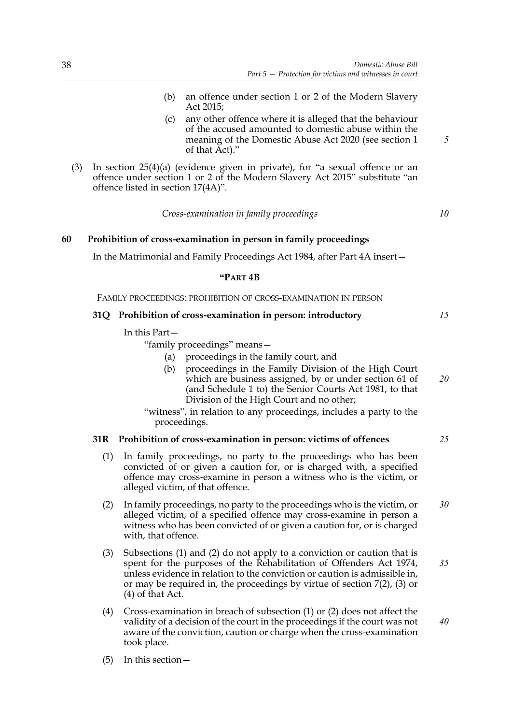- (b) an offence under section 1 or 2 of the Modern Slavery Act 2015;
- (c) any other offence where it is alleged that the behaviour of the accused amounted to domestic abuse within the meaning of the Domestic Abuse Act 2020 (see section 1 of that Act)."
- (3) In section 25(4)(a) (evidence given in private), for "a sexual offence or an offence under section 1 or 2 of the Modern Slavery Act 2015" substitute "an offence listed in section 17(4A)".

*Cross-examination in family proceedings*

#### **60 Prohibition of cross-examination in person in family proceedings**

In the Matrimonial and Family Proceedings Act 1984, after Part 4A insert—

#### **"PART 4B**

FAMILY PROCEEDINGS: PROHIBITION OF CROSS-EXAMINATION IN PERSON

#### **31Q Prohibition of cross-examination in person: introductory**

In this Part—

"family proceedings" means—

- (a) proceedings in the family court, and
- (b) proceedings in the Family Division of the High Court which are business assigned, by or under section 61 of (and Schedule 1 to) the Senior Courts Act 1981, to that Division of the High Court and no other; *20*

"witness", in relation to any proceedings, includes a party to the proceedings.

#### **31R Prohibition of cross-examination in person: victims of offences**

- (1) In family proceedings, no party to the proceedings who has been convicted of or given a caution for, or is charged with, a specified offence may cross-examine in person a witness who is the victim, or alleged victim, of that offence.
- (2) In family proceedings, no party to the proceedings who is the victim, or alleged victim, of a specified offence may cross-examine in person a witness who has been convicted of or given a caution for, or is charged with, that offence. *30*
- (3) Subsections (1) and (2) do not apply to a conviction or caution that is spent for the purposes of the Rehabilitation of Offenders Act 1974, unless evidence in relation to the conviction or caution is admissible in, or may be required in, the proceedings by virtue of section 7(2), (3) or (4) of that Act. *35*
- (4) Cross-examination in breach of subsection (1) or (2) does not affect the validity of a decision of the court in the proceedings if the court was not aware of the conviction, caution or charge when the cross-examination took place. *40*

(5) In this section—

*15*

*5*

*10*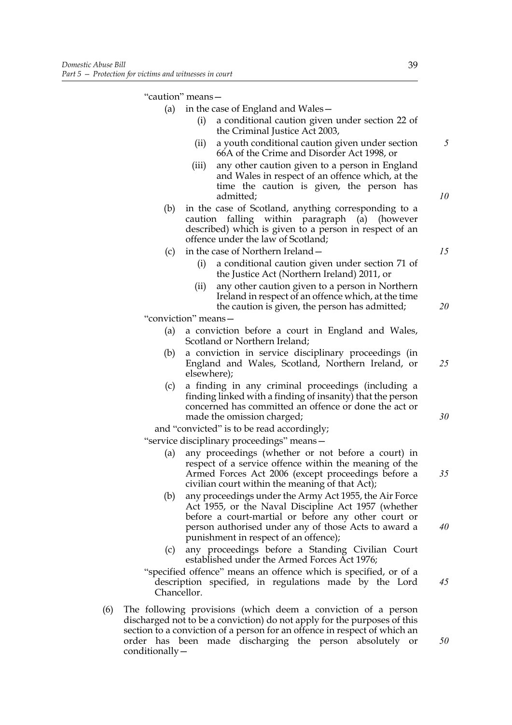| "caution" means- |                                                                                                                                                                                                                                                                       |  |
|------------------|-----------------------------------------------------------------------------------------------------------------------------------------------------------------------------------------------------------------------------------------------------------------------|--|
| (a)              | in the case of England and Wales –                                                                                                                                                                                                                                    |  |
|                  | a conditional caution given under section 22 of<br>(i)<br>the Criminal Justice Act 2003,                                                                                                                                                                              |  |
|                  | (ii)<br>a youth conditional caution given under section<br>66A of the Crime and Disorder Act 1998, or                                                                                                                                                                 |  |
|                  | any other caution given to a person in England<br>(iii)<br>and Wales in respect of an offence which, at the<br>time the caution is given, the person has<br>admitted;                                                                                                 |  |
| (b)              | in the case of Scotland, anything corresponding to a<br>caution falling within paragraph (a) (however<br>described) which is given to a person in respect of an<br>offence under the law of Scotland;                                                                 |  |
| (c)              | in the case of Northern Ireland -                                                                                                                                                                                                                                     |  |
|                  | a conditional caution given under section 71 of<br>(i)<br>the Justice Act (Northern Ireland) 2011, or                                                                                                                                                                 |  |
|                  | any other caution given to a person in Northern<br>(ii)<br>Ireland in respect of an offence which, at the time<br>the caution is given, the person has admitted;                                                                                                      |  |
|                  | "conviction" means-                                                                                                                                                                                                                                                   |  |
| (a)              | a conviction before a court in England and Wales,<br>Scotland or Northern Ireland;                                                                                                                                                                                    |  |
| (b)              | a conviction in service disciplinary proceedings (in<br>England and Wales, Scotland, Northern Ireland, or<br>elsewhere);                                                                                                                                              |  |
| (c)              | a finding in any criminal proceedings (including a<br>finding linked with a finding of insanity) that the person<br>concerned has committed an offence or done the act or<br>made the omission charged;                                                               |  |
|                  | and "convicted" is to be read accordingly;                                                                                                                                                                                                                            |  |
|                  | "service disciplinary proceedings" means-                                                                                                                                                                                                                             |  |
| (a)              | any proceedings (whether or not before a court) in<br>respect of a service offence within the meaning of the<br>Armed Forces Act 2006 (except proceedings before a<br>civilian court within the meaning of that Act);                                                 |  |
| (b)              | any proceedings under the Army Act 1955, the Air Force<br>Act 1955, or the Naval Discipline Act 1957 (whether<br>before a court-martial or before any other court or<br>person authorised under any of those Acts to award a<br>punishment in respect of an offence); |  |
| (c)              | any proceedings before a Standing Civilian Court<br>established under the Armed Forces Act 1976;                                                                                                                                                                      |  |
| Chancellor.      | "specified offence" means an offence which is specified, or of a<br>description specified, in regulations made by the Lord                                                                                                                                            |  |

section to a conviction of a person for an offence in respect of which an order has been made discharging the person absolutely or conditionally— *50*

*10*

*15*

*20*

*25*

*30*

*35*

*40*

*45*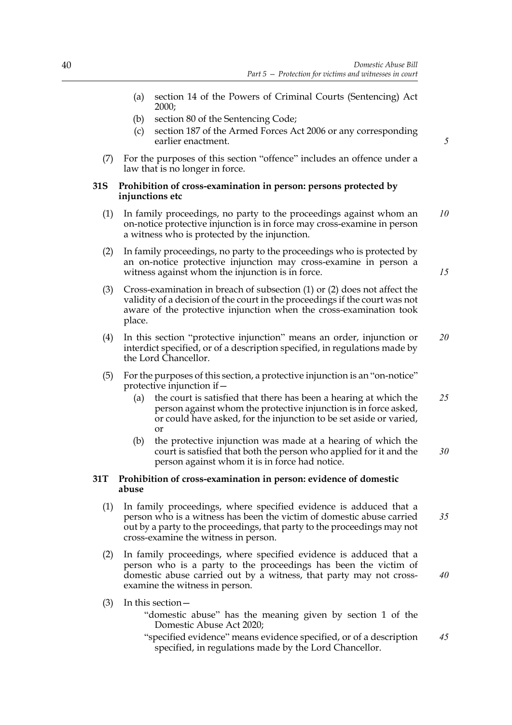- (a) section 14 of the Powers of Criminal Courts (Sentencing) Act 2000;
- (b) section 80 of the Sentencing Code;
- (c) section 187 of the Armed Forces Act 2006 or any corresponding earlier enactment.
- (7) For the purposes of this section "offence" includes an offence under a law that is no longer in force.

#### **31S Prohibition of cross-examination in person: persons protected by injunctions etc**

- (1) In family proceedings, no party to the proceedings against whom an on-notice protective injunction is in force may cross-examine in person a witness who is protected by the injunction. *10*
- (2) In family proceedings, no party to the proceedings who is protected by an on-notice protective injunction may cross-examine in person a witness against whom the injunction is in force.
- (3) Cross-examination in breach of subsection (1) or (2) does not affect the validity of a decision of the court in the proceedings if the court was not aware of the protective injunction when the cross-examination took place.
- (4) In this section "protective injunction" means an order, injunction or interdict specified, or of a description specified, in regulations made by the Lord Chancellor.
- (5) For the purposes of this section, a protective injunction is an "on-notice" protective injunction if—
	- (a) the court is satisfied that there has been a hearing at which the person against whom the protective injunction is in force asked, or could have asked, for the injunction to be set aside or varied, or *25*
	- (b) the protective injunction was made at a hearing of which the court is satisfied that both the person who applied for it and the person against whom it is in force had notice. *30*

#### **31T Prohibition of cross-examination in person: evidence of domestic abuse**

- (1) In family proceedings, where specified evidence is adduced that a person who is a witness has been the victim of domestic abuse carried out by a party to the proceedings, that party to the proceedings may not cross-examine the witness in person.
- (2) In family proceedings, where specified evidence is adduced that a person who is a party to the proceedings has been the victim of domestic abuse carried out by a witness, that party may not crossexamine the witness in person.
- (3) In this section—
	- "domestic abuse" has the meaning given by section 1 of the Domestic Abuse Act 2020;
	- "specified evidence" means evidence specified, or of a description specified, in regulations made by the Lord Chancellor. *45*

*5*

*15*

*20*

*35*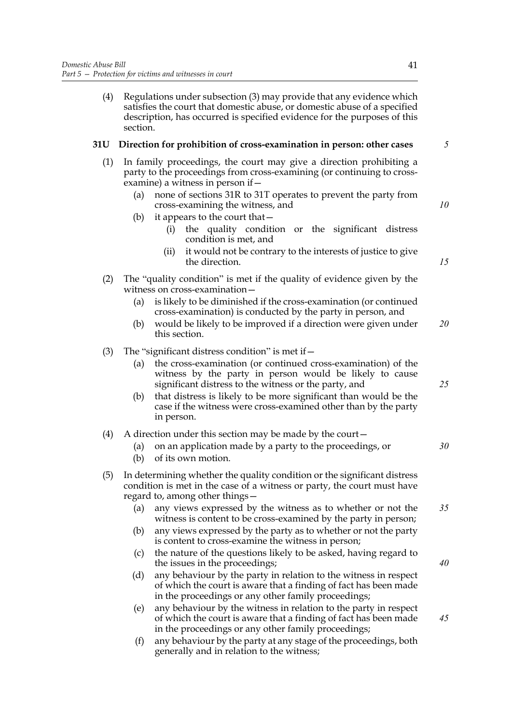(4) Regulations under subsection (3) may provide that any evidence which satisfies the court that domestic abuse, or domestic abuse of a specified description, has occurred is specified evidence for the purposes of this section.

#### **31U Direction for prohibition of cross-examination in person: other cases**

- (1) In family proceedings, the court may give a direction prohibiting a party to the proceedings from cross-examining (or continuing to crossexamine) a witness in person if—
	- (a) none of sections 31R to 31T operates to prevent the party from cross-examining the witness, and
	- (b) it appears to the court that—
		- (i) the quality condition or the significant distress condition is met, and
		- (ii) it would not be contrary to the interests of justice to give the direction.
- (2) The "quality condition" is met if the quality of evidence given by the witness on cross-examination—
	- (a) is likely to be diminished if the cross-examination (or continued cross-examination) is conducted by the party in person, and
	- (b) would be likely to be improved if a direction were given under this section. *20*

#### (3) The "significant distress condition" is met if  $-$

- (a) the cross-examination (or continued cross-examination) of the witness by the party in person would be likely to cause significant distress to the witness or the party, and
- (b) that distress is likely to be more significant than would be the case if the witness were cross-examined other than by the party in person.

#### (4) A direction under this section may be made by the court—

- (a) on an application made by a party to the proceedings, or (b) of its own motion.
- (5) In determining whether the quality condition or the significant distress condition is met in the case of a witness or party, the court must have regard to, among other things—
	- (a) any views expressed by the witness as to whether or not the witness is content to be cross-examined by the party in person; *35*
	- (b) any views expressed by the party as to whether or not the party is content to cross-examine the witness in person;
	- (c) the nature of the questions likely to be asked, having regard to the issues in the proceedings;
	- (d) any behaviour by the party in relation to the witness in respect of which the court is aware that a finding of fact has been made in the proceedings or any other family proceedings;
	- (e) any behaviour by the witness in relation to the party in respect of which the court is aware that a finding of fact has been made in the proceedings or any other family proceedings;
	- (f) any behaviour by the party at any stage of the proceedings, both generally and in relation to the witness;

*5*

*10*

*15*

*25*

*30*

*40*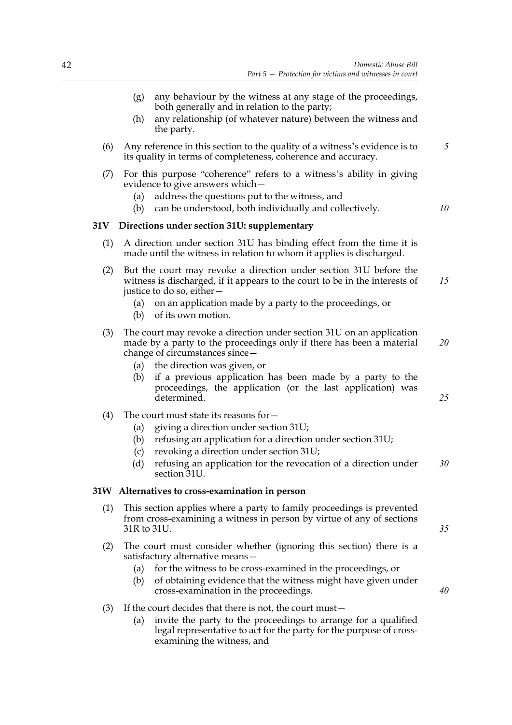- (g) any behaviour by the witness at any stage of the proceedings, both generally and in relation to the party;
- (h) any relationship (of whatever nature) between the witness and the party.
- (6) Any reference in this section to the quality of a witness's evidence is to its quality in terms of completeness, coherence and accuracy. *5*
- (7) For this purpose "coherence" refers to a witness's ability in giving evidence to give answers which—
	- (a) address the questions put to the witness, and
	- (b) can be understood, both individually and collectively. *10*

#### **31V Directions under section 31U: supplementary**

- (1) A direction under section 31U has binding effect from the time it is made until the witness in relation to whom it applies is discharged.
- (2) But the court may revoke a direction under section 31U before the witness is discharged, if it appears to the court to be in the interests of justice to do so, either— *15*
	- (a) on an application made by a party to the proceedings, or
	- (b) of its own motion.
- (3) The court may revoke a direction under section 31U on an application made by a party to the proceedings only if there has been a material change of circumstances since— *20*
	- (a) the direction was given, or
	- (b) if a previous application has been made by a party to the proceedings, the application (or the last application) was determined.
- (4) The court must state its reasons for—
	- (a) giving a direction under section 31U;
	- (b) refusing an application for a direction under section 31U;
	- (c) revoking a direction under section 31U;
	- (d) refusing an application for the revocation of a direction under section 31U. *30*

#### **31W Alternatives to cross-examination in person**

- (1) This section applies where a party to family proceedings is prevented from cross-examining a witness in person by virtue of any of sections 31R to 31U.
- (2) The court must consider whether (ignoring this section) there is a satisfactory alternative means—
	- (a) for the witness to be cross-examined in the proceedings, or
	- (b) of obtaining evidence that the witness might have given under cross-examination in the proceedings.
- (3) If the court decides that there is not, the court must—
	- (a) invite the party to the proceedings to arrange for a qualified legal representative to act for the party for the purpose of crossexamining the witness, and

*35*

*40*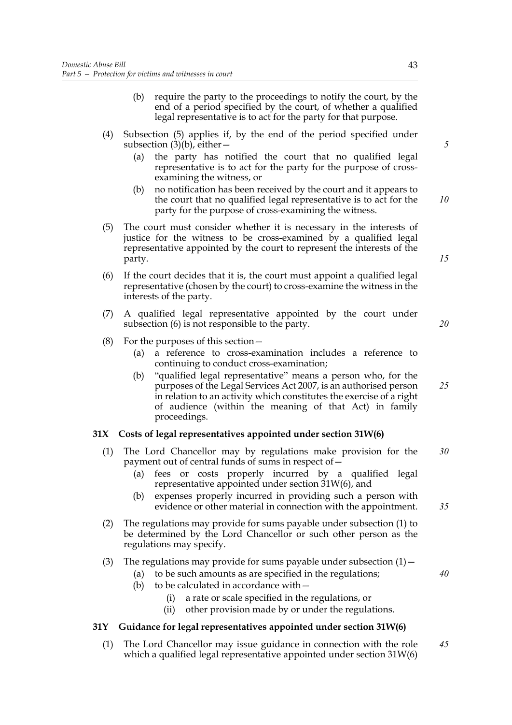- (b) require the party to the proceedings to notify the court, by the end of a period specified by the court, of whether a qualified legal representative is to act for the party for that purpose.
- (4) Subsection (5) applies if, by the end of the period specified under subsection  $(3)(b)$ , either –
	- (a) the party has notified the court that no qualified legal representative is to act for the party for the purpose of crossexamining the witness, or
	- (b) no notification has been received by the court and it appears to the court that no qualified legal representative is to act for the party for the purpose of cross-examining the witness. *10*
- (5) The court must consider whether it is necessary in the interests of justice for the witness to be cross-examined by a qualified legal representative appointed by the court to represent the interests of the party.
- (6) If the court decides that it is, the court must appoint a qualified legal representative (chosen by the court) to cross-examine the witness in the interests of the party.
- (7) A qualified legal representative appointed by the court under subsection (6) is not responsible to the party.
- (8) For the purposes of this section—
	- (a) a reference to cross-examination includes a reference to continuing to conduct cross-examination;
	- (b) "qualified legal representative" means a person who, for the purposes of the Legal Services Act 2007, is an authorised person in relation to an activity which constitutes the exercise of a right of audience (within the meaning of that Act) in family proceedings.

#### **31X Costs of legal representatives appointed under section 31W(6)**

- (1) The Lord Chancellor may by regulations make provision for the payment out of central funds of sums in respect of— *30*
	- (a) fees or costs properly incurred by a qualified legal representative appointed under section 31W(6), and
	- (b) expenses properly incurred in providing such a person with evidence or other material in connection with the appointment.
- (2) The regulations may provide for sums payable under subsection (1) to be determined by the Lord Chancellor or such other person as the regulations may specify.

#### (3) The regulations may provide for sums payable under subsection  $(1)$  -

- (a) to be such amounts as are specified in the regulations;
- (b) to be calculated in accordance with—
	- (i) a rate or scale specified in the regulations, or
	- (ii) other provision made by or under the regulations.

#### **31Y Guidance for legal representatives appointed under section 31W(6)**

(1) The Lord Chancellor may issue guidance in connection with the role which a qualified legal representative appointed under section 31W(6) *45*

*15*

*5*

*20*

*25*

*35*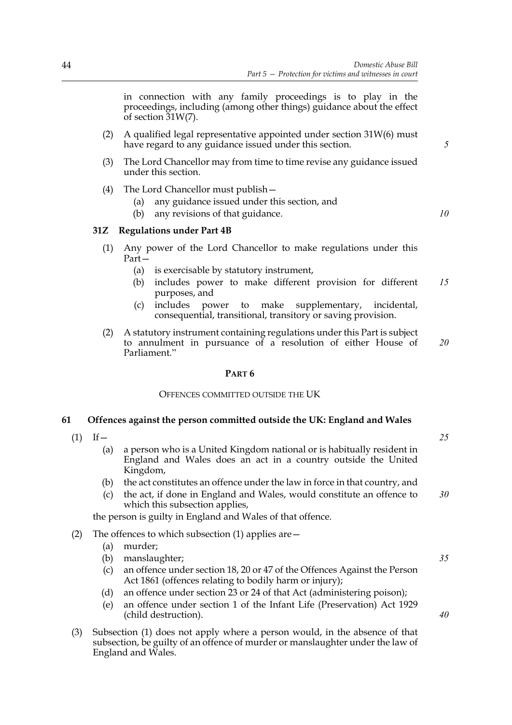in connection with any family proceedings is to play in the proceedings, including (among other things) guidance about the effect of section 31W(7).

- (2) A qualified legal representative appointed under section  $31W(6)$  must have regard to any guidance issued under this section.
- (3) The Lord Chancellor may from time to time revise any guidance issued under this section.
- (4) The Lord Chancellor must publish—
	- (a) any guidance issued under this section, and
	- (b) any revisions of that guidance.

#### **31Z Regulations under Part 4B**

- (1) Any power of the Lord Chancellor to make regulations under this Part—
	- (a) is exercisable by statutory instrument,
	- (b) includes power to make different provision for different purposes, and *15*
	- (c) includes power to make supplementary, incidental, consequential, transitional, transitory or saving provision.
- (2) A statutory instrument containing regulations under this Part is subject to annulment in pursuance of a resolution of either House of Parliament." *20*

#### **PART 6**

#### OFFENCES COMMITTED OUTSIDE THE UK

#### **61 Offences against the person committed outside the UK: England and Wales**

- $(1)$  If
	- (a) a person who is a United Kingdom national or is habitually resident in England and Wales does an act in a country outside the United Kingdom,
	- (b) the act constitutes an offence under the law in force in that country, and
	- (c) the act, if done in England and Wales, would constitute an offence to which this subsection applies, *30*

the person is guilty in England and Wales of that offence.

- (2) The offences to which subsection (1) applies are  $-$ 
	- (a) murder;
	- (b) manslaughter;
	- (c) an offence under section 18, 20 or 47 of the Offences Against the Person Act 1861 (offences relating to bodily harm or injury);
	- (d) an offence under section 23 or 24 of that Act (administering poison);
	- (e) an offence under section 1 of the Infant Life (Preservation) Act 1929 (child destruction).
- (3) Subsection (1) does not apply where a person would, in the absence of that subsection, be guilty of an offence of murder or manslaughter under the law of England and Wales.

*5*

*10*

*25*

*35*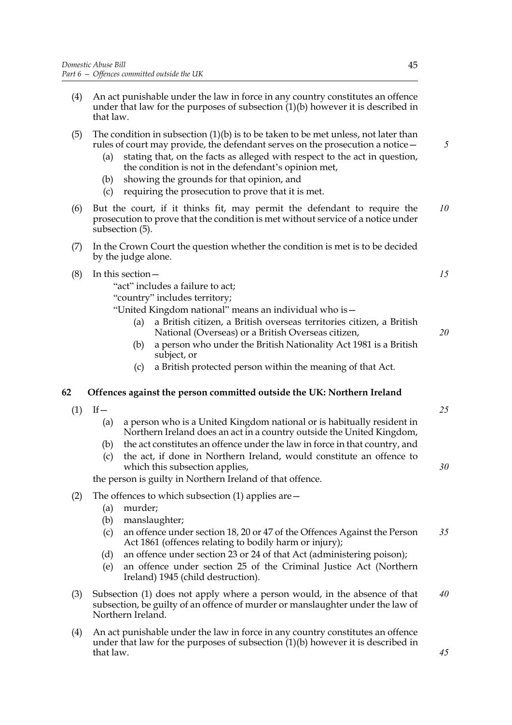- (4) An act punishable under the law in force in any country constitutes an offence under that law for the purposes of subsection (1)(b) however it is described in that law.
- (5) The condition in subsection  $(1)(b)$  is to be taken to be met unless, not later than rules of court may provide, the defendant serves on the prosecution a notice—
	- (a) stating that, on the facts as alleged with respect to the act in question, the condition is not in the defendant's opinion met,
	- (b) showing the grounds for that opinion, and
	- (c) requiring the prosecution to prove that it is met.
- (6) But the court, if it thinks fit, may permit the defendant to require the prosecution to prove that the condition is met without service of a notice under subsection (5). *10*
- (7) In the Crown Court the question whether the condition is met is to be decided by the judge alone.
- (8) In this section—

"act" includes a failure to act; "country" includes territory;

"United Kingdom national" means an individual who is—

- (a) a British citizen, a British overseas territories citizen, a British National (Overseas) or a British Overseas citizen,
- (b) a person who under the British Nationality Act 1981 is a British subject, or
- (c) a British protected person within the meaning of that Act.

#### **62 Offences against the person committed outside the UK: Northern Ireland**

- $(1)$  If  $-$ 
	- (a) a person who is a United Kingdom national or is habitually resident in Northern Ireland does an act in a country outside the United Kingdom,
	- (b) the act constitutes an offence under the law in force in that country, and
	- (c) the act, if done in Northern Ireland, would constitute an offence to which this subsection applies,

the person is guilty in Northern Ireland of that offence.

- (2) The offences to which subsection (1) applies are  $-$ 
	- (a) murder;
	- (b) manslaughter;
	- (c) an offence under section 18, 20 or 47 of the Offences Against the Person Act 1861 (offences relating to bodily harm or injury); *35*
	- (d) an offence under section 23 or 24 of that Act (administering poison);
	- (e) an offence under section 25 of the Criminal Justice Act (Northern Ireland) 1945 (child destruction).
- (3) Subsection (1) does not apply where a person would, in the absence of that subsection, be guilty of an offence of murder or manslaughter under the law of Northern Ireland. *40*
- (4) An act punishable under the law in force in any country constitutes an offence under that law for the purposes of subsection (1)(b) however it is described in that law.

*5*

*15*

*20*

*25*

*30*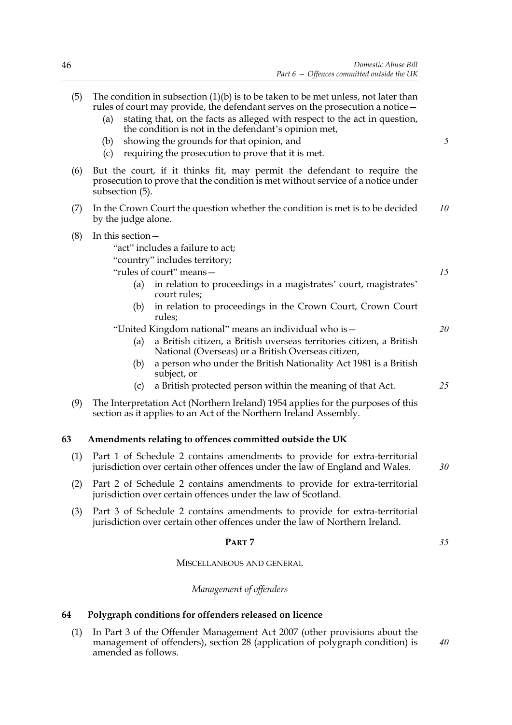| (5) | The condition in subsection $(1)(b)$ is to be taken to be met unless, not later than<br>rules of court may provide, the defendant serves on the prosecution a notice -<br>stating that, on the facts as alleged with respect to the act in question,<br>(a)<br>the condition is not in the defendant's opinion met,<br>showing the grounds for that opinion, and<br>(b)<br>requiring the prosecution to prove that it is met.<br>(c) | 5  |
|-----|--------------------------------------------------------------------------------------------------------------------------------------------------------------------------------------------------------------------------------------------------------------------------------------------------------------------------------------------------------------------------------------------------------------------------------------|----|
| (6) | But the court, if it thinks fit, may permit the defendant to require the<br>prosecution to prove that the condition is met without service of a notice under<br>subsection (5).                                                                                                                                                                                                                                                      |    |
| (7) | In the Crown Court the question whether the condition is met is to be decided<br>by the judge alone.                                                                                                                                                                                                                                                                                                                                 | 10 |
| (8) | In this section-<br>"act" includes a failure to act;                                                                                                                                                                                                                                                                                                                                                                                 |    |
|     | "country" includes territory;                                                                                                                                                                                                                                                                                                                                                                                                        |    |
|     | "rules of court" means-                                                                                                                                                                                                                                                                                                                                                                                                              | 15 |
|     | in relation to proceedings in a magistrates' court, magistrates'<br>(a)<br>court rules;                                                                                                                                                                                                                                                                                                                                              |    |
|     | in relation to proceedings in the Crown Court, Crown Court<br>(b)<br>rules;                                                                                                                                                                                                                                                                                                                                                          |    |
|     | "United Kingdom national" means an individual who is-                                                                                                                                                                                                                                                                                                                                                                                | 20 |
|     | a British citizen, a British overseas territories citizen, a British<br>(a)<br>National (Overseas) or a British Overseas citizen,                                                                                                                                                                                                                                                                                                    |    |
|     | a person who under the British Nationality Act 1981 is a British<br>(b)<br>subject, or                                                                                                                                                                                                                                                                                                                                               |    |
|     | a British protected person within the meaning of that Act.<br>(c)                                                                                                                                                                                                                                                                                                                                                                    | 25 |
| (9) | The Interpretation Act (Northern Ireland) 1954 applies for the purposes of this<br>section as it applies to an Act of the Northern Ireland Assembly.                                                                                                                                                                                                                                                                                 |    |
| 63  | Amendments relating to offences committed outside the UK                                                                                                                                                                                                                                                                                                                                                                             |    |
| (1) | Part 1 of Schedule 2 contains amendments to provide for extra-territorial<br>jurisdiction over certain other offences under the law of England and Wales.                                                                                                                                                                                                                                                                            | 30 |
| (2) | Part 2 of Schedule 2 contains amendments to provide for extra-territorial<br>jurisdiction over certain offences under the law of Scotland.                                                                                                                                                                                                                                                                                           |    |
| (3) | Part 3 of Schedule 2 contains amendments to provide for extra-territorial                                                                                                                                                                                                                                                                                                                                                            |    |

#### **PART 7**

jurisdiction over certain other offences under the law of Northern Ireland.

*35*

#### MISCELLANEOUS AND GENERAL

### *Management of offenders*

#### **64 Polygraph conditions for offenders released on licence**

(1) In Part 3 of the Offender Management Act 2007 (other provisions about the management of offenders), section 28 (application of polygraph condition) is amended as follows. *40*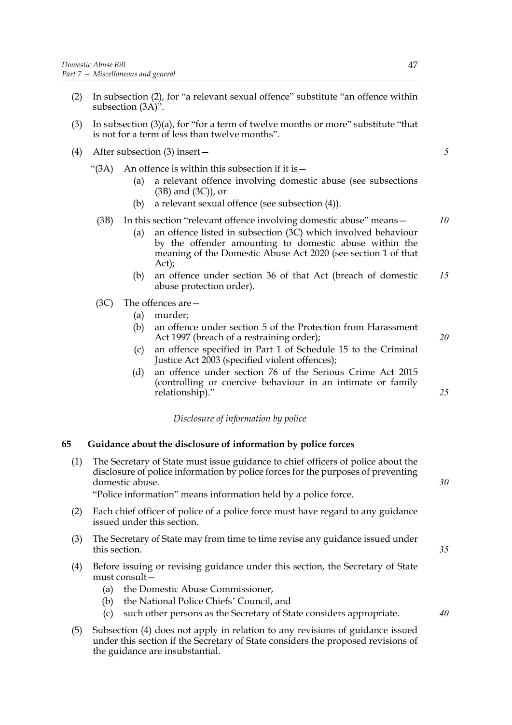- (2) In subsection (2), for "a relevant sexual offence" substitute "an offence within subsection  $(3A)$ ".
- (3) In subsection  $(3)(a)$ , for "for a term of twelve months or more" substitute "that is not for a term of less than twelve months".
- (4) After subsection (3) insert—
	- "(3A) An offence is within this subsection if it is
		- a relevant offence involving domestic abuse (see subsections (3B) and (3C)), or
		- (b) a relevant sexual offence (see subsection (4)).

#### (3B) In this section "relevant offence involving domestic abuse" means— *10*

- (a) an offence listed in subsection (3C) which involved behaviour by the offender amounting to domestic abuse within the meaning of the Domestic Abuse Act 2020 (see section 1 of that Act);
- (b) an offence under section 36 of that Act (breach of domestic abuse protection order). *15*
- (3C) The offences are—
	- (a) murder;
	- (b) an offence under section 5 of the Protection from Harassment Act 1997 (breach of a restraining order);
	- (c) an offence specified in Part 1 of Schedule 15 to the Criminal Justice Act 2003 (specified violent offences);
	- (d) an offence under section 76 of the Serious Crime Act 2015 (controlling or coercive behaviour in an intimate or family relationship)."

#### *Disclosure of information by police*

#### **65 Guidance about the disclosure of information by police forces**

(1) The Secretary of State must issue guidance to chief officers of police about the disclosure of police information by police forces for the purposes of preventing domestic abuse.

"Police information" means information held by a police force.

- (2) Each chief officer of police of a police force must have regard to any guidance issued under this section.
- (3) The Secretary of State may from time to time revise any guidance issued under this section.
- (4) Before issuing or revising guidance under this section, the Secretary of State must consult—
	- (a) the Domestic Abuse Commissioner,
	- (b) the National Police Chiefs' Council, and
	- (c) such other persons as the Secretary of State considers appropriate.
- (5) Subsection (4) does not apply in relation to any revisions of guidance issued under this section if the Secretary of State considers the proposed revisions of the guidance are insubstantial.

*5*

*30*

*20*

*25*

*35*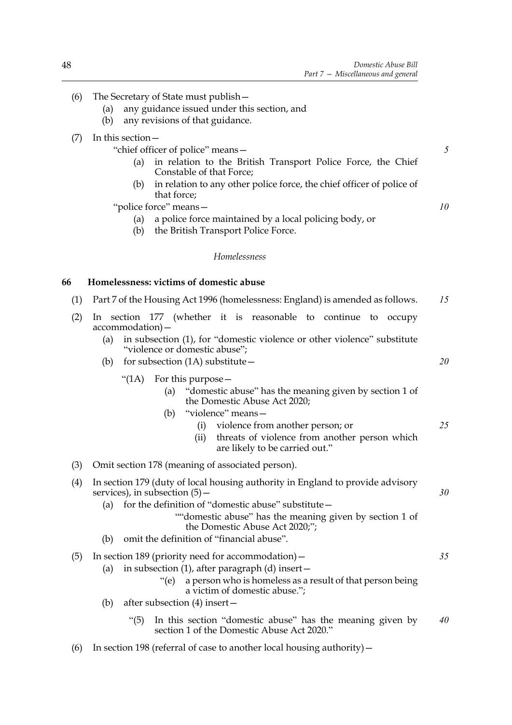- (6) The Secretary of State must publish—
	- (a) any guidance issued under this section, and
	- (b) any revisions of that guidance.
- (7) In this section—

"chief officer of police" means—

- (a) in relation to the British Transport Police Force, the Chief Constable of that Force;
- (b) in relation to any other police force, the chief officer of police of that force;

"police force" means—

- (a) a police force maintained by a local policing body, or
- (b) the British Transport Police Force.

#### *Homelessness*

#### **66 Homelessness: victims of domestic abuse**

- (1) Part 7 of the Housing Act 1996 (homelessness: England) is amended as follows. *15*
- (2) In section 177 (whether it is reasonable to continue to occupy accommodation)—
	- (a) in subsection (1), for "domestic violence or other violence" substitute "violence or domestic abuse";
	- (b) for subsection  $(1A)$  substitute  $-$ 
		- " $(1A)$  For this purpose  $-$ 
			- (a) "domestic abuse" has the meaning given by section 1 of the Domestic Abuse Act 2020;
			- (b) "violence" means—
				- (i) violence from another person; or *25*
				- (ii) threats of violence from another person which are likely to be carried out."
- (3) Omit section 178 (meaning of associated person).
- (4) In section 179 (duty of local housing authority in England to provide advisory services), in subsection (5)— (a) for the definition of "domestic abuse" substitute  $-$ *30*
	- ""domestic abuse" has the meaning given by section 1 of the Domestic Abuse Act 2020;";
	- (b) omit the definition of "financial abuse".
- (5) In section 189 (priority need for accommodation)—
	- (a) in subsection (1), after paragraph (d) insert—
		- "(e) a person who is homeless as a result of that person being a victim of domestic abuse.";
	- (b) after subsection (4) insert—
		- "(5) In this section "domestic abuse" has the meaning given by section 1 of the Domestic Abuse Act 2020." *40*
- (6) In section 198 (referral of case to another local housing authority)  $-$

*10*

*5*

*20*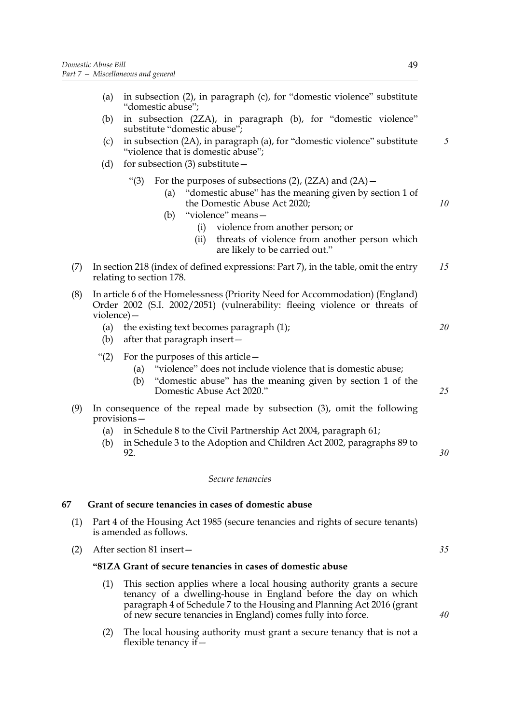- (a) in subsection (2), in paragraph (c), for "domestic violence" substitute "domestic abuse"; (b) in subsection (2ZA), in paragraph (b), for "domestic violence" substitute "domestic abuse"; (c) in subsection (2A), in paragraph (a), for "domestic violence" substitute "violence that is domestic abuse"; (d) for subsection (3) substitute— "(3) For the purposes of subsections  $(2)$ ,  $(2ZA)$  and  $(2A)$  -(a) "domestic abuse" has the meaning given by section 1 of the Domestic Abuse Act 2020; (b) "violence" means— (i) violence from another person; or (ii) threats of violence from another person which are likely to be carried out." (7) In section 218 (index of defined expressions: Part 7), in the table, omit the entry relating to section 178. (8) In article 6 of the Homelessness (Priority Need for Accommodation) (England) Order 2002 (S.I. 2002/2051) (vulnerability: fleeing violence or threats of violence)—
	- (a) the existing text becomes paragraph (1);
	- (b) after that paragraph insert—
	- "(2) For the purposes of this article—
		- (a) "violence" does not include violence that is domestic abuse;
		- (b) "domestic abuse" has the meaning given by section 1 of the Domestic Abuse Act 2020."
- (9) In consequence of the repeal made by subsection (3), omit the following provisions—
	- (a) in Schedule 8 to the Civil Partnership Act 2004, paragraph 61;
	- (b) in Schedule 3 to the Adoption and Children Act 2002, paragraphs 89 to 92.

#### *Secure tenancies*

#### **67 Grant of secure tenancies in cases of domestic abuse**

- (1) Part 4 of the Housing Act 1985 (secure tenancies and rights of secure tenants) is amended as follows.
- (2) After section 81 insert—

#### **"81ZA Grant of secure tenancies in cases of domestic abuse**

- (1) This section applies where a local housing authority grants a secure tenancy of a dwelling-house in England before the day on which paragraph 4 of Schedule 7 to the Housing and Planning Act 2016 (grant of new secure tenancies in England) comes fully into force.
- (2) The local housing authority must grant a secure tenancy that is not a flexible tenancy if—

*5*

*10*

*15*

*20*

*25*

*30*

*35*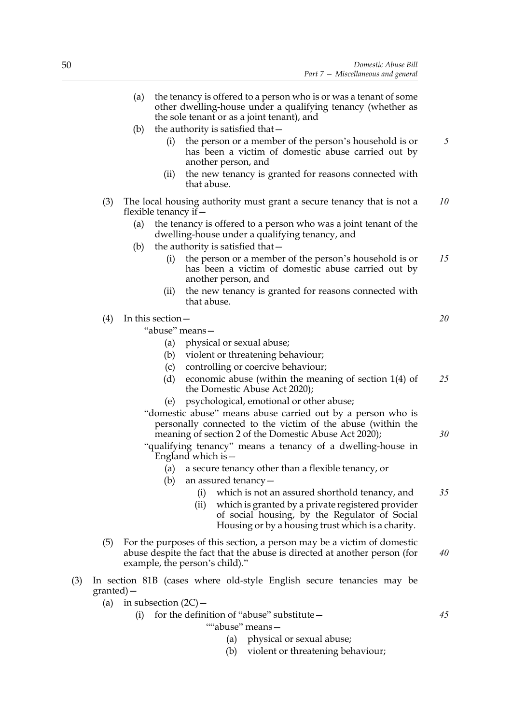|     | the tenancy is offered to a person who is or was a tenant of some<br>(a)<br>other dwelling-house under a qualifying tenancy (whether as<br>the sole tenant or as a joint tenant), and |                                                                                                                                                                                                                                                                                                                                                                                                                                                                                                                                                    |
|-----|---------------------------------------------------------------------------------------------------------------------------------------------------------------------------------------|----------------------------------------------------------------------------------------------------------------------------------------------------------------------------------------------------------------------------------------------------------------------------------------------------------------------------------------------------------------------------------------------------------------------------------------------------------------------------------------------------------------------------------------------------|
|     |                                                                                                                                                                                       |                                                                                                                                                                                                                                                                                                                                                                                                                                                                                                                                                    |
|     | the person or a member of the person's household is or<br>(i)<br>has been a victim of domestic abuse carried out by<br>another person, and                                            | 5                                                                                                                                                                                                                                                                                                                                                                                                                                                                                                                                                  |
|     | the new tenancy is granted for reasons connected with<br>(ii)<br>that abuse.                                                                                                          |                                                                                                                                                                                                                                                                                                                                                                                                                                                                                                                                                    |
| (3) | The local housing authority must grant a secure tenancy that is not a<br>flexible tenancy if $-$                                                                                      | 10                                                                                                                                                                                                                                                                                                                                                                                                                                                                                                                                                 |
|     | the tenancy is offered to a person who was a joint tenant of the<br>(a)<br>dwelling-house under a qualifying tenancy, and                                                             |                                                                                                                                                                                                                                                                                                                                                                                                                                                                                                                                                    |
|     | (b)                                                                                                                                                                                   |                                                                                                                                                                                                                                                                                                                                                                                                                                                                                                                                                    |
|     | the person or a member of the person's household is or<br>(i)<br>has been a victim of domestic abuse carried out by<br>another person, and                                            | 15                                                                                                                                                                                                                                                                                                                                                                                                                                                                                                                                                 |
|     | the new tenancy is granted for reasons connected with<br>(11)<br>that abuse.                                                                                                          |                                                                                                                                                                                                                                                                                                                                                                                                                                                                                                                                                    |
|     |                                                                                                                                                                                       | 20                                                                                                                                                                                                                                                                                                                                                                                                                                                                                                                                                 |
|     |                                                                                                                                                                                       |                                                                                                                                                                                                                                                                                                                                                                                                                                                                                                                                                    |
|     |                                                                                                                                                                                       |                                                                                                                                                                                                                                                                                                                                                                                                                                                                                                                                                    |
|     |                                                                                                                                                                                       |                                                                                                                                                                                                                                                                                                                                                                                                                                                                                                                                                    |
|     |                                                                                                                                                                                       |                                                                                                                                                                                                                                                                                                                                                                                                                                                                                                                                                    |
|     | (d)<br>economic abuse (within the meaning of section $1(4)$ of                                                                                                                        | 25                                                                                                                                                                                                                                                                                                                                                                                                                                                                                                                                                 |
|     |                                                                                                                                                                                       |                                                                                                                                                                                                                                                                                                                                                                                                                                                                                                                                                    |
|     | "domestic abuse" means abuse carried out by a person who is<br>personally connected to the victim of the abuse (within the<br>meaning of section 2 of the Domestic Abuse Act 2020);   | 30                                                                                                                                                                                                                                                                                                                                                                                                                                                                                                                                                 |
|     | "qualifying tenancy" means a tenancy of a dwelling-house in<br>England which is $-$                                                                                                   |                                                                                                                                                                                                                                                                                                                                                                                                                                                                                                                                                    |
|     | a secure tenancy other than a flexible tenancy, or<br>(a)                                                                                                                             |                                                                                                                                                                                                                                                                                                                                                                                                                                                                                                                                                    |
|     |                                                                                                                                                                                       |                                                                                                                                                                                                                                                                                                                                                                                                                                                                                                                                                    |
|     | which is granted by a private registered provider<br>(ii)<br>of social housing, by the Regulator of Social<br>Housing or by a housing trust which is a charity.                       | 35                                                                                                                                                                                                                                                                                                                                                                                                                                                                                                                                                 |
| (5) | For the purposes of this section, a person may be a victim of domestic<br>abuse despite the fact that the abuse is directed at another person (for<br>example, the person's child)."  | 40                                                                                                                                                                                                                                                                                                                                                                                                                                                                                                                                                 |
|     |                                                                                                                                                                                       |                                                                                                                                                                                                                                                                                                                                                                                                                                                                                                                                                    |
|     |                                                                                                                                                                                       |                                                                                                                                                                                                                                                                                                                                                                                                                                                                                                                                                    |
|     | for the definition of "abuse" substitute -<br>(i)                                                                                                                                     | 45                                                                                                                                                                                                                                                                                                                                                                                                                                                                                                                                                 |
|     | ""abuse" means-                                                                                                                                                                       |                                                                                                                                                                                                                                                                                                                                                                                                                                                                                                                                                    |
|     | (4)                                                                                                                                                                                   | the authority is satisfied that -<br>(b)<br>the authority is satisfied that -<br>In this section -<br>"abuse" means-<br>physical or sexual abuse;<br>(a)<br>(b)<br>violent or threatening behaviour;<br>controlling or coercive behaviour;<br>(c)<br>the Domestic Abuse Act 2020);<br>psychological, emotional or other abuse;<br>(e)<br>(b)<br>an assured tenancy -<br>which is not an assured shorthold tenancy, and<br>(i)<br>In section 81B (cases where old-style English secure tenancies may be<br>granted) –<br>(a) in subsection $(2C)$ – |

- (a) physical or sexual abuse;
- (b) violent or threatening behaviour;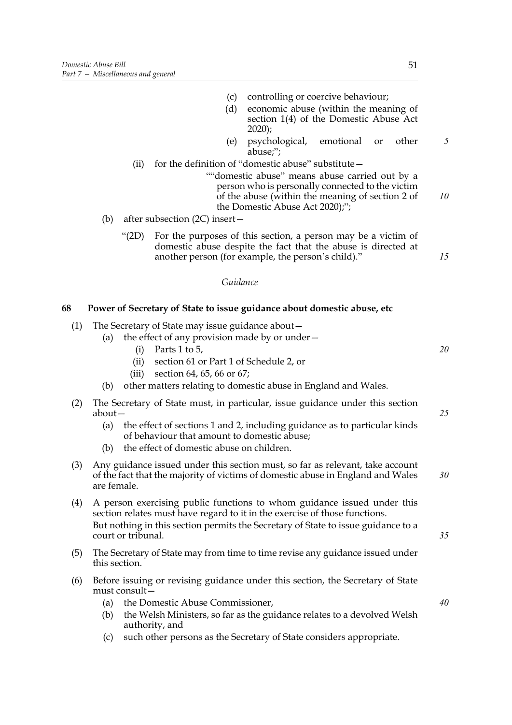- (c) controlling or coercive behaviour;
- (d) economic abuse (within the meaning of section 1(4) of the Domestic Abuse Act 2020);
- (e) psychological, emotional or other abuse;"; *5*
- (ii) for the definition of "domestic abuse" substitute—
	- ""domestic abuse" means abuse carried out by a person who is personally connected to the victim of the abuse (within the meaning of section 2 of the Domestic Abuse Act 2020);"; *10*
- (b) after subsection (2C) insert—
	- "(2D) For the purposes of this section, a person may be a victim of domestic abuse despite the fact that the abuse is directed at another person (for example, the person's child)."

#### *Guidance*

#### **68 Power of Secretary of State to issue guidance about domestic abuse, etc**

- (1) The Secretary of State may issue guidance about—
	- (a) the effect of any provision made by or under—
		- (i) Parts 1 to 5,
		- (ii) section 61 or Part 1 of Schedule 2, or
		- (iii) section 64, 65, 66 or 67;
	- (b) other matters relating to domestic abuse in England and Wales.
- (2) The Secretary of State must, in particular, issue guidance under this section about—
	- (a) the effect of sections 1 and 2, including guidance as to particular kinds of behaviour that amount to domestic abuse;
	- (b) the effect of domestic abuse on children.
- (3) Any guidance issued under this section must, so far as relevant, take account of the fact that the majority of victims of domestic abuse in England and Wales are female. *30*
- (4) A person exercising public functions to whom guidance issued under this section relates must have regard to it in the exercise of those functions. But nothing in this section permits the Secretary of State to issue guidance to a court or tribunal.
- (5) The Secretary of State may from time to time revise any guidance issued under this section.
- (6) Before issuing or revising guidance under this section, the Secretary of State must consult—
	- (a) the Domestic Abuse Commissioner,
	- (b) the Welsh Ministers, so far as the guidance relates to a devolved Welsh authority, and
	- (c) such other persons as the Secretary of State considers appropriate.

*15*

*20*

*25*

*35*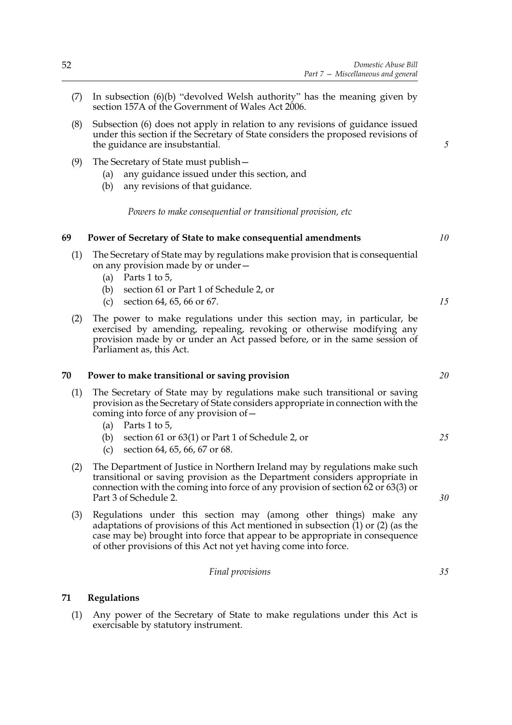- (7) In subsection (6)(b) "devolved Welsh authority" has the meaning given by section 157A of the Government of Wales Act 2006.
- (8) Subsection (6) does not apply in relation to any revisions of guidance issued under this section if the Secretary of State considers the proposed revisions of the guidance are insubstantial.
- (9) The Secretary of State must publish—
	- (a) any guidance issued under this section, and
	- (b) any revisions of that guidance.

*Powers to make consequential or transitional provision, etc*

#### **69 Power of Secretary of State to make consequential amendments**

- (1) The Secretary of State may by regulations make provision that is consequential on any provision made by or under—
	- (a) Parts 1 to 5,
	- (b) section 61 or Part 1 of Schedule 2, or
	- (c) section 64, 65, 66 or 67.
- (2) The power to make regulations under this section may, in particular, be exercised by amending, repealing, revoking or otherwise modifying any provision made by or under an Act passed before, or in the same session of Parliament as, this Act.

#### **70 Power to make transitional or saving provision**

- (1) The Secretary of State may by regulations make such transitional or saving provision as the Secretary of State considers appropriate in connection with the coming into force of any provision of—
	- (a) Parts 1 to 5,
	- (b) section 61 or 63(1) or Part 1 of Schedule 2, or
	- (c) section 64, 65, 66, 67 or 68.
- (2) The Department of Justice in Northern Ireland may by regulations make such transitional or saving provision as the Department considers appropriate in connection with the coming into force of any provision of section 62 or 63(3) or Part 3 of Schedule 2.
- (3) Regulations under this section may (among other things) make any adaptations of provisions of this Act mentioned in subsection  $(1)$  or  $(2)$  (as the case may be) brought into force that appear to be appropriate in consequence of other provisions of this Act not yet having come into force.

*Final provisions*

#### **71 Regulations**

(1) Any power of the Secretary of State to make regulations under this Act is exercisable by statutory instrument.

*20*

*5*

*10*

*15*

*25*

*30*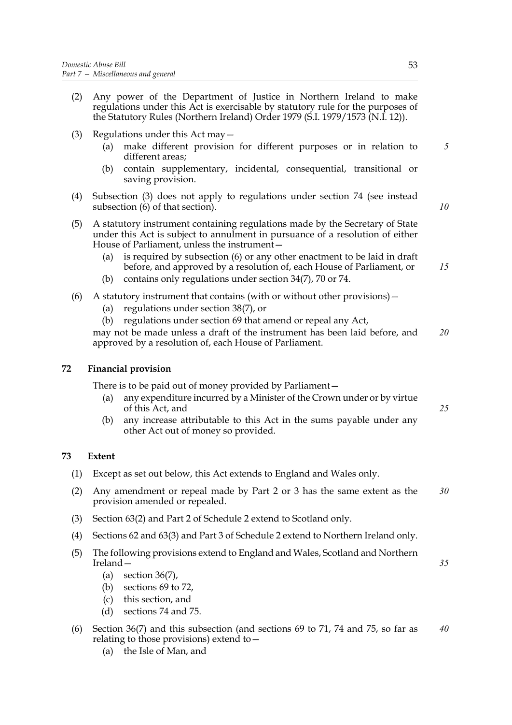- (2) Any power of the Department of Justice in Northern Ireland to make regulations under this Act is exercisable by statutory rule for the purposes of the Statutory Rules (Northern Ireland) Order 1979 (S.I. 1979/1573 (N.I. 12)).
- (3) Regulations under this Act may—
	- (a) make different provision for different purposes or in relation to different areas;
	- (b) contain supplementary, incidental, consequential, transitional or saving provision.
- (4) Subsection (3) does not apply to regulations under section 74 (see instead subsection (6) of that section).
- (5) A statutory instrument containing regulations made by the Secretary of State under this Act is subject to annulment in pursuance of a resolution of either House of Parliament, unless the instrument—
	- (a) is required by subsection (6) or any other enactment to be laid in draft before, and approved by a resolution of, each House of Parliament, or *15*
	- (b) contains only regulations under section 34(7), 70 or 74.
- (6) A statutory instrument that contains (with or without other provisions)  $-$ 
	- (a) regulations under section 38(7), or
	- (b) regulations under section 69 that amend or repeal any Act,

may not be made unless a draft of the instrument has been laid before, and approved by a resolution of, each House of Parliament. *20*

#### **72 Financial provision**

There is to be paid out of money provided by Parliament—

- (a) any expenditure incurred by a Minister of the Crown under or by virtue of this Act, and
- (b) any increase attributable to this Act in the sums payable under any other Act out of money so provided.

#### **73 Extent**

- (1) Except as set out below, this Act extends to England and Wales only.
- (2) Any amendment or repeal made by Part 2 or 3 has the same extent as the provision amended or repealed. *30*
- (3) Section 63(2) and Part 2 of Schedule 2 extend to Scotland only.
- (4) Sections 62 and 63(3) and Part 3 of Schedule 2 extend to Northern Ireland only.
- (5) The following provisions extend to England and Wales, Scotland and Northern Ireland—
	- (a) section 36(7),
	- (b) sections 69 to 72,
	- (c) this section, and
	- (d) sections 74 and 75.
- (6) Section 36(7) and this subsection (and sections 69 to 71, 74 and 75, so far as relating to those provisions) extend to— *40*
	- (a) the Isle of Man, and

*25*

*35*

*10*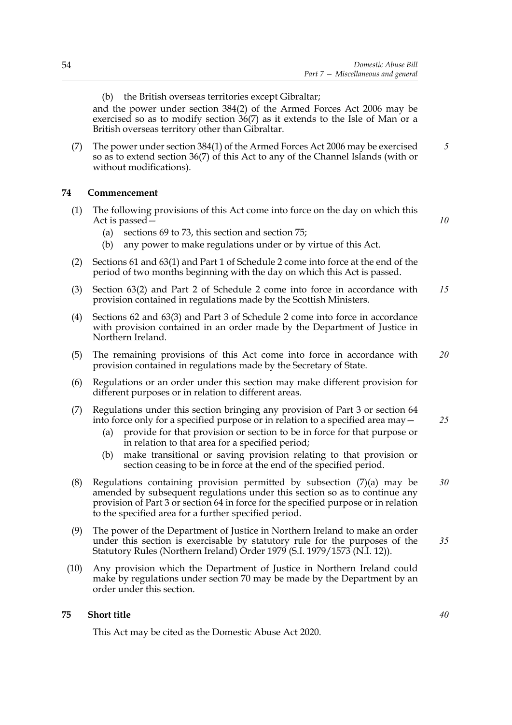(b) the British overseas territories except Gibraltar;

and the power under section 384(2) of the Armed Forces Act 2006 may be exercised so as to modify section 36(7) as it extends to the Isle of Man or a British overseas territory other than Gibraltar.

(7) The power under section 384(1) of the Armed Forces Act 2006 may be exercised so as to extend section 36(7) of this Act to any of the Channel Islands (with or without modifications). *5*

#### **74 Commencement**

(1) The following provisions of this Act come into force on the day on which this Act is passed—

*10*

- (a) sections 69 to 73, this section and section 75;
- (b) any power to make regulations under or by virtue of this Act.
- (2) Sections 61 and 63(1) and Part 1 of Schedule 2 come into force at the end of the period of two months beginning with the day on which this Act is passed.
- (3) Section 63(2) and Part 2 of Schedule 2 come into force in accordance with provision contained in regulations made by the Scottish Ministers. *15*
- (4) Sections 62 and 63(3) and Part 3 of Schedule 2 come into force in accordance with provision contained in an order made by the Department of Justice in Northern Ireland.
- (5) The remaining provisions of this Act come into force in accordance with provision contained in regulations made by the Secretary of State. *20*
- (6) Regulations or an order under this section may make different provision for different purposes or in relation to different areas.
- (7) Regulations under this section bringing any provision of Part 3 or section 64 into force only for a specified purpose or in relation to a specified area may—
	- (a) provide for that provision or section to be in force for that purpose or in relation to that area for a specified period;
	- (b) make transitional or saving provision relating to that provision or section ceasing to be in force at the end of the specified period.
- (8) Regulations containing provision permitted by subsection  $(7)(a)$  may be amended by subsequent regulations under this section so as to continue any provision of Part 3 or section 64 in force for the specified purpose or in relation to the specified area for a further specified period. *30*
- (9) The power of the Department of Justice in Northern Ireland to make an order under this section is exercisable by statutory rule for the purposes of the Statutory Rules (Northern Ireland) Order 1979 (S.I. 1979/1573 (N.I. 12)).
- (10) Any provision which the Department of Justice in Northern Ireland could make by regulations under section 70 may be made by the Department by an order under this section.

#### **75 Short title**

This Act may be cited as the Domestic Abuse Act 2020.

*40*

*35*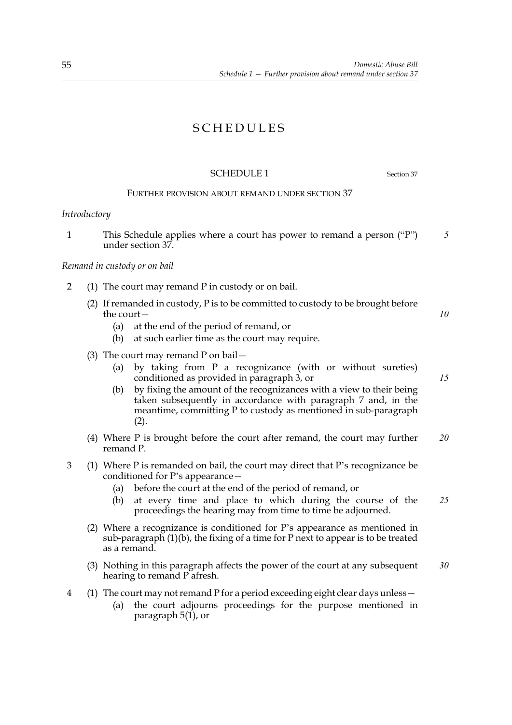# SCHEDULES

### SCHEDULE 1 Section 37

*10*

*15*

#### FURTHER PROVISION ABOUT REMAND UNDER SECTION 37

#### *Introductory*

1 This Schedule applies where a court has power to remand a person ("P") under section 37. *5*

#### *Remand in custody or on bail*

- 2 (1) The court may remand P in custody or on bail.
	- (2) If remanded in custody, P is to be committed to custody to be brought before the court—
		- (a) at the end of the period of remand, or
		- (b) at such earlier time as the court may require.
	- (3) The court may remand P on bail  $-$ 
		- (a) by taking from P a recognizance (with or without sureties) conditioned as provided in paragraph 3, or
		- (b) by fixing the amount of the recognizances with a view to their being taken subsequently in accordance with paragraph 7 and, in the meantime, committing P to custody as mentioned in sub-paragraph  $(2).$
	- (4) Where P is brought before the court after remand, the court may further remand P. *20*
- 3 (1) Where P is remanded on bail, the court may direct that P's recognizance be conditioned for P's appearance—
	- (a) before the court at the end of the period of remand, or
	- (b) at every time and place to which during the course of the proceedings the hearing may from time to time be adjourned. *25*
	- (2) Where a recognizance is conditioned for P's appearance as mentioned in sub-paragraph (1)(b), the fixing of a time for P next to appear is to be treated as a remand.
	- (3) Nothing in this paragraph affects the power of the court at any subsequent hearing to remand P afresh. *30*
- 4 (1) The court may not remand P for a period exceeding eight clear days unless—
	- (a) the court adjourns proceedings for the purpose mentioned in paragraph  $5(1)$ , or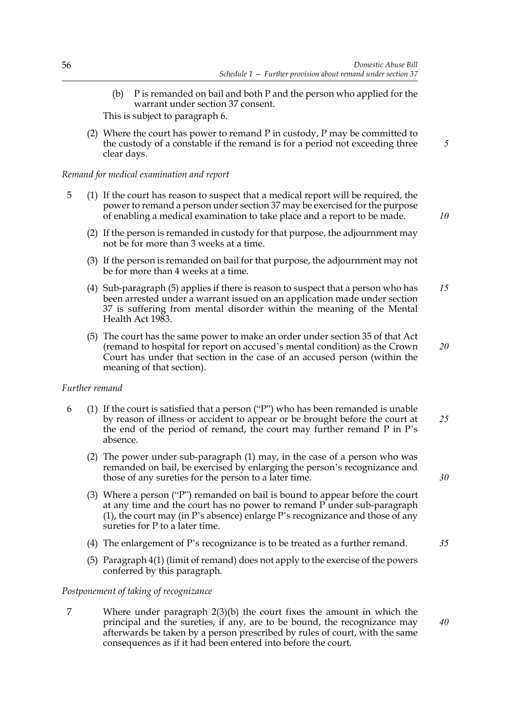(b) P is remanded on bail and both P and the person who applied for the warrant under section 37 consent.

This is subject to paragraph 6.

(2) Where the court has power to remand P in custody, P may be committed to the custody of a constable if the remand is for a period not exceeding three clear days.

#### *Remand for medical examination and report*

- 5 (1) If the court has reason to suspect that a medical report will be required, the power to remand a person under section 37 may be exercised for the purpose of enabling a medical examination to take place and a report to be made.
	- (2) If the person is remanded in custody for that purpose, the adjournment may not be for more than 3 weeks at a time.
	- (3) If the person is remanded on bail for that purpose, the adjournment may not be for more than 4 weeks at a time.
	- (4) Sub-paragraph (5) applies if there is reason to suspect that a person who has been arrested under a warrant issued on an application made under section 37 is suffering from mental disorder within the meaning of the Mental Health Act 1983. *15*
	- (5) The court has the same power to make an order under section 35 of that Act (remand to hospital for report on accused's mental condition) as the Crown Court has under that section in the case of an accused person (within the meaning of that section).

#### *Further remand*

56

- 6 (1) If the court is satisfied that a person ("P") who has been remanded is unable by reason of illness or accident to appear or be brought before the court at the end of the period of remand, the court may further remand P in P's absence. *25*
	- (2) The power under sub-paragraph (1) may, in the case of a person who was remanded on bail, be exercised by enlarging the person's recognizance and those of any sureties for the person to a later time.
	- (3) Where a person ("P") remanded on bail is bound to appear before the court at any time and the court has no power to remand P under sub-paragraph (1), the court may (in P's absence) enlarge P's recognizance and those of any sureties for P to a later time.
	- (4) The enlargement of P's recognizance is to be treated as a further remand. *35*
	- (5) Paragraph 4(1) (limit of remand) does not apply to the exercise of the powers conferred by this paragraph.

#### *Postponement of taking of recognizance*

7 Where under paragraph 2(3)(b) the court fixes the amount in which the principal and the sureties, if any, are to be bound, the recognizance may afterwards be taken by a person prescribed by rules of court, with the same consequences as if it had been entered into before the court.

*10*

*20*

*30*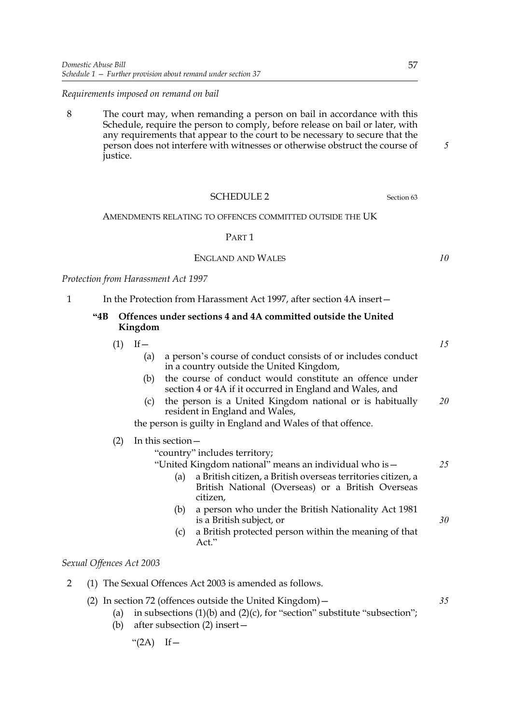*Requirements imposed on remand on bail*

8 The court may, when remanding a person on bail in accordance with this Schedule, require the person to comply, before release on bail or later, with any requirements that appear to the court to be necessary to secure that the person does not interfere with witnesses or otherwise obstruct the course of justice.

| SCHEDULE 2 | Section 63 |
|------------|------------|
|------------|------------|

#### AMENDMENTS RELATING TO OFFENCES COMMITTED OUTSIDE THE UK

PART 1

#### ENGLAND AND WALES

*Protection from Harassment Act 1997*

1 In the Protection from Harassment Act 1997, after section 4A insert—

#### **"4B Offences under sections 4 and 4A committed outside the United Kingdom**

- $(1)$  If
	- (a) a person's course of conduct consists of or includes conduct in a country outside the United Kingdom,
	- (b) the course of conduct would constitute an offence under section 4 or 4A if it occurred in England and Wales, and
	- (c) the person is a United Kingdom national or is habitually resident in England and Wales, *20*

the person is guilty in England and Wales of that offence.

(2) In this section—

"country" includes territory;

- "United Kingdom national" means an individual who is—
	- (a) a British citizen, a British overseas territories citizen, a British National (Overseas) or a British Overseas citizen,
	- (b) a person who under the British Nationality Act 1981 is a British subject, or
	- (c) a British protected person within the meaning of that Act."

#### *Sexual Offences Act 2003*

- 2 (1) The Sexual Offences Act 2003 is amended as follows.
	- (2) In section 72 (offences outside the United Kingdom)— *35*
		- (a) in subsections  $(1)(b)$  and  $(2)(c)$ , for "section" substitute "subsection";
		- (b) after subsection (2) insert—

" $(2A)$  If  $-$ 

*5*

*10*

*15*

*25*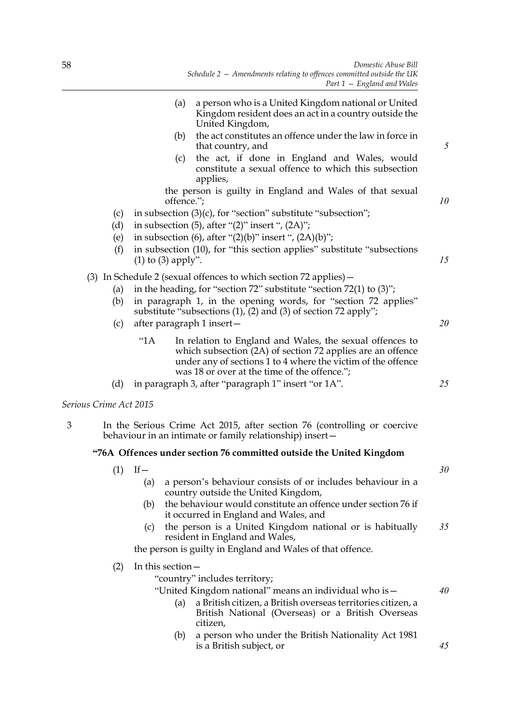(a) a person who is a United Kingdom national or United Kingdom resident does an act in a country outside the United Kingdom, (b) the act constitutes an offence under the law in force in that country, and (c) the act, if done in England and Wales, would constitute a sexual offence to which this subsection applies, the person is guilty in England and Wales of that sexual offence."; (c) in subsection  $(3)(c)$ , for "section" substitute "subsection"; (d) in subsection  $(5)$ , after " $(2)$ " insert ",  $(2A)$ "; (e) in subsection (6), after " $(2)(b)$ " insert ",  $(2A)(b)$ "; (f) in subsection (10), for "this section applies" substitute "subsections  $(1)$  to  $(3)$  apply". (3) In Schedule 2 (sexual offences to which section 72 applies)— (a) in the heading, for "section  $72$ " substitute "section  $72(1)$  to  $(3)$ "; (b) in paragraph 1, in the opening words, for "section 72 applies" substitute "subsections  $(1)$ ,  $(2)$  and  $(3)$  of section 72 apply"; (c) after paragraph 1 insert— "1A In relation to England and Wales, the sexual offences to which subsection (2A) of section 72 applies are an offence under any of sections 1 to 4 where the victim of the offence was 18 or over at the time of the offence."; *5 15 20 25*

(d) in paragraph 3, after "paragraph 1" insert "or 1A".

*Serious Crime Act 2015*

3 In the Serious Crime Act 2015, after section 76 (controlling or coercive behaviour in an intimate or family relationship) insert—

### **"76A Offences under section 76 committed outside the United Kingdom**

- $(1)$  If (a) a person's behaviour consists of or includes behaviour in a country outside the United Kingdom, (b) the behaviour would constitute an offence under section 76 if it occurred in England and Wales, and (c) the person is a United Kingdom national or is habitually resident in England and Wales, the person is guilty in England and Wales of that offence. (2) In this section— "country" includes territory; "United Kingdom national" means an individual who is— (a) a British citizen, a British overseas territories citizen, a British National (Overseas) or a British Overseas citizen, *30 35 40*
	- (b) a person who under the British Nationality Act 1981 is a British subject, or

*10*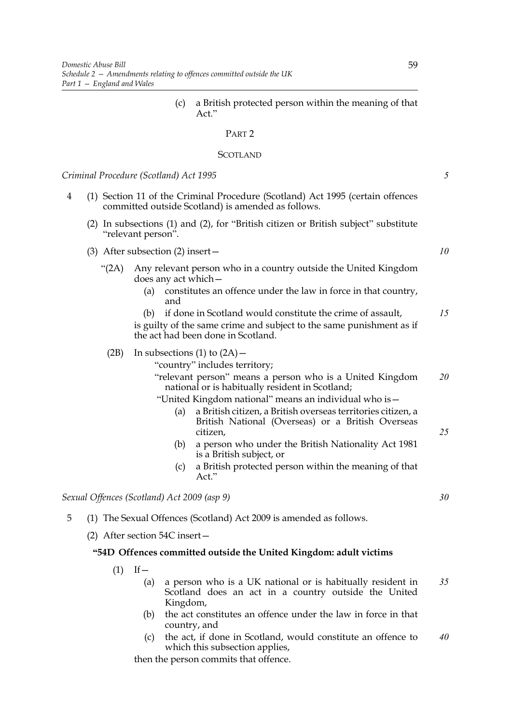(c) a British protected person within the meaning of that Act."

#### PART 2

#### **SCOTLAND**

*Criminal Procedure (Scotland) Act 1995*

- 4 (1) Section 11 of the Criminal Procedure (Scotland) Act 1995 (certain offences committed outside Scotland) is amended as follows.
	- (2) In subsections (1) and (2), for "British citizen or British subject" substitute "relevant person".
	- (3) After subsection (2) insert—
		- "(2A) Any relevant person who in a country outside the United Kingdom does any act which—
			- (a) constitutes an offence under the law in force in that country, and
			- (b) if done in Scotland would constitute the crime of assault, is guilty of the same crime and subject to the same punishment as if the act had been done in Scotland. *15*
			- (2B) In subsections (1) to  $(2A)$  –

"country" includes territory;

"relevant person" means a person who is a United Kingdom national or is habitually resident in Scotland; *20*

- "United Kingdom national" means an individual who is—
	- (a) a British citizen, a British overseas territories citizen, a British National (Overseas) or a British Overseas citizen,
	- (b) a person who under the British Nationality Act 1981 is a British subject, or
	- (c) a British protected person within the meaning of that Act."

*Sexual Offences (Scotland) Act 2009 (asp 9)*

- 5 (1) The Sexual Offences (Scotland) Act 2009 is amended as follows.
	- (2) After section 54C insert—

#### **"54D Offences committed outside the United Kingdom: adult victims**

- $(1)$  If
	- (a) a person who is a UK national or is habitually resident in Scotland does an act in a country outside the United Kingdom, *35*
	- (b) the act constitutes an offence under the law in force in that country, and
	- (c) the act, if done in Scotland, would constitute an offence to which this subsection applies, *40*

then the person commits that offence.

*5*

*10*

*30*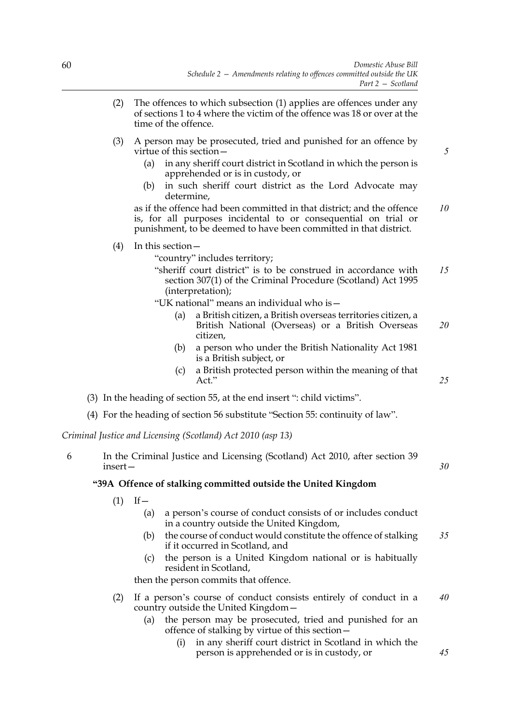- (2) The offences to which subsection (1) applies are offences under any of sections 1 to 4 where the victim of the offence was 18 or over at the time of the offence.
- (3) A person may be prosecuted, tried and punished for an offence by virtue of this section—
	- (a) in any sheriff court district in Scotland in which the person is apprehended or is in custody, or
	- (b) in such sheriff court district as the Lord Advocate may determine,

as if the offence had been committed in that district; and the offence is, for all purposes incidental to or consequential on trial or punishment, to be deemed to have been committed in that district. *10*

(4) In this section—

- "country" includes territory;
- "sheriff court district" is to be construed in accordance with section 307(1) of the Criminal Procedure (Scotland) Act 1995 (interpretation); *15*
- "UK national" means an individual who is—
	- (a) a British citizen, a British overseas territories citizen, a British National (Overseas) or a British Overseas citizen, *20*
	- (b) a person who under the British Nationality Act 1981 is a British subject, or
	- (c) a British protected person within the meaning of that Act."
- (3) In the heading of section 55, at the end insert ": child victims".
- (4) For the heading of section 56 substitute "Section 55: continuity of law".

*Criminal Justice and Licensing (Scotland) Act 2010 (asp 13)*

6 In the Criminal Justice and Licensing (Scotland) Act 2010, after section 39 insert—

#### **"39A Offence of stalking committed outside the United Kingdom**

- $(1)$  If
	- (a) a person's course of conduct consists of or includes conduct in a country outside the United Kingdom,
	- (b) the course of conduct would constitute the offence of stalking if it occurred in Scotland, and *35*
	- (c) the person is a United Kingdom national or is habitually resident in Scotland,

then the person commits that offence.

- (2) If a person's course of conduct consists entirely of conduct in a country outside the United Kingdom— *40*
	- (a) the person may be prosecuted, tried and punished for an offence of stalking by virtue of this section—
		- (i) in any sheriff court district in Scotland in which the person is apprehended or is in custody, or

*45*

*5*

*25*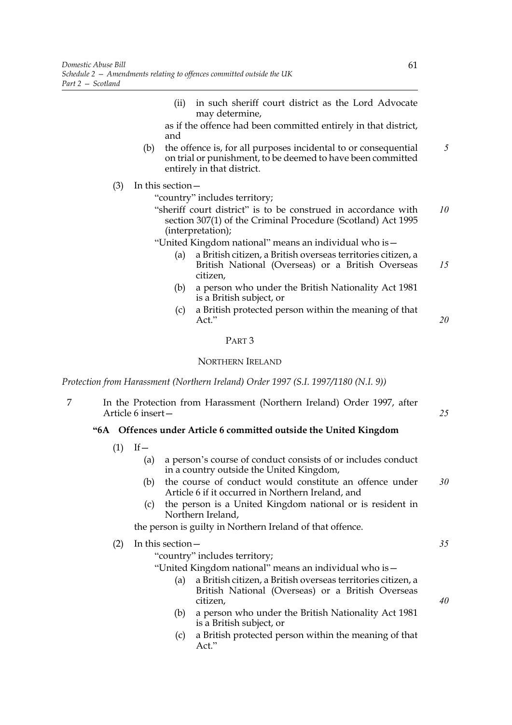(ii) in such sheriff court district as the Lord Advocate may determine,

as if the offence had been committed entirely in that district, and

(b) the offence is, for all purposes incidental to or consequential on trial or punishment, to be deemed to have been committed entirely in that district. *5*

#### (3) In this section—

"country" includes territory;

- "sheriff court district" is to be construed in accordance with section 307(1) of the Criminal Procedure (Scotland) Act 1995 (interpretation); *10*
- "United Kingdom national" means an individual who is—
	- (a) a British citizen, a British overseas territories citizen, a British National (Overseas) or a British Overseas citizen, *15*
	- (b) a person who under the British Nationality Act 1981 is a British subject, or
	- (c) a British protected person within the meaning of that Act."

#### PART 3

#### NORTHERN IRELAND

*Protection from Harassment (Northern Ireland) Order 1997 (S.I. 1997/1180 (N.I. 9))*

7 In the Protection from Harassment (Northern Ireland) Order 1997, after Article 6 insert—

#### **"6A Offences under Article 6 committed outside the United Kingdom**

- $(1)$  If
	- (a) a person's course of conduct consists of or includes conduct in a country outside the United Kingdom,
	- (b) the course of conduct would constitute an offence under Article 6 if it occurred in Northern Ireland, and *30*
	- (c) the person is a United Kingdom national or is resident in Northern Ireland,

the person is guilty in Northern Ireland of that offence.

(2) In this section—

"country" includes territory;

"United Kingdom national" means an individual who is—

- (a) a British citizen, a British overseas territories citizen, a British National (Overseas) or a British Overseas citizen,
- (b) a person who under the British Nationality Act 1981 is a British subject, or
- (c) a British protected person within the meaning of that Act."

*40*

*35*

*20*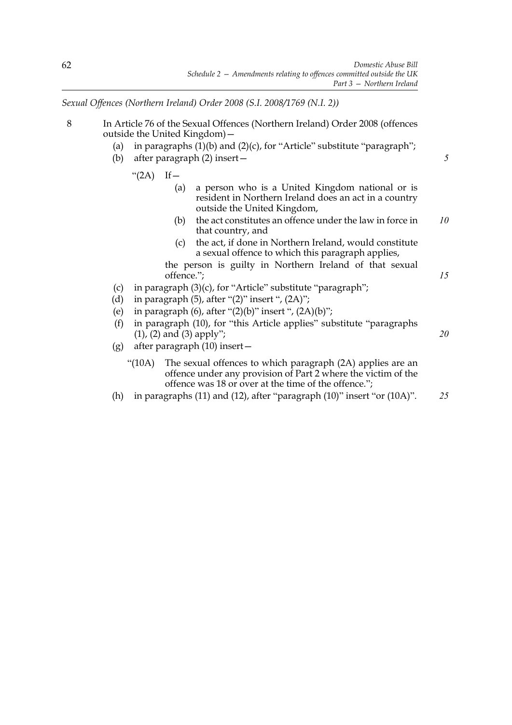*Sexual Offences (Northern Ireland) Order 2008 (S.I. 2008/1769 (N.I. 2))*

- 8 In Article 76 of the Sexual Offences (Northern Ireland) Order 2008 (offences outside the United Kingdom)—
	- (a) in paragraphs  $(1)(b)$  and  $(2)(c)$ , for "Article" substitute "paragraph";
	- (b) after paragraph (2) insert—

" $(2A)$  If  $-$ 

- (a) a person who is a United Kingdom national or is resident in Northern Ireland does an act in a country outside the United Kingdom,
- (b) the act constitutes an offence under the law in force in that country, and *10*
- (c) the act, if done in Northern Ireland, would constitute a sexual offence to which this paragraph applies, the person is guilty in Northern Ireland of that sexual offence.";
- (c) in paragraph (3)(c), for "Article" substitute "paragraph";
- (d) in paragraph  $(5)$ , after " $(2)$ " insert ",  $(2A)$ ";
- (e) in paragraph  $(6)$ , after " $(2)(b)$ " insert ",  $(2A)(b)$ ";
- (f) in paragraph (10), for "this Article applies" substitute "paragraphs  $(1)$ ,  $(2)$  and  $(3)$  apply";
- (g) after paragraph (10) insert—
	- "(10A) The sexual offences to which paragraph (2A) applies are an offence under any provision of Part 2 where the victim of the offence was 18 or over at the time of the offence.";
- (h) in paragraphs (11) and (12), after "paragraph (10)" insert "or (10A)". *25*

*20*

*15*